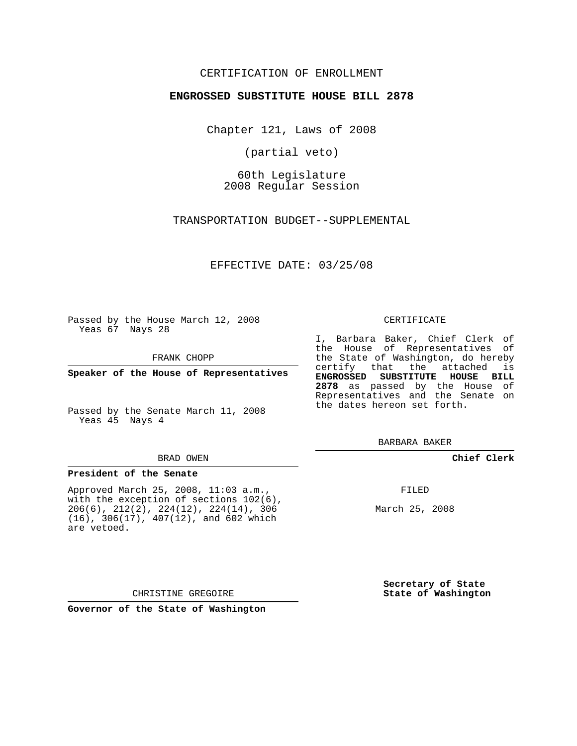## CERTIFICATION OF ENROLLMENT

## **ENGROSSED SUBSTITUTE HOUSE BILL 2878**

Chapter 121, Laws of 2008

(partial veto)

60th Legislature 2008 Regular Session

TRANSPORTATION BUDGET--SUPPLEMENTAL

EFFECTIVE DATE: 03/25/08

Passed by the House March 12, 2008 Yeas 67 Nays 28

FRANK CHOPP

**Speaker of the House of Representatives**

Passed by the Senate March 11, 2008 Yeas 45 Nays 4

### BRAD OWEN

## **President of the Senate**

Approved March 25, 2008, 11:03 a.m., with the exception of sections  $102(6)$ , 206(6), 212(2), 224(12), 224(14), 306 (16), 306(17), 407(12), and 602 which are vetoed.

CHRISTINE GREGOIRE

**Governor of the State of Washington**

#### CERTIFICATE

I, Barbara Baker, Chief Clerk of the House of Representatives of the State of Washington, do hereby certify that the attached is **ENGROSSED SUBSTITUTE HOUSE BILL 2878** as passed by the House of Representatives and the Senate on the dates hereon set forth.

BARBARA BAKER

## **Chief Clerk**

FILED

March 25, 2008

**Secretary of State State of Washington**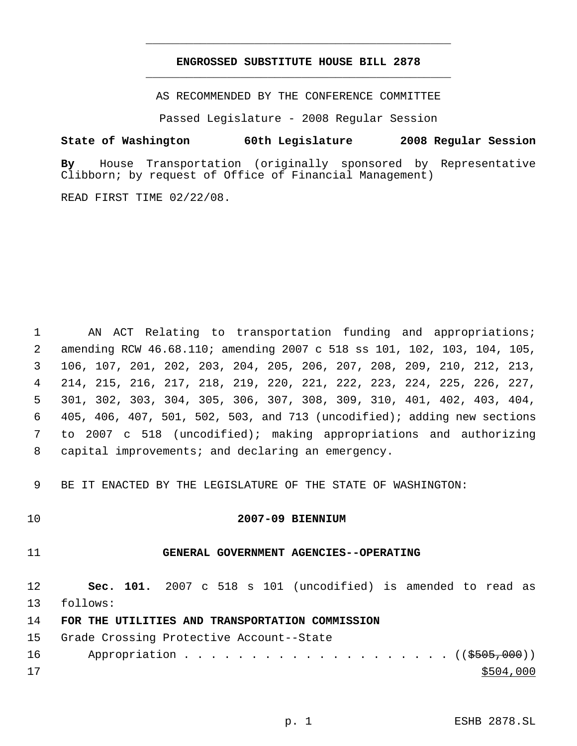## **ENGROSSED SUBSTITUTE HOUSE BILL 2878** \_\_\_\_\_\_\_\_\_\_\_\_\_\_\_\_\_\_\_\_\_\_\_\_\_\_\_\_\_\_\_\_\_\_\_\_\_\_\_\_\_\_\_\_\_

\_\_\_\_\_\_\_\_\_\_\_\_\_\_\_\_\_\_\_\_\_\_\_\_\_\_\_\_\_\_\_\_\_\_\_\_\_\_\_\_\_\_\_\_\_

AS RECOMMENDED BY THE CONFERENCE COMMITTEE

Passed Legislature - 2008 Regular Session

## **State of Washington 60th Legislature 2008 Regular Session**

**By** House Transportation (originally sponsored by Representative Clibborn; by request of Office of Financial Management)

READ FIRST TIME 02/22/08.

 AN ACT Relating to transportation funding and appropriations; amending RCW 46.68.110; amending 2007 c 518 ss 101, 102, 103, 104, 105, 106, 107, 201, 202, 203, 204, 205, 206, 207, 208, 209, 210, 212, 213, 214, 215, 216, 217, 218, 219, 220, 221, 222, 223, 224, 225, 226, 227, 301, 302, 303, 304, 305, 306, 307, 308, 309, 310, 401, 402, 403, 404, 405, 406, 407, 501, 502, 503, and 713 (uncodified); adding new sections to 2007 c 518 (uncodified); making appropriations and authorizing capital improvements; and declaring an emergency.

9 BE IT ENACTED BY THE LEGISLATURE OF THE STATE OF WASHINGTON:

## 10 **2007-09 BIENNIUM**

## 11 **GENERAL GOVERNMENT AGENCIES--OPERATING**

12 **Sec. 101.** 2007 c 518 s 101 (uncodified) is amended to read as 13 follows:

14 **FOR THE UTILITIES AND TRANSPORTATION COMMISSION**

15 Grade Crossing Protective Account--State

|    | 16 Appropriation ((\$505,000)) |
|----|--------------------------------|
| 17 | \$504,000                      |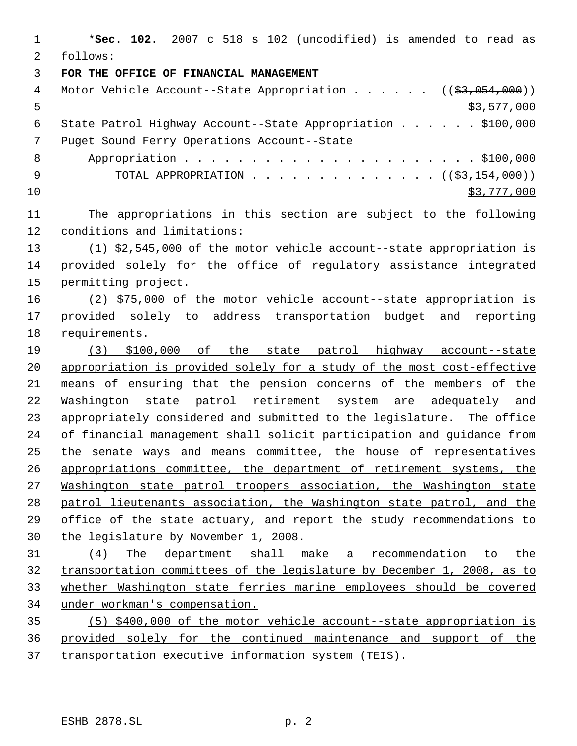\***Sec. 102.** 2007 c 518 s 102 (uncodified) is amended to read as follows: **FOR THE OFFICE OF FINANCIAL MANAGEMENT** 4 Motor Vehicle Account--State Appropriation . . . . . . ((\$3,054,000))  $5 \times 577,000$ 6 State Patrol Highway Account--State Appropriation . . . . . \$100,000 Puget Sound Ferry Operations Account--State Appropriation . . . . . . . . . . . . . . . . . . . . . . \$100,000 9 TOTAL APPROPRIATION . . . . . . . . . . . . . (  $(\frac{23}{154}, \frac{154}{100})$  ) \$3,777,000 The appropriations in this section are subject to the following conditions and limitations: (1) \$2,545,000 of the motor vehicle account--state appropriation is provided solely for the office of regulatory assistance integrated permitting project. (2) \$75,000 of the motor vehicle account--state appropriation is provided solely to address transportation budget and reporting requirements. (3) \$100,000 of the state patrol highway account--state appropriation is provided solely for a study of the most cost-effective means of ensuring that the pension concerns of the members of the 22 Washington state patrol retirement system are adequately and 23 appropriately considered and submitted to the legislature. The office of financial management shall solicit participation and guidance from 25 the senate ways and means committee, the house of representatives appropriations committee, the department of retirement systems, the Washington state patrol troopers association, the Washington state patrol lieutenants association, the Washington state patrol, and the office of the state actuary, and report the study recommendations to the legislature by November 1, 2008. (4) The department shall make a recommendation to the transportation committees of the legislature by December 1, 2008, as to whether Washington state ferries marine employees should be covered under workman's compensation. (5) \$400,000 of the motor vehicle account--state appropriation is provided solely for the continued maintenance and support of the transportation executive information system (TEIS).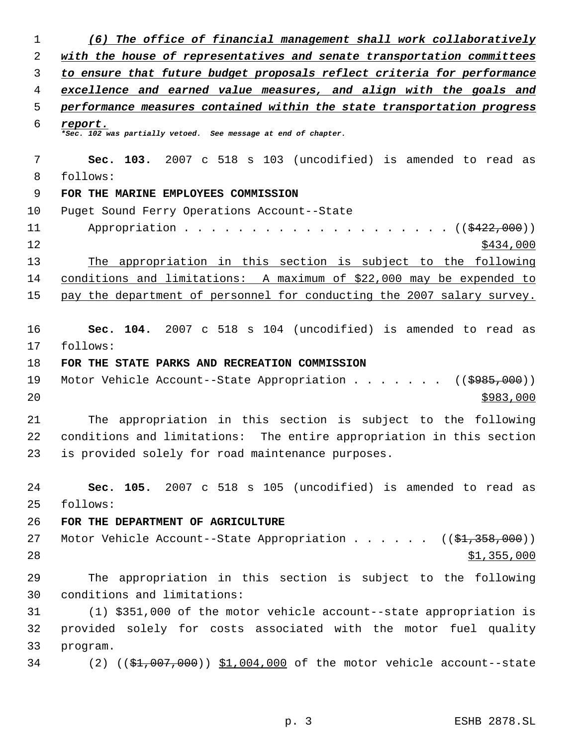| 1  | (6) The office of financial management shall work collaboratively                |
|----|----------------------------------------------------------------------------------|
| 2  | with the house of representatives and senate transportation committees           |
| 3  | to ensure that future budget proposals reflect criteria for performance          |
| 4  | excellence and earned value measures, and align with the goals and               |
| 5  | performance measures contained within the state transportation progress          |
| 6  | report.<br>*Sec. 102 was partially vetoed. See message at end of chapter.        |
| 7  | Sec. 103. 2007 c 518 s 103 (uncodified) is amended to read as                    |
| 8  | follows:                                                                         |
| 9  | FOR THE MARINE EMPLOYEES COMMISSION                                              |
| 10 | Puget Sound Ferry Operations Account--State                                      |
| 11 | Appropriation<br>. $((\frac{15422}{1000}))$                                      |
| 12 | \$434,000                                                                        |
| 13 | The appropriation in this section is subject to the following                    |
| 14 | conditions and limitations: A maximum of \$22,000 may be expended to             |
| 15 | pay the department of personnel for conducting the 2007 salary survey.           |
| 16 | Sec. 104. 2007 c 518 s 104 (uncodified) is amended to read as                    |
| 17 | follows:                                                                         |
| 18 | FOR THE STATE PARKS AND RECREATION COMMISSION                                    |
| 19 | Motor Vehicle Account--State Appropriation ( $(\frac{2985,000}{s})$ )            |
| 20 | \$983,000                                                                        |
| 21 | The appropriation in this section is subject to the following                    |
| 22 | conditions and limitations: The entire appropriation in this section             |
| 23 | is provided solely for road maintenance purposes.                                |
| 24 | Sec. 105. 2007 c 518 s 105 (uncodified) is amended to read as                    |
| 25 | follows:                                                                         |
| 26 | FOR THE DEPARTMENT OF AGRICULTURE                                                |
| 27 | Motor Vehicle Account--State Appropriation ( $(\frac{1}{21}, \frac{358}{100})$ ) |
| 28 | \$1,355,000                                                                      |
| 29 | The appropriation in this section is subject to the following                    |
| 30 | conditions and limitations:                                                      |
| 31 | (1) \$351,000 of the motor vehicle account--state appropriation is               |
| 32 | provided solely for costs associated with the motor fuel quality                 |
| 33 | program.                                                                         |
| 34 | (2) $(3, 4, 007, 000)$ $$1,004,000$ of the motor vehicle account--state          |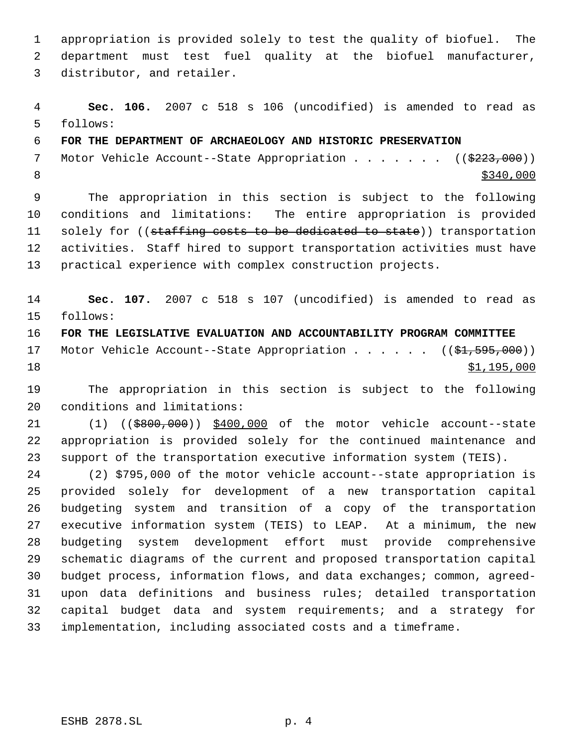appropriation is provided solely to test the quality of biofuel. The department must test fuel quality at the biofuel manufacturer, distributor, and retailer.

 **Sec. 106.** 2007 c 518 s 106 (uncodified) is amended to read as follows:

**FOR THE DEPARTMENT OF ARCHAEOLOGY AND HISTORIC PRESERVATION**

7 Motor Vehicle Account--State Appropriation . . . . . . ((\$223,000)) 8  $\frac{$340,000}{ }$ 

 The appropriation in this section is subject to the following conditions and limitations: The entire appropriation is provided 11 solely for ((staffing costs to be dedicated to state)) transportation activities. Staff hired to support transportation activities must have practical experience with complex construction projects.

 **Sec. 107.** 2007 c 518 s 107 (uncodified) is amended to read as follows:

 **FOR THE LEGISLATIVE EVALUATION AND ACCOUNTABILITY PROGRAM COMMITTEE** 17 Motor Vehicle Account--State Appropriation . . . . . ((\$1,595,000)) 18  $\frac{$1,195,000}{ }$ 

 The appropriation in this section is subject to the following conditions and limitations:

21 (1) ((\$800,000)) \$400,000 of the motor vehicle account--state appropriation is provided solely for the continued maintenance and support of the transportation executive information system (TEIS).

 (2) \$795,000 of the motor vehicle account--state appropriation is provided solely for development of a new transportation capital budgeting system and transition of a copy of the transportation executive information system (TEIS) to LEAP. At a minimum, the new budgeting system development effort must provide comprehensive schematic diagrams of the current and proposed transportation capital budget process, information flows, and data exchanges; common, agreed- upon data definitions and business rules; detailed transportation capital budget data and system requirements; and a strategy for implementation, including associated costs and a timeframe.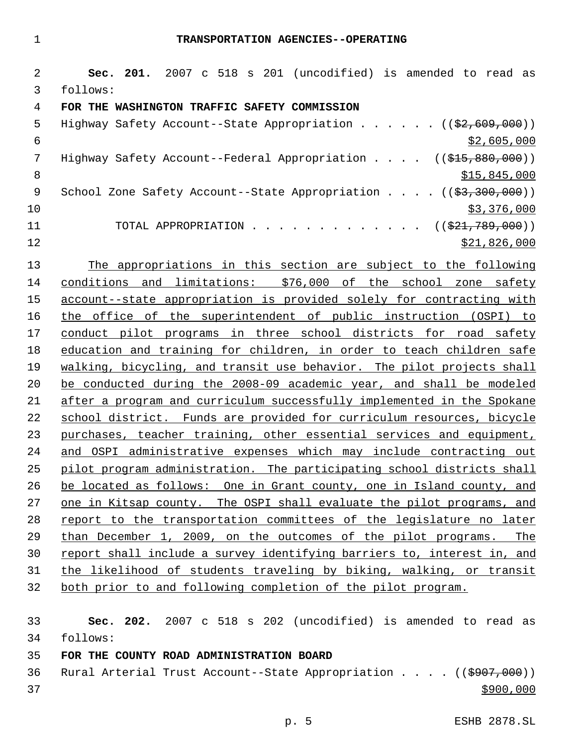**Sec. 201.** 2007 c 518 s 201 (uncodified) is amended to read as follows: **FOR THE WASHINGTON TRAFFIC SAFETY COMMISSION** 5 Highway Safety Account--State Appropriation . . . . . ((\$2,609,000))  $\frac{1}{52,605,000}$ 7 Highway Safety Account--Federal Appropriation . . . . ((\$15,880,000)) 8 \$15,845,000 \$15,845,000 \$15,845,000 \$15,845,000 \$15,845,000 \$15,15,000 \$15,15,000 \$15,15,000 \$15,15,000 \$15, 9 School Zone Safety Account--State Appropriation . . . . ((\$3,300,000))  $10 \hspace{2.5cm}$ \$3,376,000 11 TOTAL APPROPRIATION . . . . . . . . . . . . ((<del>\$21,789,000</del>))  $\frac{12}{21,826,000}$  The appropriations in this section are subject to the following conditions and limitations: \$76,000 of the school zone safety account--state appropriation is provided solely for contracting with the office of the superintendent of public instruction (OSPI) to conduct pilot programs in three school districts for road safety education and training for children, in order to teach children safe walking, bicycling, and transit use behavior. The pilot projects shall be conducted during the 2008-09 academic year, and shall be modeled after a program and curriculum successfully implemented in the Spokane school district. Funds are provided for curriculum resources, bicycle purchases, teacher training, other essential services and equipment, and OSPI administrative expenses which may include contracting out pilot program administration. The participating school districts shall be located as follows: One in Grant county, one in Island county, and one in Kitsap county. The OSPI shall evaluate the pilot programs, and report to the transportation committees of the legislature no later than December 1, 2009, on the outcomes of the pilot programs. The report shall include a survey identifying barriers to, interest in, and the likelihood of students traveling by biking, walking, or transit both prior to and following completion of the pilot program.

 **Sec. 202.** 2007 c 518 s 202 (uncodified) is amended to read as follows:

**FOR THE COUNTY ROAD ADMINISTRATION BOARD**

36 Rural Arterial Trust Account--State Appropriation . . . . ((\$907,000))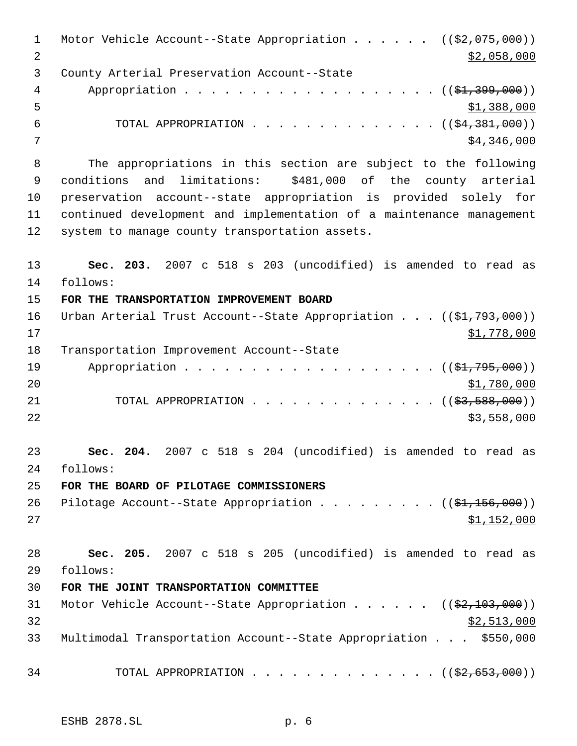| $\mathbf{1}$   | Motor Vehicle Account--State Appropriation ( $(\frac{2}{2}, 075, 000)$ )       |
|----------------|--------------------------------------------------------------------------------|
| $\overline{2}$ | \$2,058,000                                                                    |
| 3              | County Arterial Preservation Account--State                                    |
| 4              | Appropriation $($ $(\frac{1}{21}, \frac{399}{100})$                            |
| 5              | \$1,388,000                                                                    |
| 6              | TOTAL APPROPRIATION ( $(\frac{24}{3000})$ )                                    |
| 7              | \$4,346,000                                                                    |
| 8              | The appropriations in this section are subject to the following                |
| $\overline{9}$ | and limitations: \$481,000 of the county arterial<br>conditions                |
| 10             | preservation account--state appropriation is provided solely for               |
| 11             | continued development and implementation of a maintenance management           |
| 12             | system to manage county transportation assets.                                 |
| 13             | Sec. 203. 2007 c 518 s 203 (uncodified) is amended to read as                  |
| 14             | follows:                                                                       |
| 15             | FOR THE TRANSPORTATION IMPROVEMENT BOARD                                       |
| 16             | Urban Arterial Trust Account--State Appropriation $((\frac{1}{21}, 793, 000))$ |
| 17             | \$1,778,000                                                                    |
| 18             | Transportation Improvement Account--State                                      |
| 19             | Appropriation $($ $($ \$1,795,000) $)$                                         |
| 20             | \$1,780,000                                                                    |
| 21             | TOTAL APPROPRIATION ( $(\frac{23}{53}, \frac{588}{900})$ )                     |
| 22             | \$3,558,000                                                                    |
| 23             | 2007 c 518 s 204 (uncodified) is amended to read as<br>Sec. 204.               |
| 24             | follows:                                                                       |
| 25             | FOR THE BOARD OF PILOTAGE COMMISSIONERS                                        |
| 26             | Pilotage Account--State Appropriation ( $(\frac{1}{21}, 156, 000)$ )           |
| 27             | \$1,152,000                                                                    |
| 28             | Sec. 205. 2007 c 518 s 205 (uncodified) is amended to read as                  |
| 29             | follows:                                                                       |
| 30             | FOR THE JOINT TRANSPORTATION COMMITTEE                                         |
| 31             | Motor Vehicle Account--State Appropriation $($ $($ \$2,103,000))               |
| 32             | \$2,513,000                                                                    |
| 33             | Multimodal Transportation Account--State Appropriation \$550,000               |
| 34             | TOTAL APPROPRIATION ( $(\frac{2}{2}, 653, 000)$ )                              |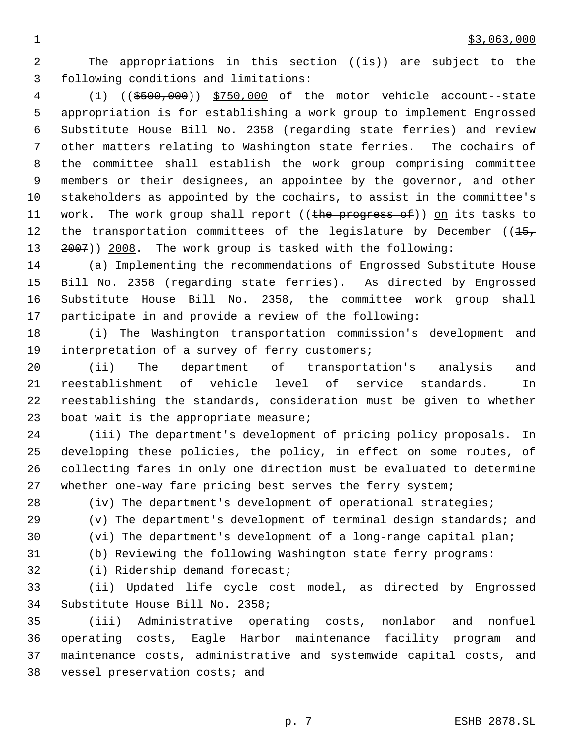2 The appropriations in this section ((is)) are subject to the following conditions and limitations:

 (1) ((\$500,000)) \$750,000 of the motor vehicle account--state appropriation is for establishing a work group to implement Engrossed Substitute House Bill No. 2358 (regarding state ferries) and review other matters relating to Washington state ferries. The cochairs of the committee shall establish the work group comprising committee members or their designees, an appointee by the governor, and other stakeholders as appointed by the cochairs, to assist in the committee's 11 work. The work group shall report ((the progress of)) on its tasks to 12 the transportation committees of the legislature by December  $(15, 15)$ 2007)) 2008. The work group is tasked with the following:

 (a) Implementing the recommendations of Engrossed Substitute House Bill No. 2358 (regarding state ferries). As directed by Engrossed Substitute House Bill No. 2358, the committee work group shall participate in and provide a review of the following:

 (i) The Washington transportation commission's development and interpretation of a survey of ferry customers;

 (ii) The department of transportation's analysis and reestablishment of vehicle level of service standards. In reestablishing the standards, consideration must be given to whether boat wait is the appropriate measure;

 (iii) The department's development of pricing policy proposals. In developing these policies, the policy, in effect on some routes, of collecting fares in only one direction must be evaluated to determine whether one-way fare pricing best serves the ferry system;

(iv) The department's development of operational strategies;

 (v) The department's development of terminal design standards; and (vi) The department's development of a long-range capital plan;

(b) Reviewing the following Washington state ferry programs:

(i) Ridership demand forecast;

 (ii) Updated life cycle cost model, as directed by Engrossed Substitute House Bill No. 2358;

 (iii) Administrative operating costs, nonlabor and nonfuel operating costs, Eagle Harbor maintenance facility program and maintenance costs, administrative and systemwide capital costs, and vessel preservation costs; and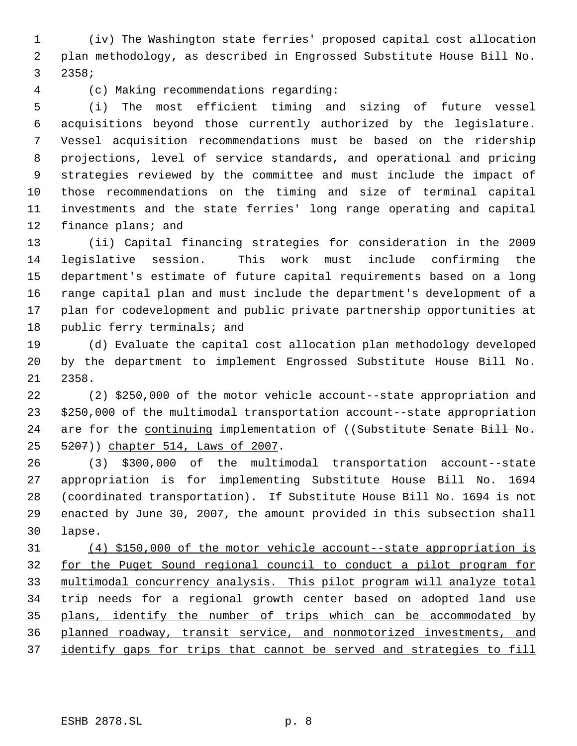(iv) The Washington state ferries' proposed capital cost allocation plan methodology, as described in Engrossed Substitute House Bill No. 2358;

(c) Making recommendations regarding:

 (i) The most efficient timing and sizing of future vessel acquisitions beyond those currently authorized by the legislature. Vessel acquisition recommendations must be based on the ridership projections, level of service standards, and operational and pricing strategies reviewed by the committee and must include the impact of those recommendations on the timing and size of terminal capital investments and the state ferries' long range operating and capital 12 finance plans; and

 (ii) Capital financing strategies for consideration in the 2009 legislative session. This work must include confirming the department's estimate of future capital requirements based on a long range capital plan and must include the department's development of a plan for codevelopment and public private partnership opportunities at 18 public ferry terminals; and

 (d) Evaluate the capital cost allocation plan methodology developed by the department to implement Engrossed Substitute House Bill No. 2358.

 (2) \$250,000 of the motor vehicle account--state appropriation and \$250,000 of the multimodal transportation account--state appropriation 24 are for the continuing implementation of ((Substitute Senate Bill No. 5207)) chapter 514, Laws of 2007.

 (3) \$300,000 of the multimodal transportation account--state appropriation is for implementing Substitute House Bill No. 1694 (coordinated transportation). If Substitute House Bill No. 1694 is not enacted by June 30, 2007, the amount provided in this subsection shall lapse.

 (4) \$150,000 of the motor vehicle account--state appropriation is for the Puget Sound regional council to conduct a pilot program for multimodal concurrency analysis. This pilot program will analyze total trip needs for a regional growth center based on adopted land use 35 plans, identify the number of trips which can be accommodated by planned roadway, transit service, and nonmotorized investments, and identify gaps for trips that cannot be served and strategies to fill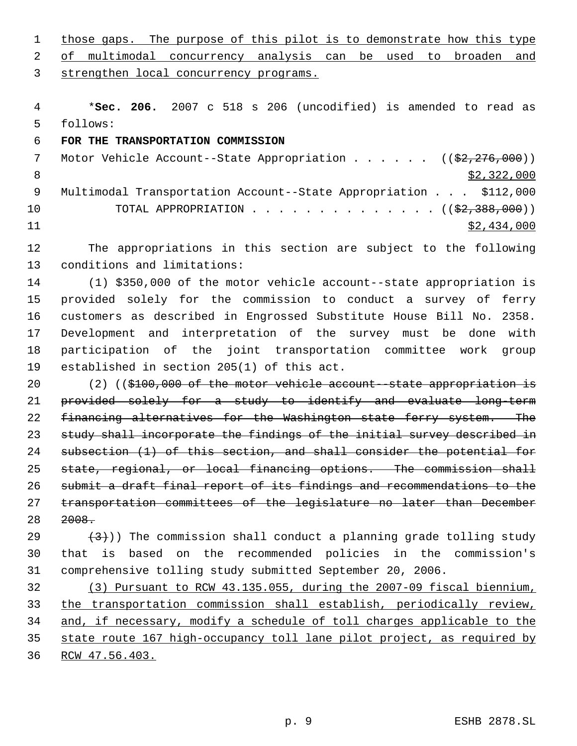1 those gaps. The purpose of this pilot is to demonstrate how this type 2 of multimodal concurrency analysis can be used to broaden and strengthen local concurrency programs. \***Sec. 206.** 2007 c 518 s 206 (uncodified) is amended to read as follows: **FOR THE TRANSPORTATION COMMISSION** 7 Motor Vehicle Account--State Appropriation . . . . . ((\$2,276,000))  $\frac{1}{2}$ , 322, 000 Multimodal Transportation Account--State Appropriation . . . \$112,000 10 TOTAL APPROPRIATION . . . . . . . . . . . . . . ((\$2,388,000)) \$2,434,000 The appropriations in this section are subject to the following conditions and limitations: (1) \$350,000 of the motor vehicle account--state appropriation is provided solely for the commission to conduct a survey of ferry customers as described in Engrossed Substitute House Bill No. 2358. Development and interpretation of the survey must be done with participation of the joint transportation committee work group established in section 205(1) of this act. 20 (2) ((\$100,000 of the motor vehicle account-state appropriation is provided solely for a study to identify and evaluate long-term 22 financing alternatives for the Washington state ferry system. The 23 study shall incorporate the findings of the initial survey described in subsection (1) of this section, and shall consider the potential for state, regional, or local financing options. The commission shall submit a draft final report of its findings and recommendations to the transportation committees of the legislature no later than December 2008.  $(3)$ )) The commission shall conduct a planning grade tolling study that is based on the recommended policies in the commission's comprehensive tolling study submitted September 20, 2006. (3) Pursuant to RCW 43.135.055, during the 2007-09 fiscal biennium, the transportation commission shall establish, periodically review, 34 and, if necessary, modify a schedule of toll charges applicable to the state route 167 high-occupancy toll lane pilot project, as required by RCW 47.56.403.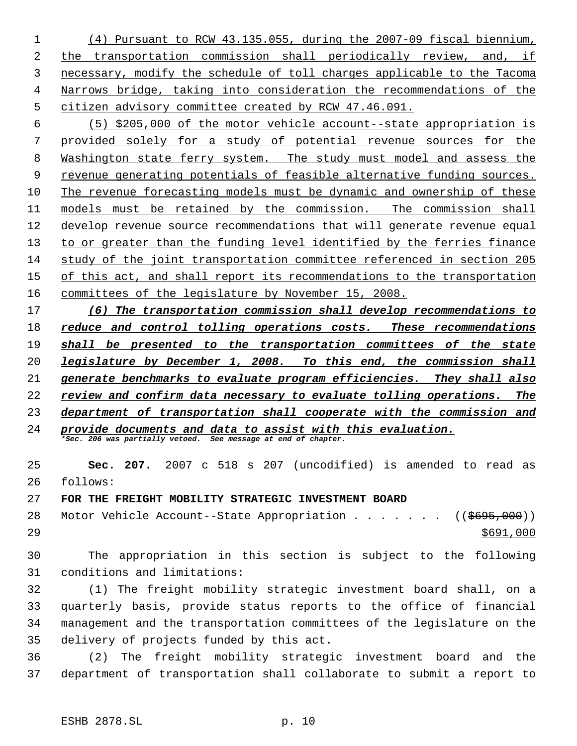(4) Pursuant to RCW 43.135.055, during the 2007-09 fiscal biennium, the transportation commission shall periodically review, and, if necessary, modify the schedule of toll charges applicable to the Tacoma Narrows bridge, taking into consideration the recommendations of the citizen advisory committee created by RCW 47.46.091.

 (5) \$205,000 of the motor vehicle account--state appropriation is provided solely for a study of potential revenue sources for the Washington state ferry system. The study must model and assess the revenue generating potentials of feasible alternative funding sources. The revenue forecasting models must be dynamic and ownership of these 11 models must be retained by the commission. The commission shall develop revenue source recommendations that will generate revenue equal 13 to or greater than the funding level identified by the ferries finance study of the joint transportation committee referenced in section 205 of this act, and shall report its recommendations to the transportation committees of the legislature by November 15, 2008.

 *(6) The transportation commission shall develop recommendations to reduce and control tolling operations costs. These recommendations shall be presented to the transportation committees of the state legislature by December 1, 2008. To this end, the commission shall generate benchmarks to evaluate program efficiencies. They shall also review and confirm data necessary to evaluate tolling operations. The department of transportation shall cooperate with the commission and provide documents and data to assist with this evaluation.*

*\*Sec. 206 was partially vetoed. See message at end of chapter.*

 **Sec. 207.** 2007 c 518 s 207 (uncodified) is amended to read as follows:

**FOR THE FREIGHT MOBILITY STRATEGIC INVESTMENT BOARD**

28 Motor Vehicle Account--State Appropriation . . . . . . ((\$695,000)) 

 The appropriation in this section is subject to the following conditions and limitations:

 (1) The freight mobility strategic investment board shall, on a quarterly basis, provide status reports to the office of financial management and the transportation committees of the legislature on the delivery of projects funded by this act.

 (2) The freight mobility strategic investment board and the department of transportation shall collaborate to submit a report to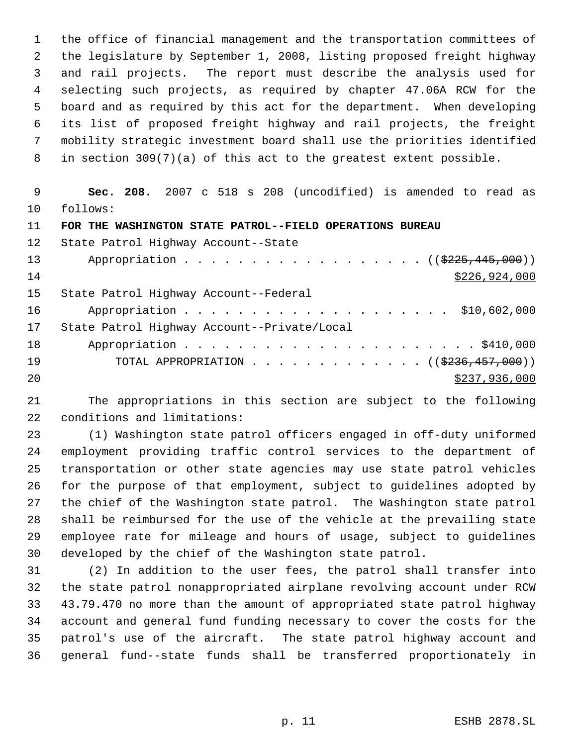the office of financial management and the transportation committees of the legislature by September 1, 2008, listing proposed freight highway and rail projects. The report must describe the analysis used for selecting such projects, as required by chapter 47.06A RCW for the board and as required by this act for the department. When developing its list of proposed freight highway and rail projects, the freight mobility strategic investment board shall use the priorities identified in section 309(7)(a) of this act to the greatest extent possible.

 **Sec. 208.** 2007 c 518 s 208 (uncodified) is amended to read as follows:

**FOR THE WASHINGTON STATE PATROL--FIELD OPERATIONS BUREAU**

| 12 <sub>1</sub> | State Patrol Highway Account--State               |
|-----------------|---------------------------------------------------|
| 13              | Appropriation $($ $(3225, 445, 000))$             |
| 14              | \$226,924,000                                     |
| 15              | State Patrol Highway Account--Federal             |
| 16              | Appropriation \$10,602,000                        |
| 17              | State Patrol Highway Account--Private/Local       |
| 18              |                                                   |
| 19              | TOTAL APPROPRIATION ( $(\frac{2236}{177}, 000)$ ) |
| 20              | \$237,936,000                                     |

 The appropriations in this section are subject to the following conditions and limitations:

 (1) Washington state patrol officers engaged in off-duty uniformed employment providing traffic control services to the department of transportation or other state agencies may use state patrol vehicles for the purpose of that employment, subject to guidelines adopted by the chief of the Washington state patrol. The Washington state patrol shall be reimbursed for the use of the vehicle at the prevailing state employee rate for mileage and hours of usage, subject to guidelines developed by the chief of the Washington state patrol.

 (2) In addition to the user fees, the patrol shall transfer into the state patrol nonappropriated airplane revolving account under RCW 43.79.470 no more than the amount of appropriated state patrol highway account and general fund funding necessary to cover the costs for the patrol's use of the aircraft. The state patrol highway account and general fund--state funds shall be transferred proportionately in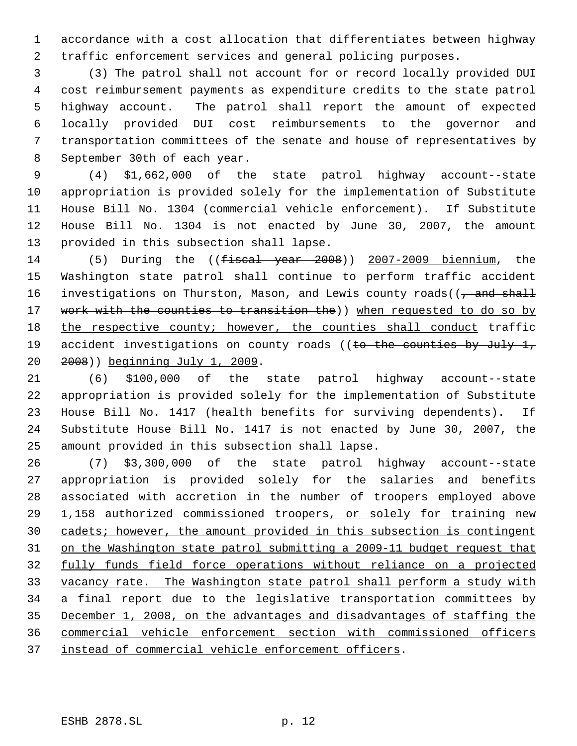accordance with a cost allocation that differentiates between highway traffic enforcement services and general policing purposes.

 (3) The patrol shall not account for or record locally provided DUI cost reimbursement payments as expenditure credits to the state patrol highway account. The patrol shall report the amount of expected locally provided DUI cost reimbursements to the governor and transportation committees of the senate and house of representatives by September 30th of each year.

 (4) \$1,662,000 of the state patrol highway account--state appropriation is provided solely for the implementation of Substitute House Bill No. 1304 (commercial vehicle enforcement). If Substitute House Bill No. 1304 is not enacted by June 30, 2007, the amount provided in this subsection shall lapse.

14 (5) During the ((<del>fiscal year 2008</del>)) 2007-2009 biennium, the Washington state patrol shall continue to perform traffic accident 16 investigations on Thurston, Mason, and Lewis county roads((, and shall 17 work with the counties to transition the)) when requested to do so by 18 the respective county; however, the counties shall conduct traffic 19 accident investigations on county roads ((to the counties by July 1, 2008)) beginning July 1, 2009.

 (6) \$100,000 of the state patrol highway account--state appropriation is provided solely for the implementation of Substitute House Bill No. 1417 (health benefits for surviving dependents). If Substitute House Bill No. 1417 is not enacted by June 30, 2007, the amount provided in this subsection shall lapse.

 (7) \$3,300,000 of the state patrol highway account--state appropriation is provided solely for the salaries and benefits associated with accretion in the number of troopers employed above 29 1,158 authorized commissioned troopers, or solely for training new cadets; however, the amount provided in this subsection is contingent on the Washington state patrol submitting a 2009-11 budget request that fully funds field force operations without reliance on a projected vacancy rate. The Washington state patrol shall perform a study with 34 a final report due to the legislative transportation committees by December 1, 2008, on the advantages and disadvantages of staffing the commercial vehicle enforcement section with commissioned officers 37 instead of commercial vehicle enforcement officers.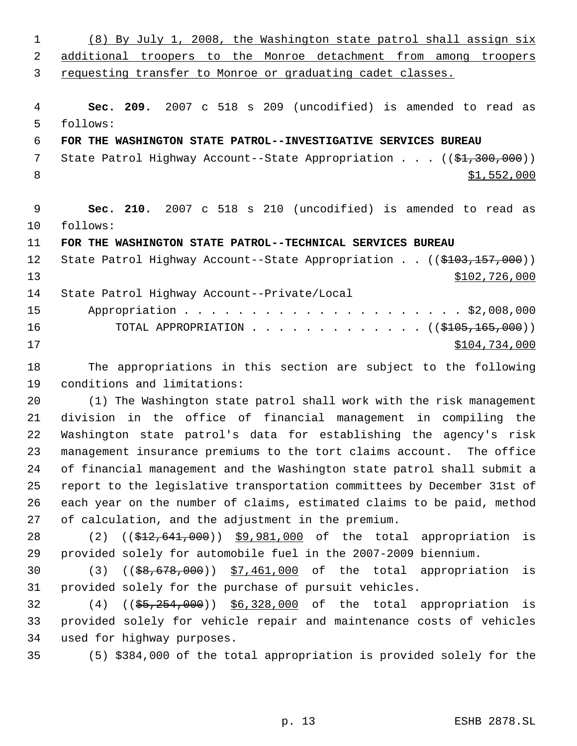(8) By July 1, 2008, the Washington state patrol shall assign six additional troopers to the Monroe detachment from among troopers requesting transfer to Monroe or graduating cadet classes. **Sec. 209.** 2007 c 518 s 209 (uncodified) is amended to read as follows: **FOR THE WASHINGTON STATE PATROL--INVESTIGATIVE SERVICES BUREAU** 7 State Patrol Highway Account--State Appropriation . . . ((\$1,300,000))  $\frac{$1,552,000}{ }$  **Sec. 210.** 2007 c 518 s 210 (uncodified) is amended to read as follows: **FOR THE WASHINGTON STATE PATROL--TECHNICAL SERVICES BUREAU** 12 State Patrol Highway Account--State Appropriation . . ((\$103,157,000)) \$102,726,000 State Patrol Highway Account--Private/Local Appropriation . . . . . . . . . . . . . . . . . . . . . \$2,008,000 16 TOTAL APPROPRIATION . . . . . . . . . . . . ((\$<del>105,165,000</del>)) \$104,734,000 The appropriations in this section are subject to the following conditions and limitations: (1) The Washington state patrol shall work with the risk management division in the office of financial management in compiling the Washington state patrol's data for establishing the agency's risk management insurance premiums to the tort claims account. The office of financial management and the Washington state patrol shall submit a report to the legislative transportation committees by December 31st of each year on the number of claims, estimated claims to be paid, method of calculation, and the adjustment in the premium. 28 (2) ((\$12,641,000)) \$9,981,000 of the total appropriation is provided solely for automobile fuel in the 2007-2009 biennium. (3) ((\$8,678,000)) \$7,461,000 of the total appropriation is provided solely for the purchase of pursuit vehicles. 32 (4) ((\$5,254,000)) \$6,328,000 of the total appropriation is provided solely for vehicle repair and maintenance costs of vehicles used for highway purposes. (5) \$384,000 of the total appropriation is provided solely for the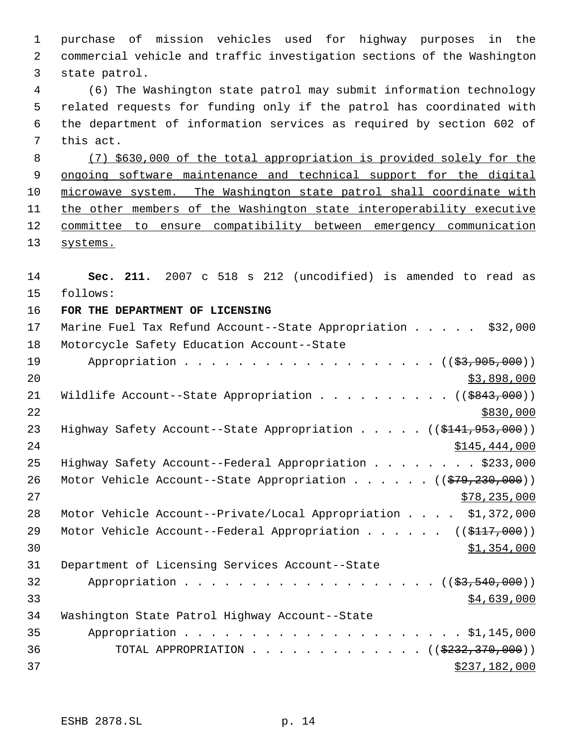purchase of mission vehicles used for highway purposes in the commercial vehicle and traffic investigation sections of the Washington state patrol. (6) The Washington state patrol may submit information technology

 5 related requests for funding only if the patrol has coordinated with 6 the department of information services as required by section 602 of 7 this act.

 8 (7) \$630,000 of the total appropriation is provided solely for the 9 ongoing software maintenance and technical support for the digital 10 microwave system. The Washington state patrol shall coordinate with 11 the other members of the Washington state interoperability executive 12 committee to ensure compatibility between emergency communication 13 systems.

14 **Sec. 211.** 2007 c 518 s 212 (uncodified) is amended to read as 15 follows: 16 **FOR THE DEPARTMENT OF LICENSING**

| 17 | Marine Fuel Tax Refund Account--State Appropriation \$32,000                        |
|----|-------------------------------------------------------------------------------------|
| 18 | Motorcycle Safety Education Account--State                                          |
| 19 | Appropriation ((\$3,905,000))                                                       |
| 20 | \$3,898,000                                                                         |
| 21 | Wildlife Account--State Appropriation ( $(\frac{2843}{100})$ )                      |
| 22 | \$830,000                                                                           |
| 23 | Highway Safety Account--State Appropriation $($ $($ \$141,953,000) $)$              |
| 24 | \$145,444,000                                                                       |
| 25 | Highway Safety Account--Federal Appropriation \$233,000                             |
| 26 | Motor Vehicle Account--State Appropriation ( $(\frac{279}{230}, \frac{230}{000})$ ) |
| 27 | \$78, 235, 000                                                                      |
| 28 | Motor Vehicle Account--Private/Local Appropriation \$1,372,000                      |
| 29 | Motor Vehicle Account--Federal Appropriation ( $(\frac{117}{100})$ )                |
| 30 | \$1,354,000                                                                         |
| 31 | Department of Licensing Services Account--State                                     |
| 32 | Appropriation $($ $($ $\frac{27}{3}, 540, 000) )$                                   |
| 33 | \$4,639,000                                                                         |
| 34 | Washington State Patrol Highway Account--State                                      |
| 35 |                                                                                     |
| 36 | TOTAL APPROPRIATION ( $(\frac{2332}{170},000)$ )                                    |
| 37 | \$237,182,000                                                                       |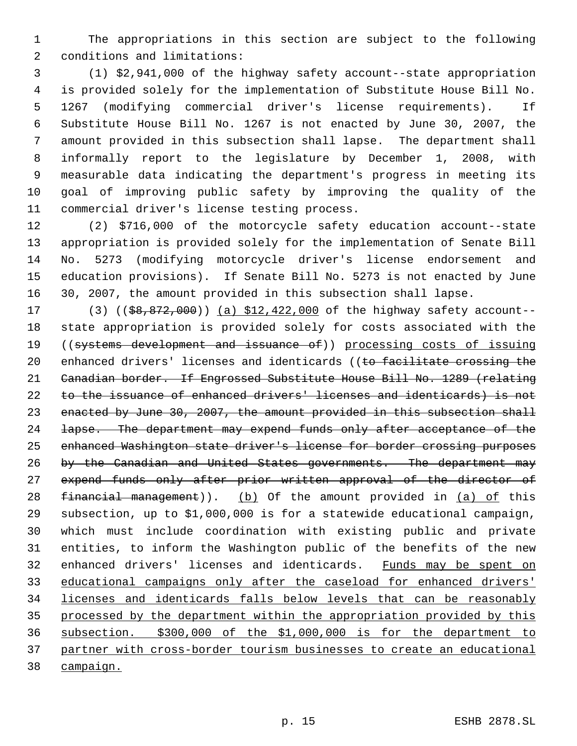The appropriations in this section are subject to the following conditions and limitations:

 (1) \$2,941,000 of the highway safety account--state appropriation is provided solely for the implementation of Substitute House Bill No. 1267 (modifying commercial driver's license requirements). If Substitute House Bill No. 1267 is not enacted by June 30, 2007, the amount provided in this subsection shall lapse. The department shall informally report to the legislature by December 1, 2008, with measurable data indicating the department's progress in meeting its goal of improving public safety by improving the quality of the commercial driver's license testing process.

 (2) \$716,000 of the motorcycle safety education account--state appropriation is provided solely for the implementation of Senate Bill No. 5273 (modifying motorcycle driver's license endorsement and education provisions). If Senate Bill No. 5273 is not enacted by June 30, 2007, the amount provided in this subsection shall lapse.

17 (3) ((\$8,872,000)) (a) \$12,422,000 of the highway safety account-- state appropriation is provided solely for costs associated with the ((systems development and issuance of)) processing costs of issuing 20 enhanced drivers' licenses and identicards ((to facilitate crossing the Canadian border. If Engrossed Substitute House Bill No. 1289 (relating to the issuance of enhanced drivers' licenses and identicards) is not 23 enacted by June 30, 2007, the amount provided in this subsection shall 24 lapse. The department may expend funds only after acceptance of the enhanced Washington state driver's license for border crossing purposes by the Canadian and United States governments. The department may 27 expend funds only after prior written approval of the director of 28 financial management)). (b) Of the amount provided in  $(a)$  of this subsection, up to \$1,000,000 is for a statewide educational campaign, which must include coordination with existing public and private entities, to inform the Washington public of the benefits of the new enhanced drivers' licenses and identicards. Funds may be spent on educational campaigns only after the caseload for enhanced drivers' licenses and identicards falls below levels that can be reasonably processed by the department within the appropriation provided by this subsection. \$300,000 of the \$1,000,000 is for the department to partner with cross-border tourism businesses to create an educational campaign.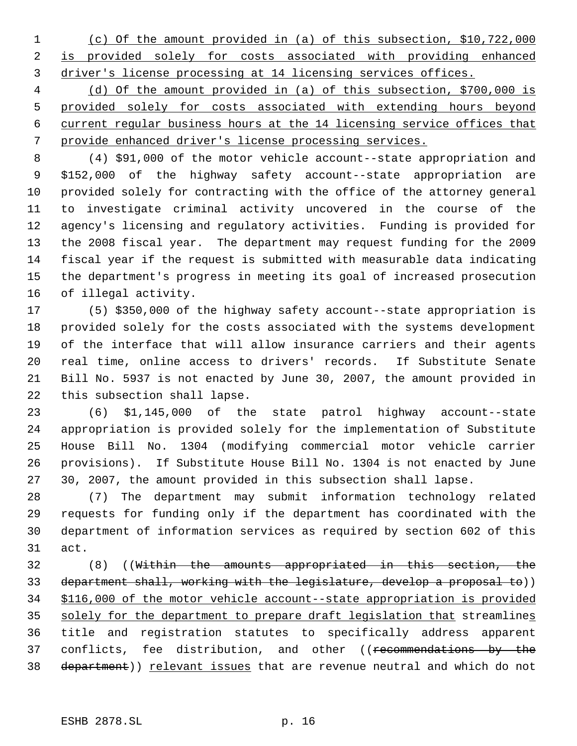(c) Of the amount provided in (a) of this subsection, \$10,722,000 is provided solely for costs associated with providing enhanced driver's license processing at 14 licensing services offices.

 (d) Of the amount provided in (a) of this subsection, \$700,000 is provided solely for costs associated with extending hours beyond current regular business hours at the 14 licensing service offices that provide enhanced driver's license processing services.

 (4) \$91,000 of the motor vehicle account--state appropriation and \$152,000 of the highway safety account--state appropriation are provided solely for contracting with the office of the attorney general to investigate criminal activity uncovered in the course of the agency's licensing and regulatory activities. Funding is provided for the 2008 fiscal year. The department may request funding for the 2009 fiscal year if the request is submitted with measurable data indicating the department's progress in meeting its goal of increased prosecution of illegal activity.

 (5) \$350,000 of the highway safety account--state appropriation is provided solely for the costs associated with the systems development of the interface that will allow insurance carriers and their agents real time, online access to drivers' records. If Substitute Senate Bill No. 5937 is not enacted by June 30, 2007, the amount provided in this subsection shall lapse.

 (6) \$1,145,000 of the state patrol highway account--state appropriation is provided solely for the implementation of Substitute House Bill No. 1304 (modifying commercial motor vehicle carrier provisions). If Substitute House Bill No. 1304 is not enacted by June 30, 2007, the amount provided in this subsection shall lapse.

 (7) The department may submit information technology related requests for funding only if the department has coordinated with the department of information services as required by section 602 of this act.

 (8) ((Within the amounts appropriated in this section, the department shall, working with the legislature, develop a proposal to)) \$116,000 of the motor vehicle account--state appropriation is provided 35 solely for the department to prepare draft legislation that streamlines title and registration statutes to specifically address apparent 37 conflicts, fee distribution, and other ((recommendations by the 38 department)) relevant issues that are revenue neutral and which do not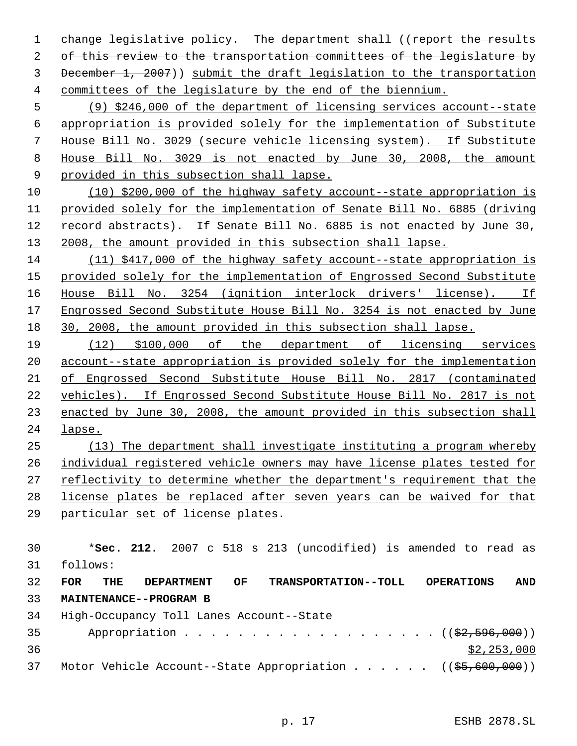1 change legislative policy. The department shall ((report the results 2 of this review to the transportation committees of the legislature by December 1, 2007)) submit the draft legislation to the transportation committees of the legislature by the end of the biennium.

 (9) \$246,000 of the department of licensing services account--state appropriation is provided solely for the implementation of Substitute House Bill No. 3029 (secure vehicle licensing system). If Substitute House Bill No. 3029 is not enacted by June 30, 2008, the amount 9 provided in this subsection shall lapse.

 (10) \$200,000 of the highway safety account--state appropriation is provided solely for the implementation of Senate Bill No. 6885 (driving record abstracts). If Senate Bill No. 6885 is not enacted by June 30, 13 2008, the amount provided in this subsection shall lapse.

 (11) \$417,000 of the highway safety account--state appropriation is 15 provided solely for the implementation of Engrossed Second Substitute House Bill No. 3254 (ignition interlock drivers' license). If Engrossed Second Substitute House Bill No. 3254 is not enacted by June 30, 2008, the amount provided in this subsection shall lapse.

 (12) \$100,000 of the department of licensing services account--state appropriation is provided solely for the implementation of Engrossed Second Substitute House Bill No. 2817 (contaminated vehicles). If Engrossed Second Substitute House Bill No. 2817 is not enacted by June 30, 2008, the amount provided in this subsection shall lapse.

 (13) The department shall investigate instituting a program whereby individual registered vehicle owners may have license plates tested for reflectivity to determine whether the department's requirement that the license plates be replaced after seven years can be waived for that

particular set of license plates.

 \***Sec. 212.** 2007 c 518 s 213 (uncodified) is amended to read as follows:

 **FOR THE DEPARTMENT OF TRANSPORTATION--TOLL OPERATIONS AND MAINTENANCE--PROGRAM B** High-Occupancy Toll Lanes Account--State

 Appropriation . . . . . . . . . . . . . . . . .  $($   $(\frac{2}{2}, 596, 000))$   $$2,253,000$ 37 Motor Vehicle Account--State Appropriation . . . . . ((\$5,600,000))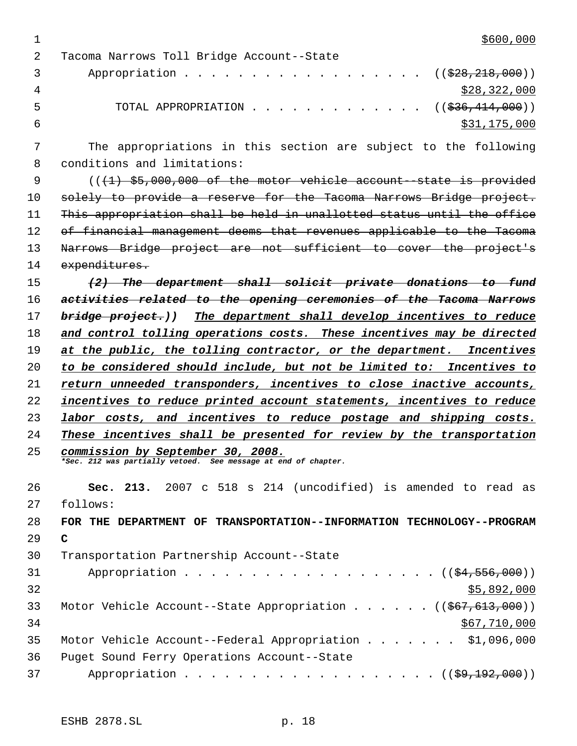$1 \over $600,000$ 

| 2              | Tacoma Narrows Toll Bridge Account--State                       |
|----------------|-----------------------------------------------------------------|
| 3              | Appropriation ( $(\frac{228}{28}, \frac{218}{200})$ )           |
| $\overline{4}$ | \$28,322,000                                                    |
| 5              | TOTAL APPROPRIATION $\ldots$ , ( $(\frac{236}{141}, 000)$ )     |
| 6              | \$31,175,000                                                    |
|                | The appropriations in this section are subject to the following |
| 8              | conditions and limitations:                                     |
|                | <u>illian ar ooo ooo ir ila aalaa lahaa aadaan ahaa haa haa</u> |

 $((+1)$  \$5,000,000 of the motor vehicle account-state is provided 10 solely to provide a reserve for the Tacoma Narrows Bridge project. This appropriation shall be held in unallotted status until the office 12 of financial management deems that revenues applicable to the Tacoma Narrows Bridge project are not sufficient to cover the project's expenditures.

 *(2) The department shall solicit private donations to fund activities related to the opening ceremonies of the Tacoma Narrows bridge project.)) The department shall develop incentives to reduce and control tolling operations costs. These incentives may be directed at the public, the tolling contractor, or the department. Incentives to be considered should include, but not be limited to: Incentives to return unneeded transponders, incentives to close inactive accounts, incentives to reduce printed account statements, incentives to reduce labor costs, and incentives to reduce postage and shipping costs. These incentives shall be presented for review by the transportation*

*commission by September 30, 2008. \*Sec. 212 was partially vetoed. See message at end of chapter.*

 **Sec. 213.** 2007 c 518 s 214 (uncodified) is amended to read as follows: **FOR THE DEPARTMENT OF TRANSPORTATION--INFORMATION TECHNOLOGY--PROGRAM C**

| 30 | Transportation Partnership Account--State                               |
|----|-------------------------------------------------------------------------|
| 31 | Appropriation $($ $($ $$4,556,000)$ $)$                                 |
| 32 | \$5,892,000                                                             |
| 33 | Motor Vehicle Account--State Appropriation ( $(\frac{267}{613}, 000)$ ) |
| 34 | \$67,710,000                                                            |
| 35 | Motor Vehicle Account--Federal Appropriation \$1,096,000                |
| 36 | Puget Sound Ferry Operations Account--State                             |
| 37 | Appropriation $($ $($ \$9,192,000 $)$                                   |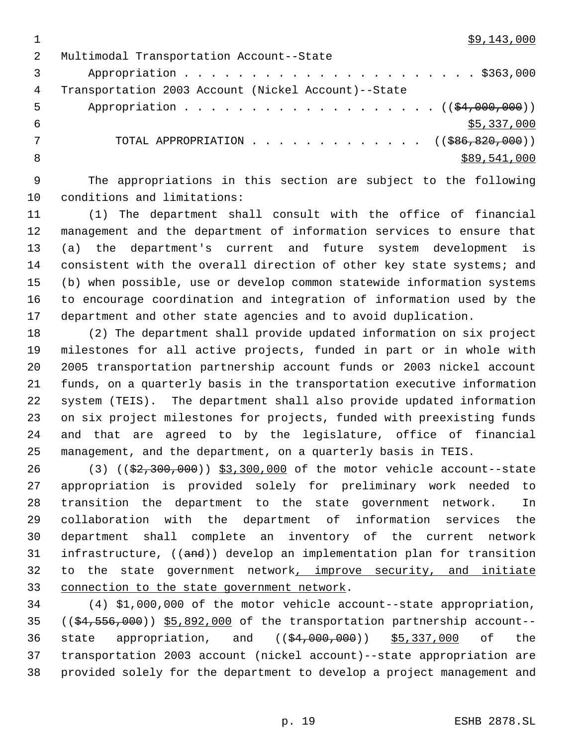$1 \quad$  \$9,143,000

| 2  | Multimodal Transportation Account--State                              |
|----|-----------------------------------------------------------------------|
|    |                                                                       |
| 4  | Transportation 2003 Account (Nickel Account)--State                   |
| -5 | Appropriation $($ $($ \$4,000,000) $)$                                |
| 6  | \$5,337,000                                                           |
|    | TOTAL APPROPRIATION $\ldots$ , ( $(\frac{1}{586}, \frac{820}{100})$ ) |
| -8 | \$89,541,000                                                          |

 The appropriations in this section are subject to the following conditions and limitations:

 (1) The department shall consult with the office of financial management and the department of information services to ensure that (a) the department's current and future system development is consistent with the overall direction of other key state systems; and (b) when possible, use or develop common statewide information systems to encourage coordination and integration of information used by the department and other state agencies and to avoid duplication.

 (2) The department shall provide updated information on six project milestones for all active projects, funded in part or in whole with 2005 transportation partnership account funds or 2003 nickel account funds, on a quarterly basis in the transportation executive information system (TEIS). The department shall also provide updated information on six project milestones for projects, funded with preexisting funds and that are agreed to by the legislature, office of financial management, and the department, on a quarterly basis in TEIS.

26 (3) ((\$2,300,000)) \$3,300,000 of the motor vehicle account--state appropriation is provided solely for preliminary work needed to transition the department to the state government network. In collaboration with the department of information services the department shall complete an inventory of the current network 31 infrastructure, ((and)) develop an implementation plan for transition to the state government network, improve security, and initiate connection to the state government network.

 (4) \$1,000,000 of the motor vehicle account--state appropriation,  $((\frac{64}{556},\frac{900}{2}))$  \$5,892,000 of the transportation partnership account--36 state appropriation, and ((\$4,000,000)) \$5,337,000 of the transportation 2003 account (nickel account)--state appropriation are provided solely for the department to develop a project management and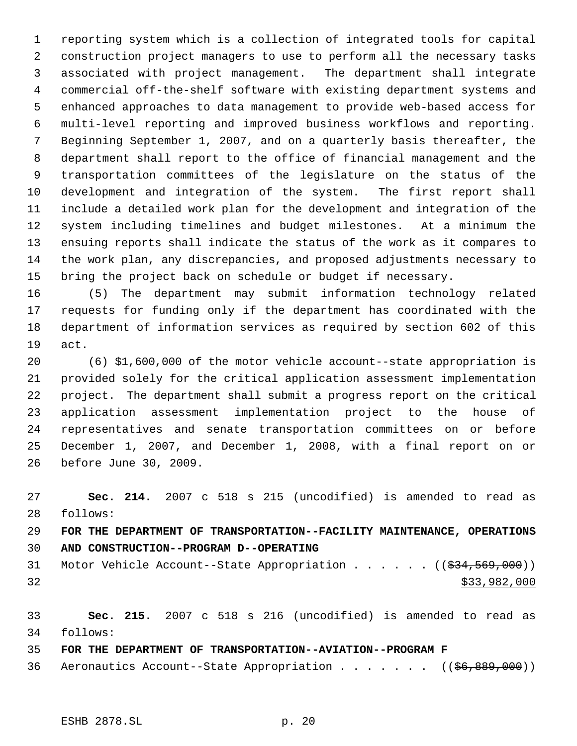reporting system which is a collection of integrated tools for capital construction project managers to use to perform all the necessary tasks associated with project management. The department shall integrate commercial off-the-shelf software with existing department systems and enhanced approaches to data management to provide web-based access for multi-level reporting and improved business workflows and reporting. Beginning September 1, 2007, and on a quarterly basis thereafter, the department shall report to the office of financial management and the transportation committees of the legislature on the status of the development and integration of the system. The first report shall include a detailed work plan for the development and integration of the system including timelines and budget milestones. At a minimum the ensuing reports shall indicate the status of the work as it compares to the work plan, any discrepancies, and proposed adjustments necessary to bring the project back on schedule or budget if necessary.

 (5) The department may submit information technology related requests for funding only if the department has coordinated with the department of information services as required by section 602 of this act.

 (6) \$1,600,000 of the motor vehicle account--state appropriation is provided solely for the critical application assessment implementation project. The department shall submit a progress report on the critical application assessment implementation project to the house of representatives and senate transportation committees on or before December 1, 2007, and December 1, 2008, with a final report on or before June 30, 2009.

 **Sec. 214.** 2007 c 518 s 215 (uncodified) is amended to read as follows:

# **FOR THE DEPARTMENT OF TRANSPORTATION--FACILITY MAINTENANCE, OPERATIONS AND CONSTRUCTION--PROGRAM D--OPERATING**

31 Motor Vehicle Account--State Appropriation . . . . . . ((\$34,569,000)) \$33,982,000

 **Sec. 215.** 2007 c 518 s 216 (uncodified) is amended to read as follows:

**FOR THE DEPARTMENT OF TRANSPORTATION--AVIATION--PROGRAM F**

36 Aeronautics Account--State Appropriation . . . . . . ((\$6,889,000))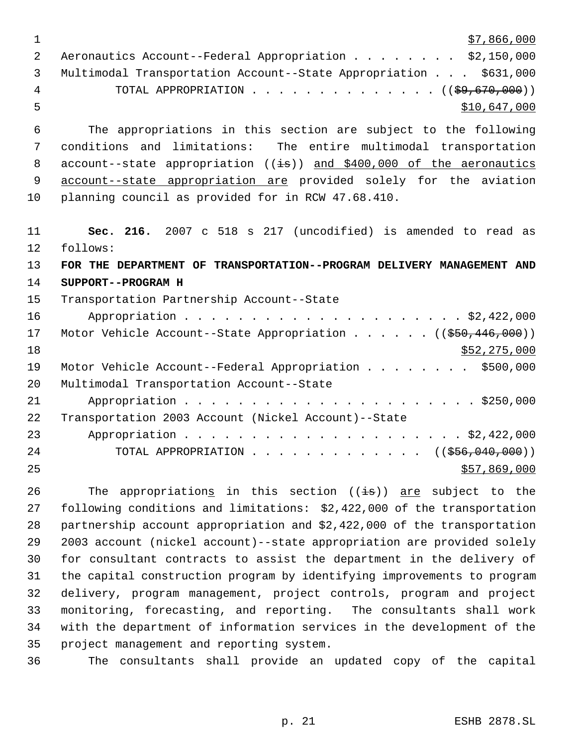|   | \$7,866,000                                                           |
|---|-----------------------------------------------------------------------|
|   | Aeronautics Account--Federal Appropriation \$2,150,000                |
|   | Multimodal Transportation Account--State Appropriation \$631,000      |
| 4 | TOTAL APPROPRIATION $\ldots$ , ( $(\frac{29}{59}, \frac{670}{600})$ ) |
|   | \$10,647,000                                                          |

 The appropriations in this section are subject to the following conditions and limitations: The entire multimodal transportation 8 account--state appropriation  $((\frac{1}{18}))$  and \$400,000 of the aeronautics 9 account--state appropriation are provided solely for the aviation planning council as provided for in RCW 47.68.410.

 **Sec. 216.** 2007 c 518 s 217 (uncodified) is amended to read as follows: **FOR THE DEPARTMENT OF TRANSPORTATION--PROGRAM DELIVERY MANAGEMENT AND SUPPORT--PROGRAM H** Transportation Partnership Account--State Appropriation . . . . . . . . . . . . . . . . . . . . . \$2,422,000 17 Motor Vehicle Account--State Appropriation . . . . . ((\$50,446,000)) \$52,275,000 Motor Vehicle Account--Federal Appropriation . . . . . . . . \$500,000 Multimodal Transportation Account--State Appropriation . . . . . . . . . . . . . . . . . . . . . . \$250,000 Transportation 2003 Account (Nickel Account)--State Appropriation . . . . . . . . . . . . . . . . . . . . . \$2,422,000 24 TOTAL APPROPRIATION . . . . . . . . . . . . ((\$56,040,000))  $57,869,000$ 

26 The appropriations in this section  $((\frac{1}{18}))$  are subject to the following conditions and limitations: \$2,422,000 of the transportation partnership account appropriation and \$2,422,000 of the transportation 2003 account (nickel account)--state appropriation are provided solely for consultant contracts to assist the department in the delivery of the capital construction program by identifying improvements to program delivery, program management, project controls, program and project monitoring, forecasting, and reporting. The consultants shall work with the department of information services in the development of the project management and reporting system.

The consultants shall provide an updated copy of the capital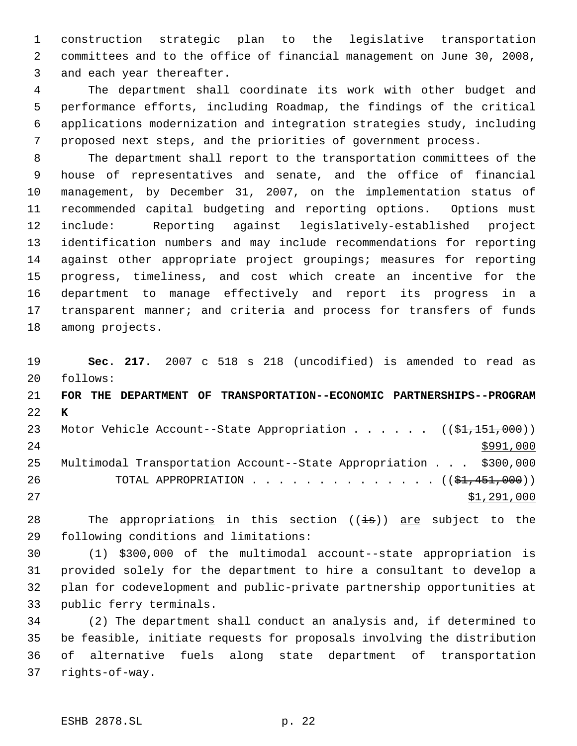construction strategic plan to the legislative transportation committees and to the office of financial management on June 30, 2008, and each year thereafter.

 The department shall coordinate its work with other budget and performance efforts, including Roadmap, the findings of the critical applications modernization and integration strategies study, including proposed next steps, and the priorities of government process.

 The department shall report to the transportation committees of the house of representatives and senate, and the office of financial management, by December 31, 2007, on the implementation status of recommended capital budgeting and reporting options. Options must include: Reporting against legislatively-established project identification numbers and may include recommendations for reporting against other appropriate project groupings; measures for reporting progress, timeliness, and cost which create an incentive for the department to manage effectively and report its progress in a transparent manner; and criteria and process for transfers of funds among projects.

 **Sec. 217.** 2007 c 518 s 218 (uncodified) is amended to read as follows:

 **FOR THE DEPARTMENT OF TRANSPORTATION--ECONOMIC PARTNERSHIPS--PROGRAM K** 23 Motor Vehicle Account--State Appropriation . . . . . ((\$1,151,000)) Multimodal Transportation Account--State Appropriation . . . \$300,000 26 TOTAL APPROPRIATION . . . . . . . . . . . . . ((\$1,451,000))

27 \$1,291,000

28 The appropriations in this section  $((\frac{1}{18}))$  are subject to the following conditions and limitations:

 (1) \$300,000 of the multimodal account--state appropriation is provided solely for the department to hire a consultant to develop a plan for codevelopment and public-private partnership opportunities at public ferry terminals.

 (2) The department shall conduct an analysis and, if determined to be feasible, initiate requests for proposals involving the distribution of alternative fuels along state department of transportation rights-of-way.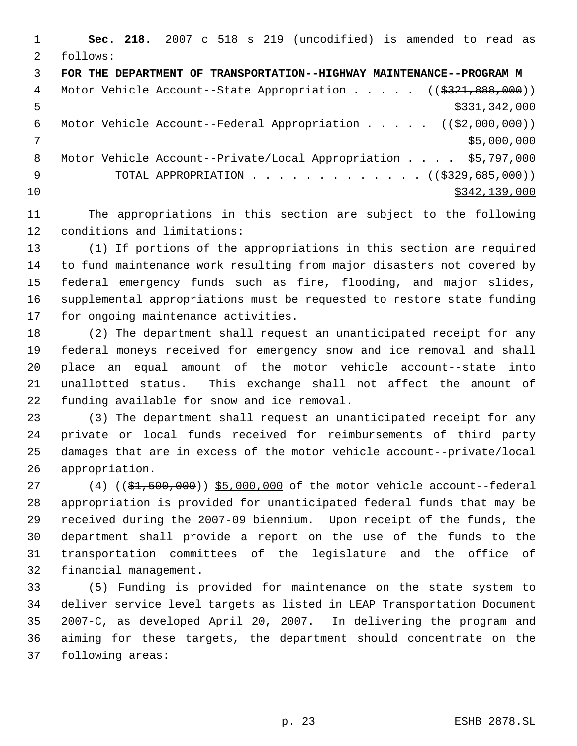**Sec. 218.** 2007 c 518 s 219 (uncodified) is amended to read as follows: **FOR THE DEPARTMENT OF TRANSPORTATION--HIGHWAY MAINTENANCE--PROGRAM M** 4 Motor Vehicle Account--State Appropriation . . . . . ((\$321,888,000))  $5 - 5$  \$331,342,000 6 Motor Vehicle Account--Federal Appropriation . . . . . ((\$2,000,000)) \$5,000,000 8 Motor Vehicle Account--Private/Local Appropriation . . . . \$5,797,000 9 TOTAL APPROPRIATION . . . . . . . . . . . . . ((\$329,685,000))  $\text{10}$  \$342,139,000

 The appropriations in this section are subject to the following conditions and limitations:

 (1) If portions of the appropriations in this section are required to fund maintenance work resulting from major disasters not covered by federal emergency funds such as fire, flooding, and major slides, supplemental appropriations must be requested to restore state funding for ongoing maintenance activities.

 (2) The department shall request an unanticipated receipt for any federal moneys received for emergency snow and ice removal and shall place an equal amount of the motor vehicle account--state into unallotted status. This exchange shall not affect the amount of funding available for snow and ice removal.

 (3) The department shall request an unanticipated receipt for any private or local funds received for reimbursements of third party damages that are in excess of the motor vehicle account--private/local appropriation.

27 (4) ((\$1,500,000)) \$5,000,000 of the motor vehicle account--federal appropriation is provided for unanticipated federal funds that may be received during the 2007-09 biennium. Upon receipt of the funds, the department shall provide a report on the use of the funds to the transportation committees of the legislature and the office of financial management.

 (5) Funding is provided for maintenance on the state system to deliver service level targets as listed in LEAP Transportation Document 2007-C, as developed April 20, 2007. In delivering the program and aiming for these targets, the department should concentrate on the following areas: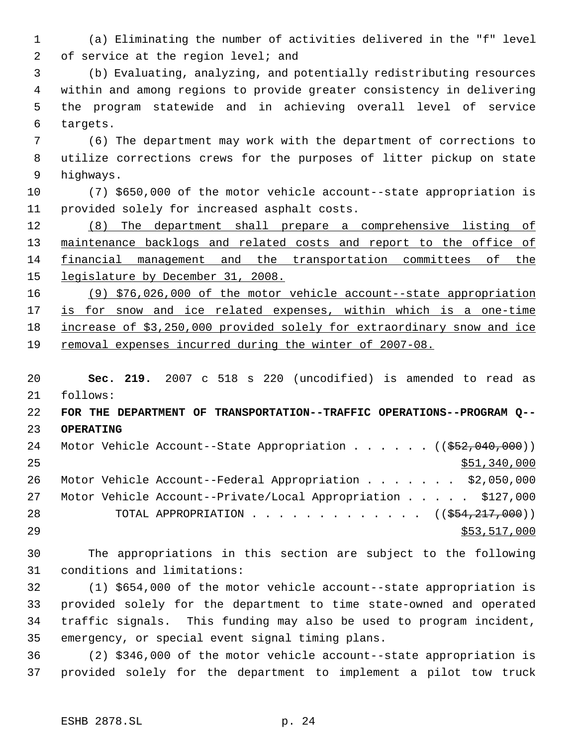(a) Eliminating the number of activities delivered in the "f" level 2 of service at the region level; and

 (b) Evaluating, analyzing, and potentially redistributing resources within and among regions to provide greater consistency in delivering the program statewide and in achieving overall level of service targets.

 (6) The department may work with the department of corrections to utilize corrections crews for the purposes of litter pickup on state highways.

 (7) \$650,000 of the motor vehicle account--state appropriation is provided solely for increased asphalt costs.

 (8) The department shall prepare a comprehensive listing of 13 maintenance backlogs and related costs and report to the office of financial management and the transportation committees of the 15 legislature by December 31, 2008.

 (9) \$76,026,000 of the motor vehicle account--state appropriation 17 is for snow and ice related expenses, within which is a one-time increase of \$3,250,000 provided solely for extraordinary snow and ice removal expenses incurred during the winter of 2007-08.

 **Sec. 219.** 2007 c 518 s 220 (uncodified) is amended to read as follows: **FOR THE DEPARTMENT OF TRANSPORTATION--TRAFFIC OPERATIONS--PROGRAM Q-- OPERATING** 24 Motor Vehicle Account--State Appropriation . . . . . . ((\$52,040,000)) \$51,340,000 Motor Vehicle Account--Federal Appropriation . . . . . . . \$2,050,000 Motor Vehicle Account--Private/Local Appropriation . . . . . \$127,000 28 TOTAL APPROPRIATION . . . . . . . . . . . . ((\$<del>54,217,000</del>)) 29 \$53,517,000 \$53,517,000

 The appropriations in this section are subject to the following conditions and limitations:

 (1) \$654,000 of the motor vehicle account--state appropriation is provided solely for the department to time state-owned and operated traffic signals. This funding may also be used to program incident, emergency, or special event signal timing plans.

 (2) \$346,000 of the motor vehicle account--state appropriation is provided solely for the department to implement a pilot tow truck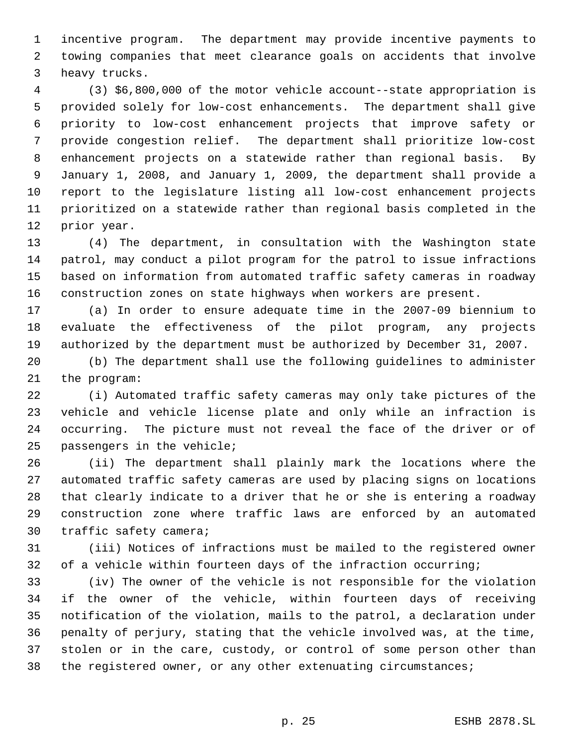incentive program. The department may provide incentive payments to towing companies that meet clearance goals on accidents that involve heavy trucks.

 (3) \$6,800,000 of the motor vehicle account--state appropriation is provided solely for low-cost enhancements. The department shall give priority to low-cost enhancement projects that improve safety or provide congestion relief. The department shall prioritize low-cost enhancement projects on a statewide rather than regional basis. By January 1, 2008, and January 1, 2009, the department shall provide a report to the legislature listing all low-cost enhancement projects prioritized on a statewide rather than regional basis completed in the prior year.

 (4) The department, in consultation with the Washington state patrol, may conduct a pilot program for the patrol to issue infractions based on information from automated traffic safety cameras in roadway construction zones on state highways when workers are present.

 (a) In order to ensure adequate time in the 2007-09 biennium to evaluate the effectiveness of the pilot program, any projects authorized by the department must be authorized by December 31, 2007.

 (b) The department shall use the following guidelines to administer the program:

 (i) Automated traffic safety cameras may only take pictures of the vehicle and vehicle license plate and only while an infraction is occurring. The picture must not reveal the face of the driver or of passengers in the vehicle;

 (ii) The department shall plainly mark the locations where the automated traffic safety cameras are used by placing signs on locations that clearly indicate to a driver that he or she is entering a roadway construction zone where traffic laws are enforced by an automated traffic safety camera;

 (iii) Notices of infractions must be mailed to the registered owner of a vehicle within fourteen days of the infraction occurring;

 (iv) The owner of the vehicle is not responsible for the violation if the owner of the vehicle, within fourteen days of receiving notification of the violation, mails to the patrol, a declaration under penalty of perjury, stating that the vehicle involved was, at the time, stolen or in the care, custody, or control of some person other than the registered owner, or any other extenuating circumstances;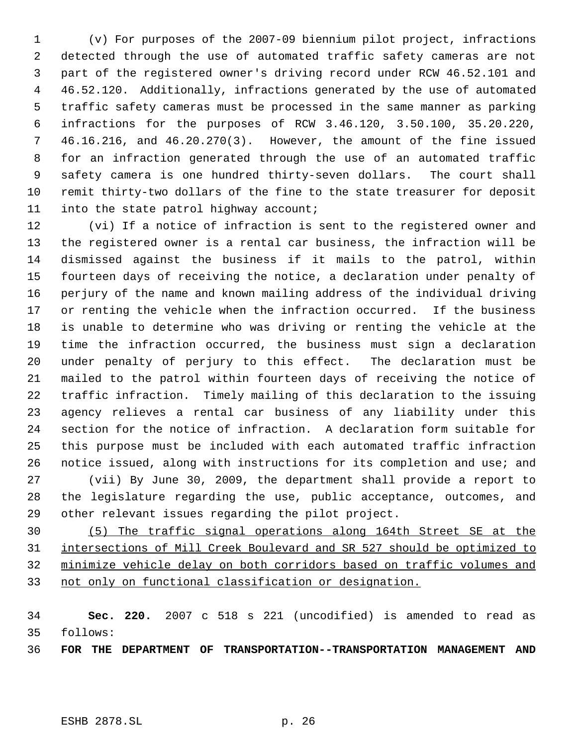(v) For purposes of the 2007-09 biennium pilot project, infractions detected through the use of automated traffic safety cameras are not part of the registered owner's driving record under RCW 46.52.101 and 46.52.120. Additionally, infractions generated by the use of automated traffic safety cameras must be processed in the same manner as parking infractions for the purposes of RCW 3.46.120, 3.50.100, 35.20.220, 46.16.216, and 46.20.270(3). However, the amount of the fine issued for an infraction generated through the use of an automated traffic safety camera is one hundred thirty-seven dollars. The court shall remit thirty-two dollars of the fine to the state treasurer for deposit into the state patrol highway account;

 (vi) If a notice of infraction is sent to the registered owner and the registered owner is a rental car business, the infraction will be dismissed against the business if it mails to the patrol, within fourteen days of receiving the notice, a declaration under penalty of perjury of the name and known mailing address of the individual driving or renting the vehicle when the infraction occurred. If the business is unable to determine who was driving or renting the vehicle at the time the infraction occurred, the business must sign a declaration under penalty of perjury to this effect. The declaration must be mailed to the patrol within fourteen days of receiving the notice of traffic infraction. Timely mailing of this declaration to the issuing agency relieves a rental car business of any liability under this section for the notice of infraction. A declaration form suitable for this purpose must be included with each automated traffic infraction notice issued, along with instructions for its completion and use; and (vii) By June 30, 2009, the department shall provide a report to the legislature regarding the use, public acceptance, outcomes, and other relevant issues regarding the pilot project.

 (5) The traffic signal operations along 164th Street SE at the intersections of Mill Creek Boulevard and SR 527 should be optimized to minimize vehicle delay on both corridors based on traffic volumes and not only on functional classification or designation.

 **Sec. 220.** 2007 c 518 s 221 (uncodified) is amended to read as follows:

**FOR THE DEPARTMENT OF TRANSPORTATION--TRANSPORTATION MANAGEMENT AND**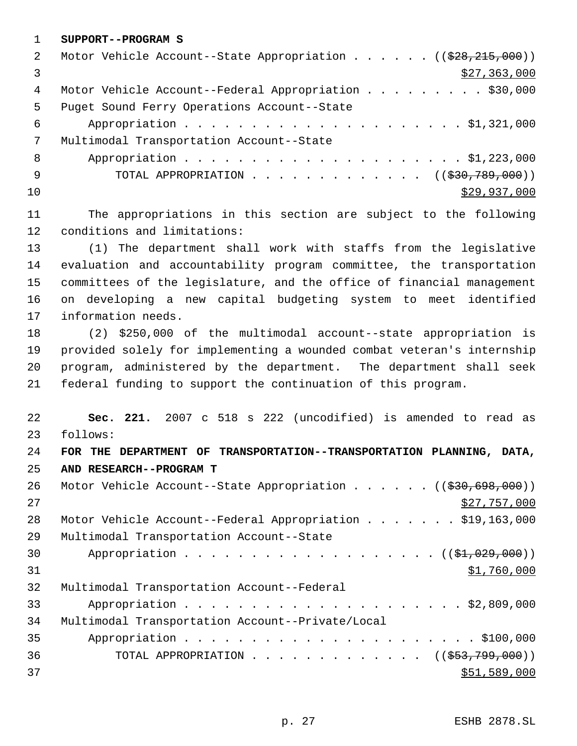**SUPPORT--PROGRAM S**

| 2   | Motor Vehicle Account--State Appropriation ( $(\frac{228}{28}, \frac{215}{100})$ ) |
|-----|------------------------------------------------------------------------------------|
|     | \$27,363,000                                                                       |
| 4   | Motor Vehicle Account--Federal Appropriation \$30,000                              |
| .5  | Puget Sound Ferry Operations Account--State                                        |
| 6   |                                                                                    |
| 7   | Multimodal Transportation Account--State                                           |
| - 8 |                                                                                    |
| - 9 | TOTAL APPROPRIATION $\ldots$ , ( $(\frac{230}{789}, 789, 000)$ )                   |
| 10  | \$29,937,000                                                                       |
|     |                                                                                    |

 The appropriations in this section are subject to the following conditions and limitations:

 (1) The department shall work with staffs from the legislative evaluation and accountability program committee, the transportation committees of the legislature, and the office of financial management on developing a new capital budgeting system to meet identified information needs.

 (2) \$250,000 of the multimodal account--state appropriation is provided solely for implementing a wounded combat veteran's internship program, administered by the department. The department shall seek federal funding to support the continuation of this program.

 **Sec. 221.** 2007 c 518 s 222 (uncodified) is amended to read as follows: **FOR THE DEPARTMENT OF TRANSPORTATION--TRANSPORTATION PLANNING, DATA, AND RESEARCH--PROGRAM T** 26 Motor Vehicle Account--State Appropriation . . . . . ((\$30,698,000)) \$27,757,000 Motor Vehicle Account--Federal Appropriation . . . . . . . \$19,163,000 Multimodal Transportation Account--State 30 Appropriation . . . . . . . . . . . . . . . . . (  $(\frac{21}{1029}, 000)$  ) \$1,760,000 Multimodal Transportation Account--Federal Appropriation . . . . . . . . . . . . . . . . . . . . . \$2,809,000 Multimodal Transportation Account--Private/Local Appropriation . . . . . . . . . . . . . . . . . . . . . . \$100,000 36 TOTAL APPROPRIATION . . . . . . . . . . . . . ((\$53,799,000))  $\frac{$51,589,000}{9}$ 

p. 27 ESHB 2878.SL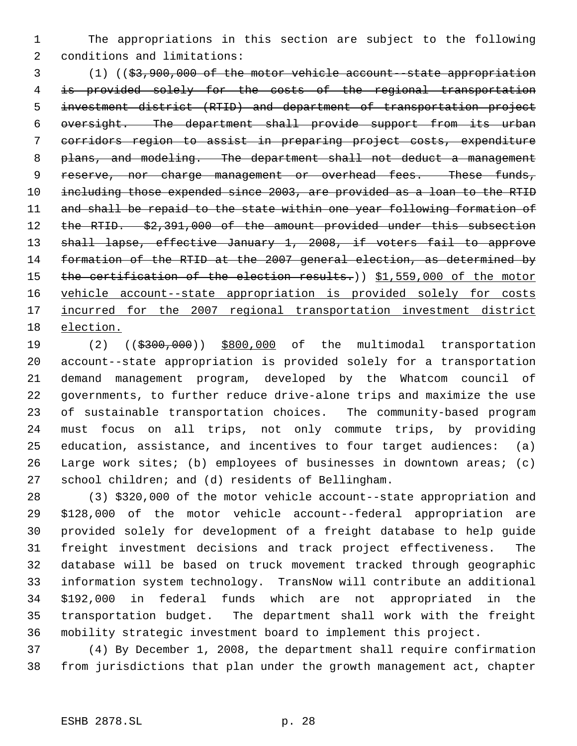The appropriations in this section are subject to the following conditions and limitations:

 (1) ((\$3,900,000 of the motor vehicle account--state appropriation is provided solely for the costs of the regional transportation investment district (RTID) and department of transportation project oversight. The department shall provide support from its urban corridors region to assist in preparing project costs, expenditure 8 plans, and modeling. The department shall not deduct a management 9 reserve, nor charge management or overhead fees. These funds, including those expended since 2003, are provided as a loan to the RTID 11 and shall be repaid to the state within one year following formation of 12 the RTID. \$2,391,000 of the amount provided under this subsection shall lapse, effective January 1, 2008, if voters fail to approve formation of the RTID at the 2007 general election, as determined by 15 the certification of the election results.)) \$1,559,000 of the motor vehicle account--state appropriation is provided solely for costs 17 <u>incurred for the 2007 regional transportation investment district</u> election.

 (2) ((\$300,000)) \$800,000 of the multimodal transportation account--state appropriation is provided solely for a transportation demand management program, developed by the Whatcom council of governments, to further reduce drive-alone trips and maximize the use of sustainable transportation choices. The community-based program must focus on all trips, not only commute trips, by providing education, assistance, and incentives to four target audiences: (a) Large work sites; (b) employees of businesses in downtown areas; (c) school children; and (d) residents of Bellingham.

 (3) \$320,000 of the motor vehicle account--state appropriation and \$128,000 of the motor vehicle account--federal appropriation are provided solely for development of a freight database to help guide freight investment decisions and track project effectiveness. The database will be based on truck movement tracked through geographic information system technology. TransNow will contribute an additional \$192,000 in federal funds which are not appropriated in the transportation budget. The department shall work with the freight mobility strategic investment board to implement this project.

 (4) By December 1, 2008, the department shall require confirmation from jurisdictions that plan under the growth management act, chapter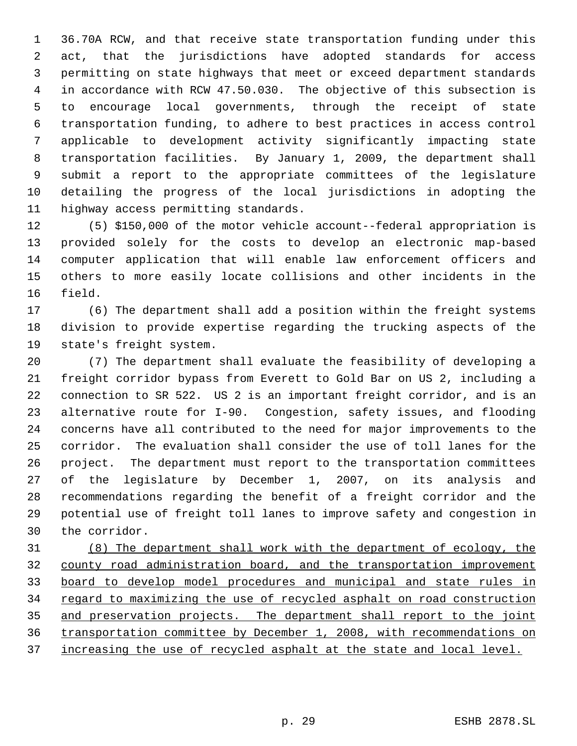36.70A RCW, and that receive state transportation funding under this act, that the jurisdictions have adopted standards for access permitting on state highways that meet or exceed department standards in accordance with RCW 47.50.030. The objective of this subsection is to encourage local governments, through the receipt of state transportation funding, to adhere to best practices in access control applicable to development activity significantly impacting state transportation facilities. By January 1, 2009, the department shall submit a report to the appropriate committees of the legislature detailing the progress of the local jurisdictions in adopting the highway access permitting standards.

 (5) \$150,000 of the motor vehicle account--federal appropriation is provided solely for the costs to develop an electronic map-based computer application that will enable law enforcement officers and others to more easily locate collisions and other incidents in the field.

 (6) The department shall add a position within the freight systems division to provide expertise regarding the trucking aspects of the state's freight system.

 (7) The department shall evaluate the feasibility of developing a freight corridor bypass from Everett to Gold Bar on US 2, including a connection to SR 522. US 2 is an important freight corridor, and is an alternative route for I-90. Congestion, safety issues, and flooding concerns have all contributed to the need for major improvements to the corridor. The evaluation shall consider the use of toll lanes for the project. The department must report to the transportation committees of the legislature by December 1, 2007, on its analysis and recommendations regarding the benefit of a freight corridor and the potential use of freight toll lanes to improve safety and congestion in the corridor.

 (8) The department shall work with the department of ecology, the county road administration board, and the transportation improvement board to develop model procedures and municipal and state rules in 34 regard to maximizing the use of recycled asphalt on road construction and preservation projects. The department shall report to the joint transportation committee by December 1, 2008, with recommendations on 37 increasing the use of recycled asphalt at the state and local level.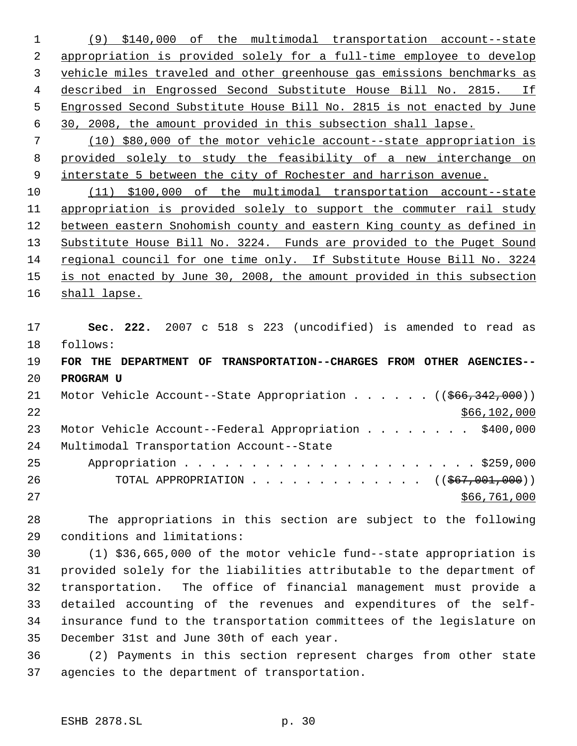(9) \$140,000 of the multimodal transportation account--state appropriation is provided solely for a full-time employee to develop vehicle miles traveled and other greenhouse gas emissions benchmarks as described in Engrossed Second Substitute House Bill No. 2815. If Engrossed Second Substitute House Bill No. 2815 is not enacted by June 30, 2008, the amount provided in this subsection shall lapse.

 (10) \$80,000 of the motor vehicle account--state appropriation is provided solely to study the feasibility of a new interchange on 9 interstate 5 between the city of Rochester and harrison avenue.

 (11) \$100,000 of the multimodal transportation account--state appropriation is provided solely to support the commuter rail study between eastern Snohomish county and eastern King county as defined in Substitute House Bill No. 3224. Funds are provided to the Puget Sound regional council for one time only. If Substitute House Bill No. 3224 is not enacted by June 30, 2008, the amount provided in this subsection 16 shall lapse.

 **Sec. 222.** 2007 c 518 s 223 (uncodified) is amended to read as follows: **FOR THE DEPARTMENT OF TRANSPORTATION--CHARGES FROM OTHER AGENCIES-- PROGRAM U** 21 Motor Vehicle Account--State Appropriation . . . . . ((\$66,342,000)) \$66,102,000 23 Motor Vehicle Account--Federal Appropriation . . . . . . . \$400,000 Multimodal Transportation Account--State Appropriation . . . . . . . . . . . . . . . . . . . . . . \$259,000 26 TOTAL APPROPRIATION . . . . . . . . . . . . ((\$67,001,000)) 27 \$66,761,000

 The appropriations in this section are subject to the following conditions and limitations:

 (1) \$36,665,000 of the motor vehicle fund--state appropriation is provided solely for the liabilities attributable to the department of transportation. The office of financial management must provide a detailed accounting of the revenues and expenditures of the self- insurance fund to the transportation committees of the legislature on December 31st and June 30th of each year.

 (2) Payments in this section represent charges from other state agencies to the department of transportation.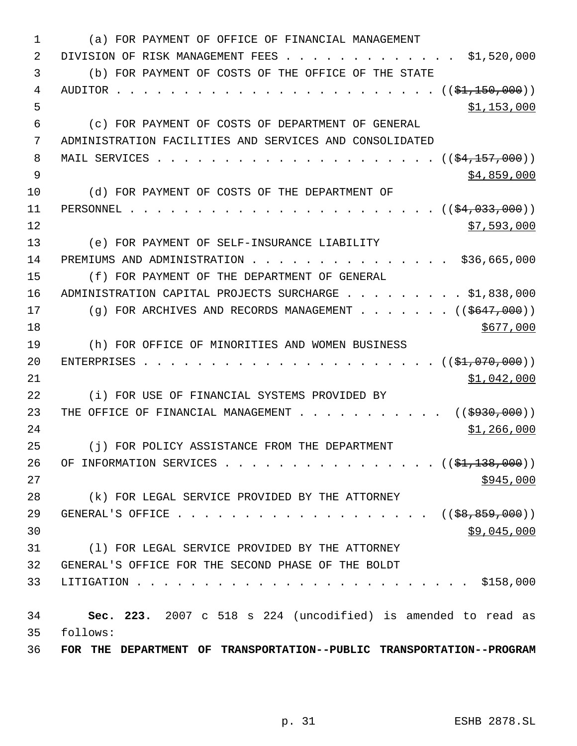| $\mathbf{1}$   | (a) FOR PAYMENT OF OFFICE OF FINANCIAL MANAGEMENT                                                                                                                                                                                                                                                                                                           |
|----------------|-------------------------------------------------------------------------------------------------------------------------------------------------------------------------------------------------------------------------------------------------------------------------------------------------------------------------------------------------------------|
| 2              | $\cdot$ \$1,520,000<br>DIVISION OF RISK MANAGEMENT FEES                                                                                                                                                                                                                                                                                                     |
| 3              | (b) FOR PAYMENT OF COSTS OF THE OFFICE OF THE STATE                                                                                                                                                                                                                                                                                                         |
| 4              |                                                                                                                                                                                                                                                                                                                                                             |
| 5              | \$1,153,000                                                                                                                                                                                                                                                                                                                                                 |
| 6              | (c) FOR PAYMENT OF COSTS OF DEPARTMENT OF GENERAL                                                                                                                                                                                                                                                                                                           |
| 7              | ADMINISTRATION FACILITIES AND SERVICES AND CONSOLIDATED                                                                                                                                                                                                                                                                                                     |
| 8              |                                                                                                                                                                                                                                                                                                                                                             |
| $\overline{9}$ | \$4,859,000                                                                                                                                                                                                                                                                                                                                                 |
| 10             | (d) FOR PAYMENT OF COSTS OF THE DEPARTMENT OF                                                                                                                                                                                                                                                                                                               |
| 11             | $\cdots$ $\cdots$ $\cdots$ $\cdots$ $\cdots$ $\cdots$ $\cdots$ $\cdots$ $\cdots$ $\cdots$ $\cdots$ $\cdots$ $\cdots$ $\cdots$ $\cdots$ $\cdots$ $\cdots$ $\cdots$ $\cdots$ $\cdots$ $\cdots$ $\cdots$ $\cdots$ $\cdots$ $\cdots$ $\cdots$ $\cdots$ $\cdots$ $\cdots$ $\cdots$ $\cdots$ $\cdots$ $\cdots$ $\cdots$ $\cdots$ $\cdots$ $\cdots$<br>PERSONNEL   |
| 12             | \$7,593,000                                                                                                                                                                                                                                                                                                                                                 |
| 13             | (e) FOR PAYMENT OF SELF-INSURANCE LIABILITY                                                                                                                                                                                                                                                                                                                 |
| 14             | PREMIUMS AND ADMINISTRATION \$36,665,000                                                                                                                                                                                                                                                                                                                    |
| 15             | (f) FOR PAYMENT OF THE DEPARTMENT OF GENERAL                                                                                                                                                                                                                                                                                                                |
| 16             | ADMINISTRATION CAPITAL PROJECTS SURCHARGE \$1,838,000                                                                                                                                                                                                                                                                                                       |
| 17             | (g) FOR ARCHIVES AND RECORDS MANAGEMENT ( $(\frac{2647}{100})$ )                                                                                                                                                                                                                                                                                            |
| 18             | \$677,000                                                                                                                                                                                                                                                                                                                                                   |
| 19             | (h) FOR OFFICE OF MINORITIES AND WOMEN BUSINESS                                                                                                                                                                                                                                                                                                             |
| 20             | $\cdots$ $\cdots$ $\cdots$ $\cdots$ $\cdots$ $\cdots$ $\cdots$ $\cdots$ $\cdots$ $\cdots$ $\cdots$ $\cdots$ $\cdots$ $\cdots$ $\cdots$ $\cdots$ $\cdots$ $\cdots$ $\cdots$ $\cdots$ $\cdots$ $\cdots$ $\cdots$ $\cdots$ $\cdots$ $\cdots$ $\cdots$ $\cdots$ $\cdots$ $\cdots$ $\cdots$ $\cdots$ $\cdots$ $\cdots$ $\cdots$ $\cdots$ $\cdots$<br>ENTERPRISES |
| 21             | \$1,042,000                                                                                                                                                                                                                                                                                                                                                 |
| 22             | (i) FOR USE OF FINANCIAL SYSTEMS PROVIDED BY                                                                                                                                                                                                                                                                                                                |
| 23             | THE OFFICE OF FINANCIAL MANAGEMENT ( $(\frac{2930}{100})$ )                                                                                                                                                                                                                                                                                                 |
| 24             | \$1,266,000                                                                                                                                                                                                                                                                                                                                                 |
| 25             | (j) FOR POLICY ASSISTANCE FROM THE DEPARTMENT                                                                                                                                                                                                                                                                                                               |
| 26             | OF INFORMATION SERVICES ( $(\frac{\xi_1}{1}, 138, 000)$ )                                                                                                                                                                                                                                                                                                   |
| 27             | \$945,000                                                                                                                                                                                                                                                                                                                                                   |
| 28             | (k) FOR LEGAL SERVICE PROVIDED BY THE ATTORNEY                                                                                                                                                                                                                                                                                                              |
| 29             | GENERAL'S OFFICE ( $(\frac{28}{58}, \frac{859}{100})$ )                                                                                                                                                                                                                                                                                                     |
| 30             | \$9,045,000                                                                                                                                                                                                                                                                                                                                                 |
| 31             | (1) FOR LEGAL SERVICE PROVIDED BY THE ATTORNEY                                                                                                                                                                                                                                                                                                              |
| 32             | GENERAL'S OFFICE FOR THE SECOND PHASE OF THE BOLDT                                                                                                                                                                                                                                                                                                          |
| 33             | . \$158,000<br>LITIGATION                                                                                                                                                                                                                                                                                                                                   |
| 34             | Sec. 223. 2007 c 518 s 224 (uncodified) is amended to read as                                                                                                                                                                                                                                                                                               |
| 35             | follows:                                                                                                                                                                                                                                                                                                                                                    |
| 36             | FOR THE DEPARTMENT OF TRANSPORTATION--PUBLIC TRANSPORTATION--PROGRAM                                                                                                                                                                                                                                                                                        |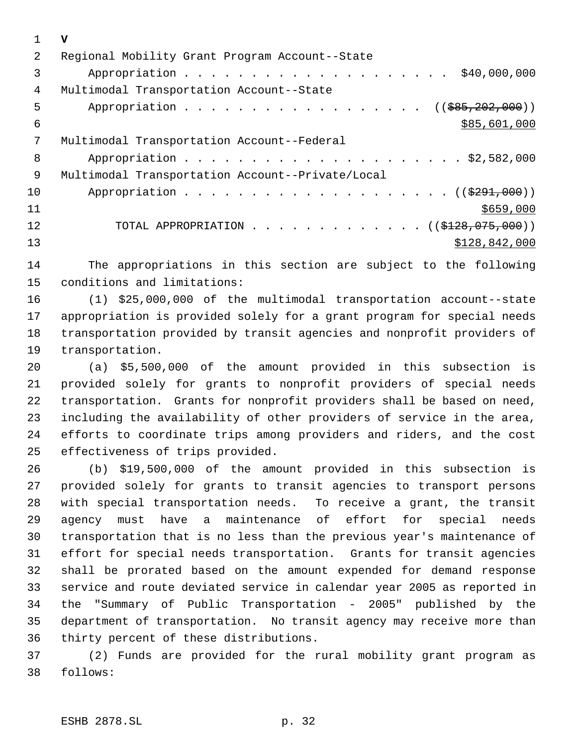|    | v                                                |
|----|--------------------------------------------------|
| 2  | Regional Mobility Grant Program Account--State   |
| 3  | \$40,000,000                                     |
| 4  | Multimodal Transportation Account--State         |
| 5  | Appropriation<br>$((\$85, 202, 000))$            |
| 6  | \$85,601,000                                     |
| 7  | Multimodal Transportation Account--Federal       |
| 8  |                                                  |
| 9  | Multimodal Transportation Account--Private/Local |
| 10 |                                                  |
| 11 | \$659,000                                        |
| 12 | TOTAL APPROPRIATION ( $(\frac{1228}{12810})$ )   |
| 13 | \$128,842,000                                    |

 The appropriations in this section are subject to the following conditions and limitations:

 (1) \$25,000,000 of the multimodal transportation account--state appropriation is provided solely for a grant program for special needs transportation provided by transit agencies and nonprofit providers of transportation.

 (a) \$5,500,000 of the amount provided in this subsection is provided solely for grants to nonprofit providers of special needs transportation. Grants for nonprofit providers shall be based on need, including the availability of other providers of service in the area, efforts to coordinate trips among providers and riders, and the cost effectiveness of trips provided.

 (b) \$19,500,000 of the amount provided in this subsection is provided solely for grants to transit agencies to transport persons with special transportation needs. To receive a grant, the transit agency must have a maintenance of effort for special needs transportation that is no less than the previous year's maintenance of effort for special needs transportation. Grants for transit agencies shall be prorated based on the amount expended for demand response service and route deviated service in calendar year 2005 as reported in the "Summary of Public Transportation - 2005" published by the department of transportation. No transit agency may receive more than thirty percent of these distributions.

 (2) Funds are provided for the rural mobility grant program as follows: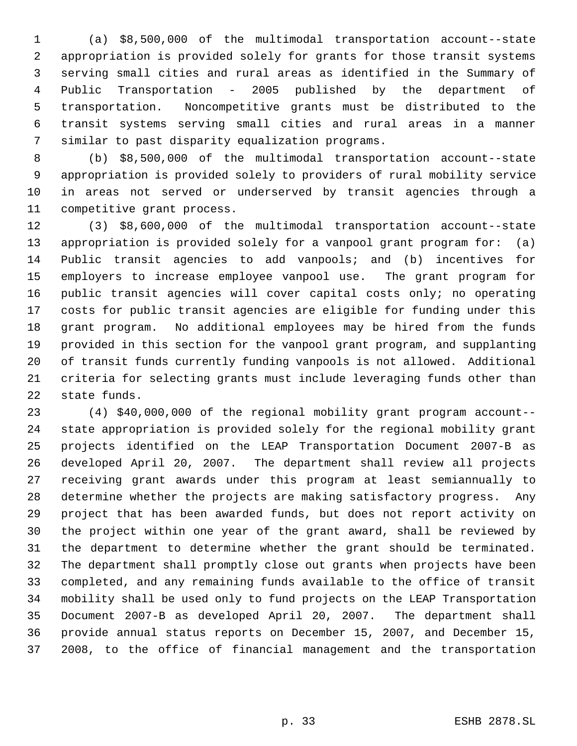(a) \$8,500,000 of the multimodal transportation account--state appropriation is provided solely for grants for those transit systems serving small cities and rural areas as identified in the Summary of Public Transportation - 2005 published by the department of transportation. Noncompetitive grants must be distributed to the transit systems serving small cities and rural areas in a manner similar to past disparity equalization programs.

 (b) \$8,500,000 of the multimodal transportation account--state appropriation is provided solely to providers of rural mobility service in areas not served or underserved by transit agencies through a competitive grant process.

 (3) \$8,600,000 of the multimodal transportation account--state appropriation is provided solely for a vanpool grant program for: (a) Public transit agencies to add vanpools; and (b) incentives for employers to increase employee vanpool use. The grant program for public transit agencies will cover capital costs only; no operating costs for public transit agencies are eligible for funding under this grant program. No additional employees may be hired from the funds provided in this section for the vanpool grant program, and supplanting of transit funds currently funding vanpools is not allowed. Additional criteria for selecting grants must include leveraging funds other than state funds.

 (4) \$40,000,000 of the regional mobility grant program account-- state appropriation is provided solely for the regional mobility grant projects identified on the LEAP Transportation Document 2007-B as developed April 20, 2007. The department shall review all projects receiving grant awards under this program at least semiannually to determine whether the projects are making satisfactory progress. Any project that has been awarded funds, but does not report activity on the project within one year of the grant award, shall be reviewed by the department to determine whether the grant should be terminated. The department shall promptly close out grants when projects have been completed, and any remaining funds available to the office of transit mobility shall be used only to fund projects on the LEAP Transportation Document 2007-B as developed April 20, 2007. The department shall provide annual status reports on December 15, 2007, and December 15, 2008, to the office of financial management and the transportation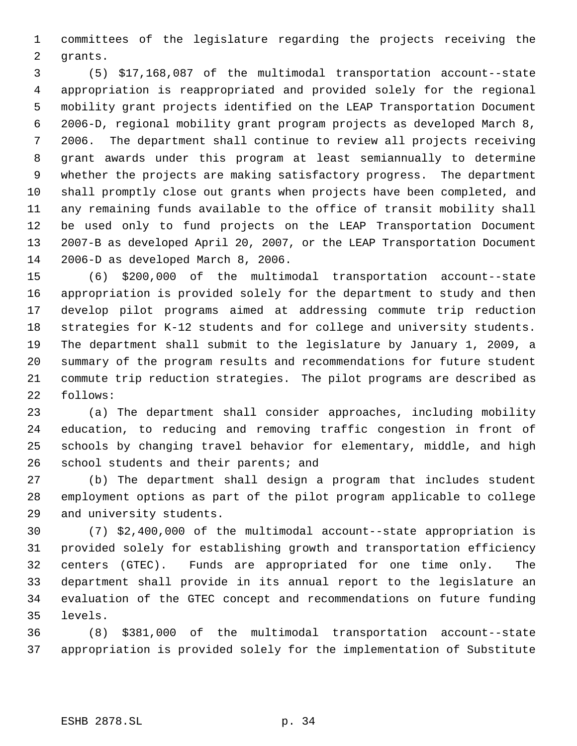committees of the legislature regarding the projects receiving the grants.

 (5) \$17,168,087 of the multimodal transportation account--state appropriation is reappropriated and provided solely for the regional mobility grant projects identified on the LEAP Transportation Document 2006-D, regional mobility grant program projects as developed March 8, 2006. The department shall continue to review all projects receiving grant awards under this program at least semiannually to determine whether the projects are making satisfactory progress. The department shall promptly close out grants when projects have been completed, and any remaining funds available to the office of transit mobility shall be used only to fund projects on the LEAP Transportation Document 2007-B as developed April 20, 2007, or the LEAP Transportation Document 2006-D as developed March 8, 2006.

 (6) \$200,000 of the multimodal transportation account--state appropriation is provided solely for the department to study and then develop pilot programs aimed at addressing commute trip reduction strategies for K-12 students and for college and university students. The department shall submit to the legislature by January 1, 2009, a summary of the program results and recommendations for future student commute trip reduction strategies. The pilot programs are described as follows:

 (a) The department shall consider approaches, including mobility education, to reducing and removing traffic congestion in front of schools by changing travel behavior for elementary, middle, and high school students and their parents; and

 (b) The department shall design a program that includes student employment options as part of the pilot program applicable to college and university students.

 (7) \$2,400,000 of the multimodal account--state appropriation is provided solely for establishing growth and transportation efficiency centers (GTEC). Funds are appropriated for one time only. The department shall provide in its annual report to the legislature an evaluation of the GTEC concept and recommendations on future funding levels.

 (8) \$381,000 of the multimodal transportation account--state appropriation is provided solely for the implementation of Substitute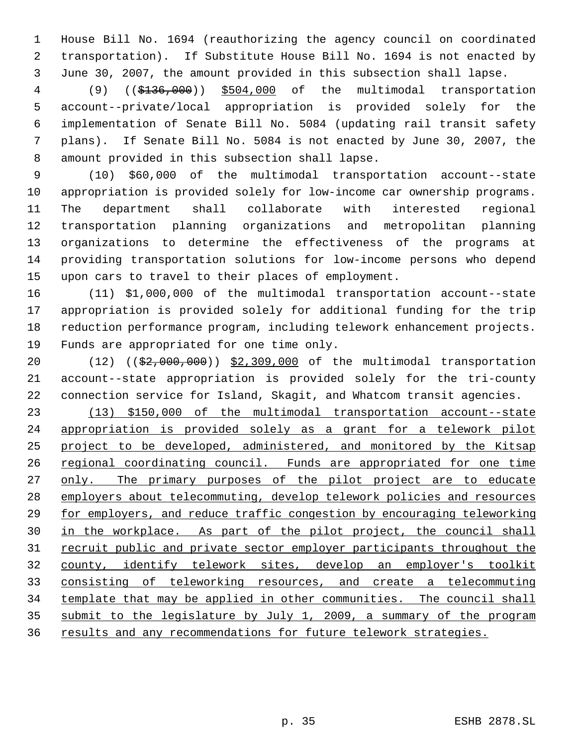House Bill No. 1694 (reauthorizing the agency council on coordinated transportation). If Substitute House Bill No. 1694 is not enacted by June 30, 2007, the amount provided in this subsection shall lapse.

 (9) ((\$136,000)) \$504,000 of the multimodal transportation account--private/local appropriation is provided solely for the implementation of Senate Bill No. 5084 (updating rail transit safety plans). If Senate Bill No. 5084 is not enacted by June 30, 2007, the amount provided in this subsection shall lapse.

 (10) \$60,000 of the multimodal transportation account--state appropriation is provided solely for low-income car ownership programs. The department shall collaborate with interested regional transportation planning organizations and metropolitan planning organizations to determine the effectiveness of the programs at providing transportation solutions for low-income persons who depend upon cars to travel to their places of employment.

 (11) \$1,000,000 of the multimodal transportation account--state appropriation is provided solely for additional funding for the trip reduction performance program, including telework enhancement projects. Funds are appropriated for one time only.

20 (12) ((\$2,000,000)) \$2,309,000 of the multimodal transportation account--state appropriation is provided solely for the tri-county connection service for Island, Skagit, and Whatcom transit agencies.

 (13) \$150,000 of the multimodal transportation account--state appropriation is provided solely as a grant for a telework pilot project to be developed, administered, and monitored by the Kitsap 26 regional coordinating council. Funds are appropriated for one time 27 only. The primary purposes of the pilot project are to educate employers about telecommuting, develop telework policies and resources for employers, and reduce traffic congestion by encouraging teleworking in the workplace. As part of the pilot project, the council shall 31 recruit public and private sector employer participants throughout the county, identify telework sites, develop an employer's toolkit consisting of teleworking resources, and create a telecommuting template that may be applied in other communities. The council shall 35 submit to the legislature by July 1, 2009, a summary of the program results and any recommendations for future telework strategies.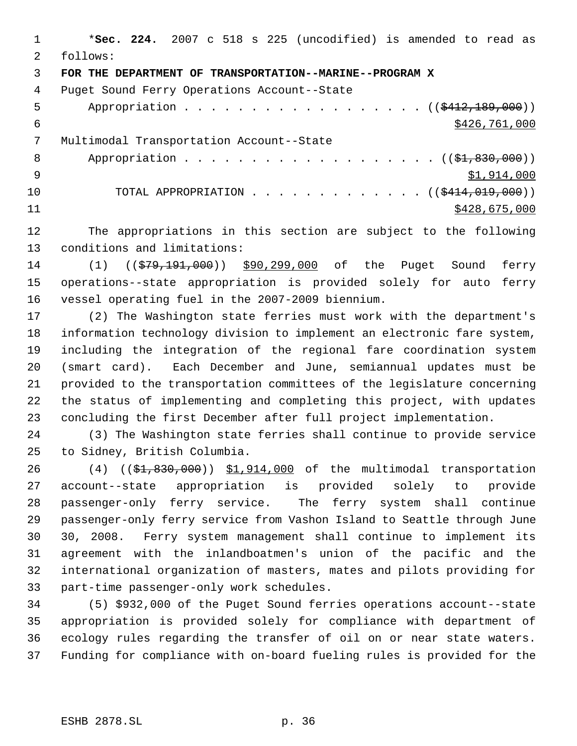\***Sec. 224.** 2007 c 518 s 225 (uncodified) is amended to read as follows: **FOR THE DEPARTMENT OF TRANSPORTATION--MARINE--PROGRAM X** Puget Sound Ferry Operations Account--State 5 Appropriation . . . . . . . . . . . . . . . . (  $(\frac{2412,189,000}{1})$ 6 \$426,761,000 Multimodal Transportation Account--State 8 Appropriation . . . . . . . . . . . . . . . . . (  $(\frac{1}{2}, 830, 000)$  )  $\frac{1}{2}$   $\frac{1}{2}$ ,914,000 10 TOTAL APPROPRIATION . . . . . . . . . . . . . ((\$414,019,000)) \$428,675,000

 The appropriations in this section are subject to the following conditions and limitations:

14 (1) ((\$79,191,000)) \$90,299,000 of the Puget Sound ferry operations--state appropriation is provided solely for auto ferry vessel operating fuel in the 2007-2009 biennium.

 (2) The Washington state ferries must work with the department's information technology division to implement an electronic fare system, including the integration of the regional fare coordination system (smart card). Each December and June, semiannual updates must be provided to the transportation committees of the legislature concerning the status of implementing and completing this project, with updates concluding the first December after full project implementation.

 (3) The Washington state ferries shall continue to provide service to Sidney, British Columbia.

26 (4) ((\$1,830,000)) \$1,914,000 of the multimodal transportation account--state appropriation is provided solely to provide passenger-only ferry service. The ferry system shall continue passenger-only ferry service from Vashon Island to Seattle through June 30, 2008. Ferry system management shall continue to implement its agreement with the inlandboatmen's union of the pacific and the international organization of masters, mates and pilots providing for part-time passenger-only work schedules.

 (5) \$932,000 of the Puget Sound ferries operations account--state appropriation is provided solely for compliance with department of ecology rules regarding the transfer of oil on or near state waters. Funding for compliance with on-board fueling rules is provided for the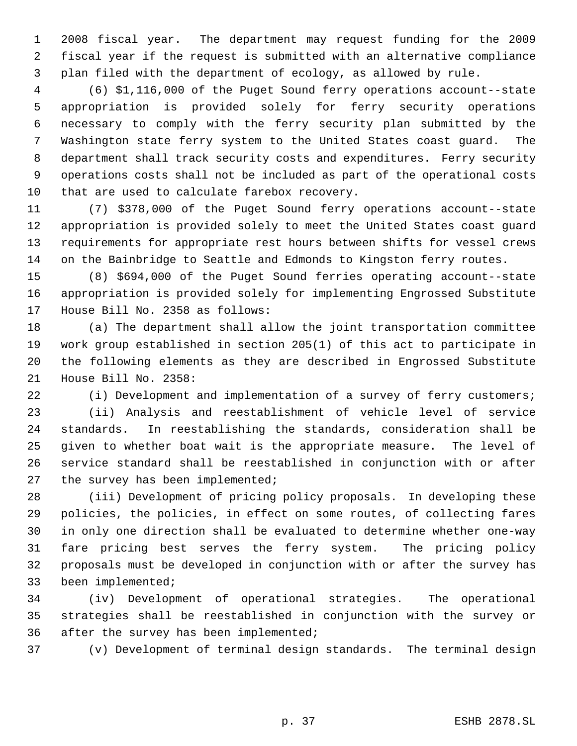2008 fiscal year. The department may request funding for the 2009 fiscal year if the request is submitted with an alternative compliance plan filed with the department of ecology, as allowed by rule.

 (6) \$1,116,000 of the Puget Sound ferry operations account--state appropriation is provided solely for ferry security operations necessary to comply with the ferry security plan submitted by the Washington state ferry system to the United States coast guard. The department shall track security costs and expenditures. Ferry security operations costs shall not be included as part of the operational costs that are used to calculate farebox recovery.

 (7) \$378,000 of the Puget Sound ferry operations account--state appropriation is provided solely to meet the United States coast guard requirements for appropriate rest hours between shifts for vessel crews on the Bainbridge to Seattle and Edmonds to Kingston ferry routes.

 (8) \$694,000 of the Puget Sound ferries operating account--state appropriation is provided solely for implementing Engrossed Substitute House Bill No. 2358 as follows:

 (a) The department shall allow the joint transportation committee work group established in section 205(1) of this act to participate in the following elements as they are described in Engrossed Substitute House Bill No. 2358:

 (i) Development and implementation of a survey of ferry customers; (ii) Analysis and reestablishment of vehicle level of service standards. In reestablishing the standards, consideration shall be given to whether boat wait is the appropriate measure. The level of service standard shall be reestablished in conjunction with or after 27 the survey has been implemented;

 (iii) Development of pricing policy proposals. In developing these policies, the policies, in effect on some routes, of collecting fares in only one direction shall be evaluated to determine whether one-way fare pricing best serves the ferry system. The pricing policy proposals must be developed in conjunction with or after the survey has been implemented;

 (iv) Development of operational strategies. The operational strategies shall be reestablished in conjunction with the survey or after the survey has been implemented;

(v) Development of terminal design standards. The terminal design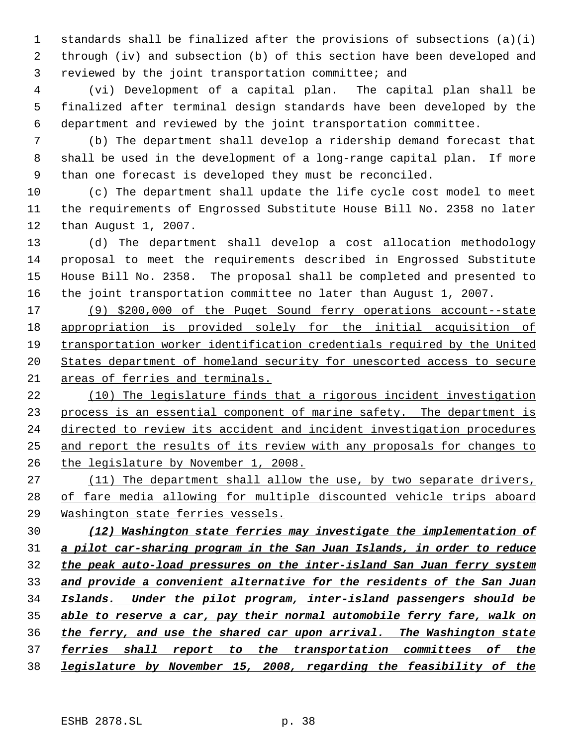standards shall be finalized after the provisions of subsections (a)(i) through (iv) and subsection (b) of this section have been developed and reviewed by the joint transportation committee; and

 (vi) Development of a capital plan. The capital plan shall be finalized after terminal design standards have been developed by the department and reviewed by the joint transportation committee.

 (b) The department shall develop a ridership demand forecast that shall be used in the development of a long-range capital plan. If more than one forecast is developed they must be reconciled.

 (c) The department shall update the life cycle cost model to meet the requirements of Engrossed Substitute House Bill No. 2358 no later than August 1, 2007.

 (d) The department shall develop a cost allocation methodology proposal to meet the requirements described in Engrossed Substitute House Bill No. 2358. The proposal shall be completed and presented to the joint transportation committee no later than August 1, 2007.

 (9) \$200,000 of the Puget Sound ferry operations account--state appropriation is provided solely for the initial acquisition of transportation worker identification credentials required by the United States department of homeland security for unescorted access to secure areas of ferries and terminals.

 (10) The legislature finds that a rigorous incident investigation 23 process is an essential component of marine safety. The department is directed to review its accident and incident investigation procedures and report the results of its review with any proposals for changes to 26 the legislature by November 1, 2008.

27 (11) The department shall allow the use, by two separate drivers, of fare media allowing for multiple discounted vehicle trips aboard Washington state ferries vessels.

 *(12) Washington state ferries may investigate the implementation of a pilot car-sharing program in the San Juan Islands, in order to reduce the peak auto-load pressures on the inter-island San Juan ferry system and provide a convenient alternative for the residents of the San Juan Islands. Under the pilot program, inter-island passengers should be able to reserve a car, pay their normal automobile ferry fare, walk on the ferry, and use the shared car upon arrival. The Washington state ferries shall report to the transportation committees of the legislature by November 15, 2008, regarding the feasibility of the*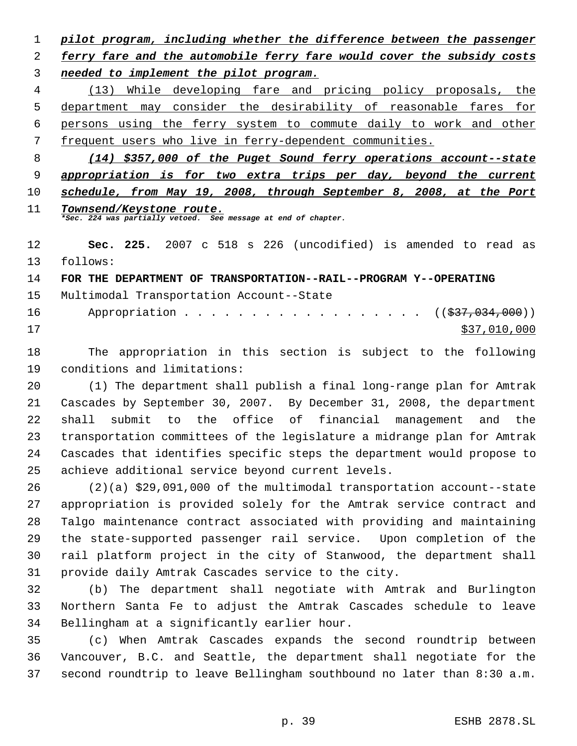*pilot program, including whether the difference between the passenger ferry fare and the automobile ferry fare would cover the subsidy costs needed to implement the pilot program.* (13) While developing fare and pricing policy proposals, the department may consider the desirability of reasonable fares for persons using the ferry system to commute daily to work and other frequent users who live in ferry-dependent communities. *(14) \$357,000 of the Puget Sound ferry operations account--state appropriation is for two extra trips per day, beyond the current schedule, from May 19, 2008, through September 8, 2008, at the Port Townsend/Keystone route. \*Sec. 224 was partially vetoed. See message at end of chapter.* **Sec. 225.** 2007 c 518 s 226 (uncodified) is amended to read as follows: **FOR THE DEPARTMENT OF TRANSPORTATION--RAIL--PROGRAM Y--OPERATING** Multimodal Transportation Account--State 16 Appropriation . . . . . . . . . . . . . . . . ((\$37,034,000)) \$37,010,000 The appropriation in this section is subject to the following conditions and limitations: (1) The department shall publish a final long-range plan for Amtrak Cascades by September 30, 2007. By December 31, 2008, the department shall submit to the office of financial management and the transportation committees of the legislature a midrange plan for Amtrak Cascades that identifies specific steps the department would propose to achieve additional service beyond current levels. (2)(a) \$29,091,000 of the multimodal transportation account--state

 appropriation is provided solely for the Amtrak service contract and Talgo maintenance contract associated with providing and maintaining the state-supported passenger rail service. Upon completion of the rail platform project in the city of Stanwood, the department shall provide daily Amtrak Cascades service to the city.

 (b) The department shall negotiate with Amtrak and Burlington Northern Santa Fe to adjust the Amtrak Cascades schedule to leave Bellingham at a significantly earlier hour.

 (c) When Amtrak Cascades expands the second roundtrip between Vancouver, B.C. and Seattle, the department shall negotiate for the second roundtrip to leave Bellingham southbound no later than 8:30 a.m.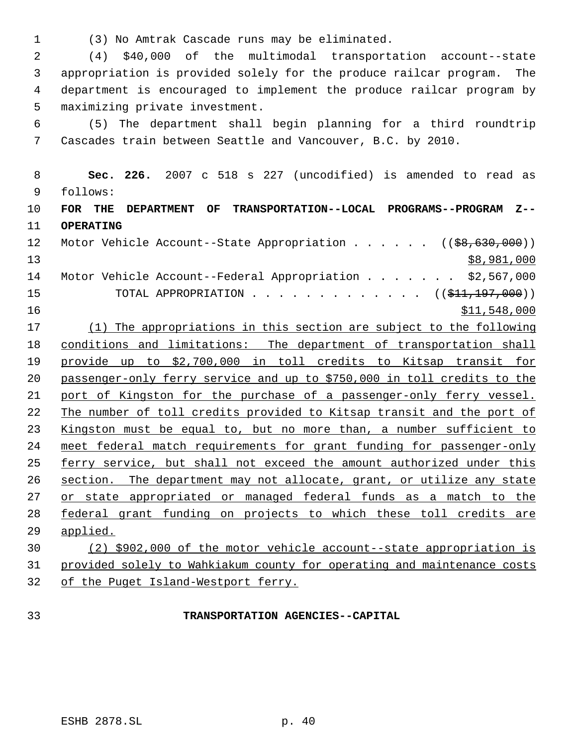(3) No Amtrak Cascade runs may be eliminated.

 (4) \$40,000 of the multimodal transportation account--state appropriation is provided solely for the produce railcar program. The department is encouraged to implement the produce railcar program by maximizing private investment.

 (5) The department shall begin planning for a third roundtrip Cascades train between Seattle and Vancouver, B.C. by 2010.

 **Sec. 226.** 2007 c 518 s 227 (uncodified) is amended to read as follows:

 **FOR THE DEPARTMENT OF TRANSPORTATION--LOCAL PROGRAMS--PROGRAM Z-- OPERATING**

12 Motor Vehicle Account--State Appropriation . . . . . ((\$8,630,000)) \$8,981,000 Motor Vehicle Account--Federal Appropriation . . . . . . . \$2,567,000 15 TOTAL APPROPRIATION . . . . . . . . . . . . ((\$<del>11,197,000</del>)) 16 \$11,548,000

 (1) The appropriations in this section are subject to the following conditions and limitations: The department of transportation shall provide up to \$2,700,000 in toll credits to Kitsap transit for passenger-only ferry service and up to \$750,000 in toll credits to the port of Kingston for the purchase of a passenger-only ferry vessel. 22 The number of toll credits provided to Kitsap transit and the port of Kingston must be equal to, but no more than, a number sufficient to meet federal match requirements for grant funding for passenger-only 25 ferry service, but shall not exceed the amount authorized under this section. The department may not allocate, grant, or utilize any state 27 or state appropriated or managed federal funds as a match to the federal grant funding on projects to which these toll credits are applied.

 (2) \$902,000 of the motor vehicle account--state appropriation is provided solely to Wahkiakum county for operating and maintenance costs of the Puget Island-Westport ferry.

## **TRANSPORTATION AGENCIES--CAPITAL**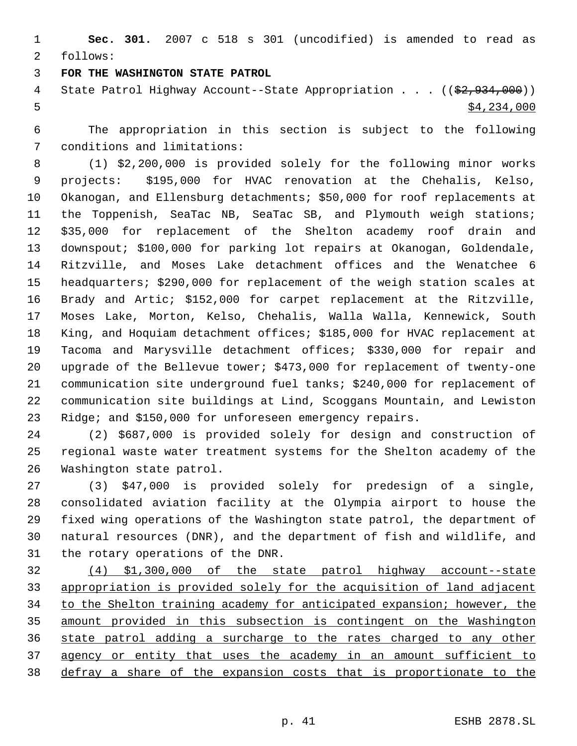**Sec. 301.** 2007 c 518 s 301 (uncodified) is amended to read as follows:

## **FOR THE WASHINGTON STATE PATROL**

4 State Patrol Highway Account--State Appropriation . . . ((\$2,934,000))  $5 - 5$  \$4,234,000

 The appropriation in this section is subject to the following conditions and limitations:

 (1) \$2,200,000 is provided solely for the following minor works projects: \$195,000 for HVAC renovation at the Chehalis, Kelso, Okanogan, and Ellensburg detachments; \$50,000 for roof replacements at the Toppenish, SeaTac NB, SeaTac SB, and Plymouth weigh stations; \$35,000 for replacement of the Shelton academy roof drain and downspout; \$100,000 for parking lot repairs at Okanogan, Goldendale, Ritzville, and Moses Lake detachment offices and the Wenatchee 6 headquarters; \$290,000 for replacement of the weigh station scales at Brady and Artic; \$152,000 for carpet replacement at the Ritzville, Moses Lake, Morton, Kelso, Chehalis, Walla Walla, Kennewick, South King, and Hoquiam detachment offices; \$185,000 for HVAC replacement at Tacoma and Marysville detachment offices; \$330,000 for repair and upgrade of the Bellevue tower; \$473,000 for replacement of twenty-one communication site underground fuel tanks; \$240,000 for replacement of communication site buildings at Lind, Scoggans Mountain, and Lewiston Ridge; and \$150,000 for unforeseen emergency repairs.

 (2) \$687,000 is provided solely for design and construction of regional waste water treatment systems for the Shelton academy of the Washington state patrol.

 (3) \$47,000 is provided solely for predesign of a single, consolidated aviation facility at the Olympia airport to house the fixed wing operations of the Washington state patrol, the department of natural resources (DNR), and the department of fish and wildlife, and the rotary operations of the DNR.

 (4) \$1,300,000 of the state patrol highway account--state appropriation is provided solely for the acquisition of land adjacent 34 to the Shelton training academy for anticipated expansion; however, the amount provided in this subsection is contingent on the Washington state patrol adding a surcharge to the rates charged to any other 37 agency or entity that uses the academy in an amount sufficient to defray a share of the expansion costs that is proportionate to the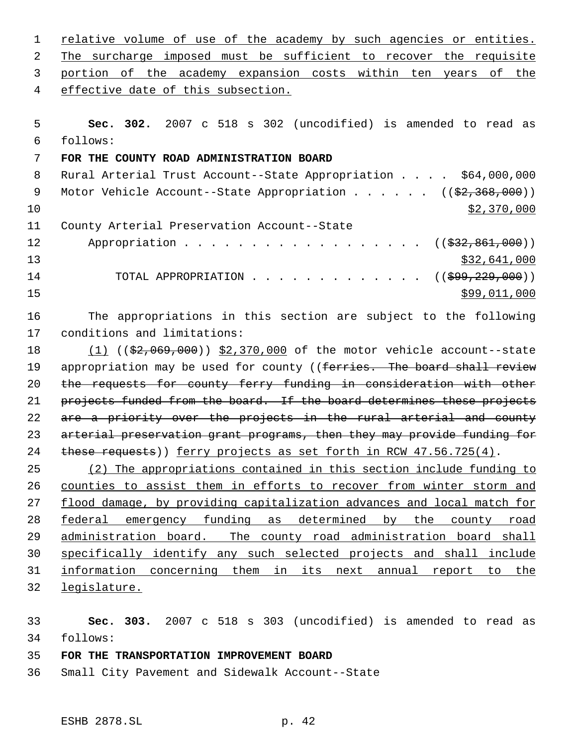relative volume of use of the academy by such agencies or entities. The surcharge imposed must be sufficient to recover the requisite portion of the academy expansion costs within ten years of the effective date of this subsection. **Sec. 302.** 2007 c 518 s 302 (uncodified) is amended to read as follows: **FOR THE COUNTY ROAD ADMINISTRATION BOARD** 8 Rural Arterial Trust Account--State Appropriation . . . . \$64,000,000 9 Motor Vehicle Account--State Appropriation . . . . . . ((\$2,368,000))  $\frac{10}{2}$   $\frac{10}{2}$   $\frac{10}{2}$   $\frac{10}{2}$   $\frac{10}{2}$   $\frac{10}{2}$   $\frac{10}{2}$   $\frac{10}{2}$   $\frac{10}{2}$   $\frac{10}{2}$   $\frac{10}{2}$   $\frac{10}{2}$   $\frac{10}{2}$   $\frac{10}{2}$   $\frac{10}{2}$   $\frac{10}{2}$   $\frac{10}{2}$   $\frac{10}{2}$   $\frac{10}{2}$   $\frac{10}{2}$  County Arterial Preservation Account--State 12 Appropriation . . . . . . . . . . . . . . . . ((\$32,861,000))  $\frac{13}{32,641,000}$ 14 TOTAL APPROPRIATION . . . . . . . . . . . . ((\$99,229,000)) \$99,011,000 The appropriations in this section are subject to the following conditions and limitations: 18 (1) ((\$2,069,000)) \$2,370,000 of the motor vehicle account--state 19 appropriation may be used for county ((ferries. The board shall review 20 the requests for county ferry funding in consideration with other

21 projects funded from the board. If the board determines these projects 22 are a priority over the projects in the rural arterial and county arterial preservation grant programs, then they may provide funding for 24 these requests)) ferry projects as set forth in RCW 47.56.725(4).

 (2) The appropriations contained in this section include funding to counties to assist them in efforts to recover from winter storm and flood damage, by providing capitalization advances and local match for federal emergency funding as determined by the county road administration board. The county road administration board shall specifically identify any such selected projects and shall include information concerning them in its next annual report to the legislature.

 **Sec. 303.** 2007 c 518 s 303 (uncodified) is amended to read as follows:

## **FOR THE TRANSPORTATION IMPROVEMENT BOARD**

Small City Pavement and Sidewalk Account--State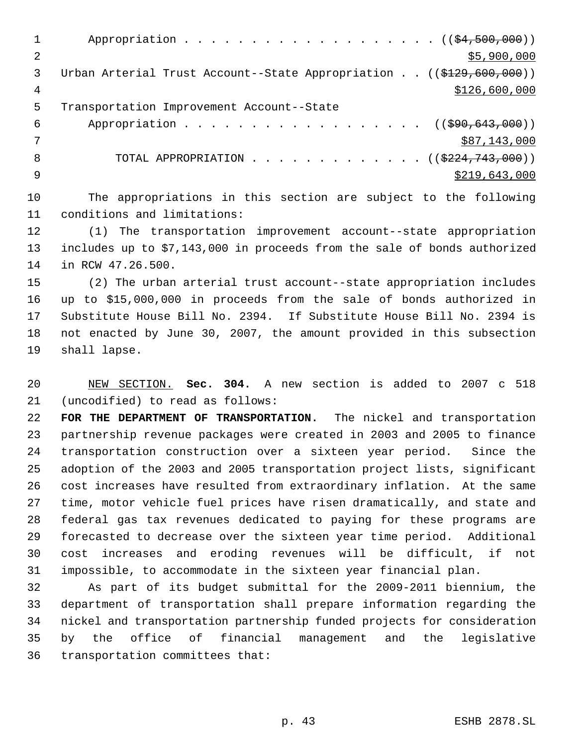1 Appropriation . . . . . . . . . . . . . . . . . (  $(\frac{24,500,000}{1})$  $2 \div 5,900,000$ 3 Urban Arterial Trust Account--State Appropriation . . ((\$129,600,000)) 4 \$126,600,000 \$126,600,000 \$126,600,000 \$126,600,000 \$126,600,000 \$126,600,000 \$126,600,000 \$126,600 \$126,500 \$126,500 \$126,500 \$126,500 \$126,500 \$126,500 \$126,500 \$126,500 \$126,500 \$126,500 \$126,500 \$126,500 \$126,500 \$12 Transportation Improvement Account--State 6 Appropriation . . . . . . . . . . . . . . . . ((\$90,643,000)) \$87,143,000 8 TOTAL APPROPRIATION . . . . . . . . . . . . . ((\$224,743,000))  $\frac{1}{2}$   $\frac{1}{2}$   $\frac{1}{2}$   $\frac{1}{2}$   $\frac{1}{2}$   $\frac{1}{2}$   $\frac{1}{2}$   $\frac{1}{2}$   $\frac{1}{2}$   $\frac{1}{2}$   $\frac{1}{2}$   $\frac{1}{2}$   $\frac{1}{2}$   $\frac{1}{2}$   $\frac{1}{2}$   $\frac{1}{2}$   $\frac{1}{2}$   $\frac{1}{2}$   $\frac{1}{2}$   $\frac{1}{2}$   $\frac{1}{2}$   $\frac{1}{2}$  The appropriations in this section are subject to the following conditions and limitations: (1) The transportation improvement account--state appropriation includes up to \$7,143,000 in proceeds from the sale of bonds authorized in RCW 47.26.500. (2) The urban arterial trust account--state appropriation includes up to \$15,000,000 in proceeds from the sale of bonds authorized in Substitute House Bill No. 2394. If Substitute House Bill No. 2394 is not enacted by June 30, 2007, the amount provided in this subsection shall lapse. NEW SECTION. **Sec. 304.** A new section is added to 2007 c 518 (uncodified) to read as follows: **FOR THE DEPARTMENT OF TRANSPORTATION.** The nickel and transportation partnership revenue packages were created in 2003 and 2005 to finance transportation construction over a sixteen year period. Since the adoption of the 2003 and 2005 transportation project lists, significant cost increases have resulted from extraordinary inflation. At the same time, motor vehicle fuel prices have risen dramatically, and state and federal gas tax revenues dedicated to paying for these programs are forecasted to decrease over the sixteen year time period. Additional cost increases and eroding revenues will be difficult, if not impossible, to accommodate in the sixteen year financial plan. As part of its budget submittal for the 2009-2011 biennium, the department of transportation shall prepare information regarding the

 nickel and transportation partnership funded projects for consideration by the office of financial management and the legislative transportation committees that: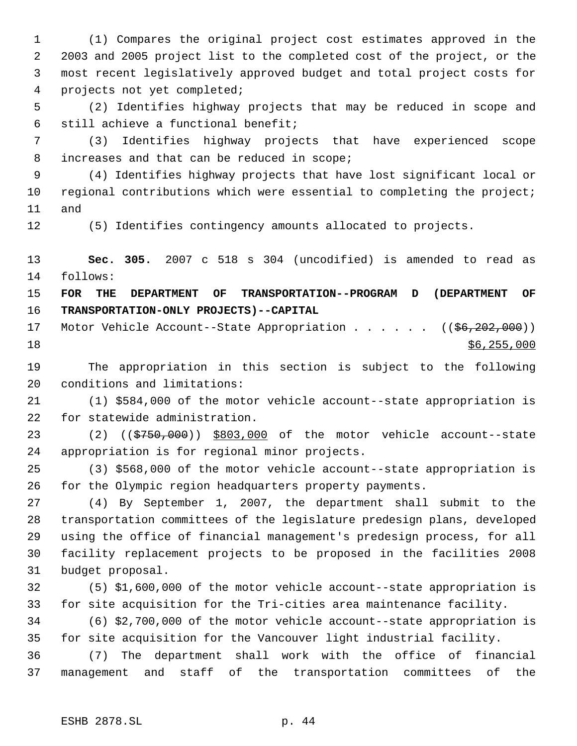(1) Compares the original project cost estimates approved in the 2003 and 2005 project list to the completed cost of the project, or the most recent legislatively approved budget and total project costs for projects not yet completed;

 (2) Identifies highway projects that may be reduced in scope and still achieve a functional benefit;

 (3) Identifies highway projects that have experienced scope increases and that can be reduced in scope;

 (4) Identifies highway projects that have lost significant local or 10 regional contributions which were essential to completing the project; and

(5) Identifies contingency amounts allocated to projects.

 **Sec. 305.** 2007 c 518 s 304 (uncodified) is amended to read as follows:

 **FOR THE DEPARTMENT OF TRANSPORTATION--PROGRAM D (DEPARTMENT OF TRANSPORTATION-ONLY PROJECTS)--CAPITAL**

17 Motor Vehicle Account--State Appropriation . . . . . ((\$6,202,000)) \$6,255,000

 The appropriation in this section is subject to the following conditions and limitations:

 (1) \$584,000 of the motor vehicle account--state appropriation is for statewide administration.

23 (2) ((\$750,000)) \$803,000 of the motor vehicle account--state appropriation is for regional minor projects.

 (3) \$568,000 of the motor vehicle account--state appropriation is for the Olympic region headquarters property payments.

 (4) By September 1, 2007, the department shall submit to the transportation committees of the legislature predesign plans, developed using the office of financial management's predesign process, for all facility replacement projects to be proposed in the facilities 2008 budget proposal.

 (5) \$1,600,000 of the motor vehicle account--state appropriation is for site acquisition for the Tri-cities area maintenance facility.

 (6) \$2,700,000 of the motor vehicle account--state appropriation is for site acquisition for the Vancouver light industrial facility.

 (7) The department shall work with the office of financial management and staff of the transportation committees of the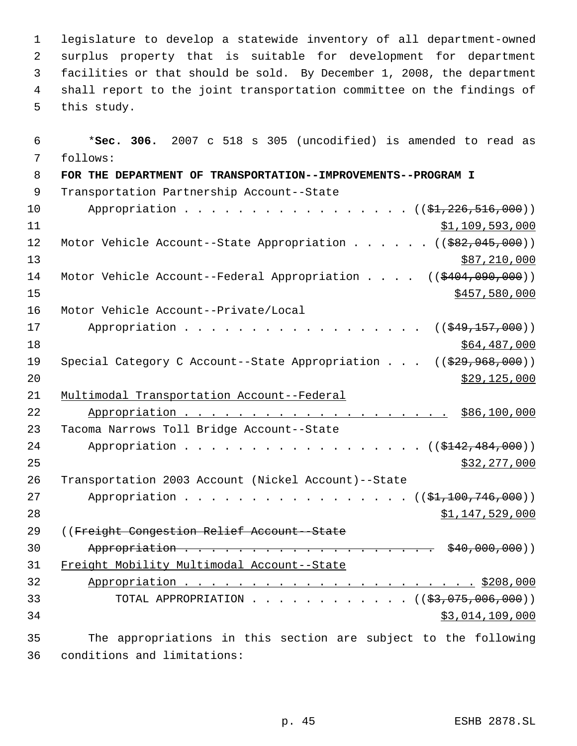legislature to develop a statewide inventory of all department-owned surplus property that is suitable for development for department facilities or that should be sold. By December 1, 2008, the department shall report to the joint transportation committee on the findings of this study.

 \***Sec. 306.** 2007 c 518 s 305 (uncodified) is amended to read as follows: **FOR THE DEPARTMENT OF TRANSPORTATION--IMPROVEMENTS--PROGRAM I** Transportation Partnership Account--State 10 Appropriation . . . . . . . . . . . . . . . ((\$1,226,516,000))  $31,109,593,000$ 12 Motor Vehicle Account--State Appropriation . . . . . ((\$82,045,000)) 13 \$87,210,000 14 Motor Vehicle Account--Federal Appropriation . . . . ((\$404,090,000)) \$457,580,000 Motor Vehicle Account--Private/Local 17 Appropriation . . . . . . . . . . . . . . . . ((\$49,157,000)) \$64,487,000 19 Special Category C Account--State Appropriation . . . ((\$29,968,000)) \$29,125,000 Multimodal Transportation Account--Federal Appropriation . . . . . . . . . . . . . . . . . . . . \$86,100,000 Tacoma Narrows Toll Bridge Account--State 24 Appropriation . . . . . . . . . . . . . . . . ((\$142,484,000)) \$32,277,000 Transportation 2003 Account (Nickel Account)--State 27 Appropriation . . . . . . . . . . . . . . . ((\$1,100,746,000)) \$1,147,529,000 ((Freight Congestion Relief Account--State 30 Appropriation . . . . . . . . . . . . . . . . . . \$40,000,000)) Freight Mobility Multimodal Account--State Appropriation . . . . . . . . . . . . . . . . . . . . . . \$208,000 33 TOTAL APPROPRIATION . . . . . . . . . . . ((<del>\$3,075,006,000</del>)) \$3,014,109,000 The appropriations in this section are subject to the following

conditions and limitations: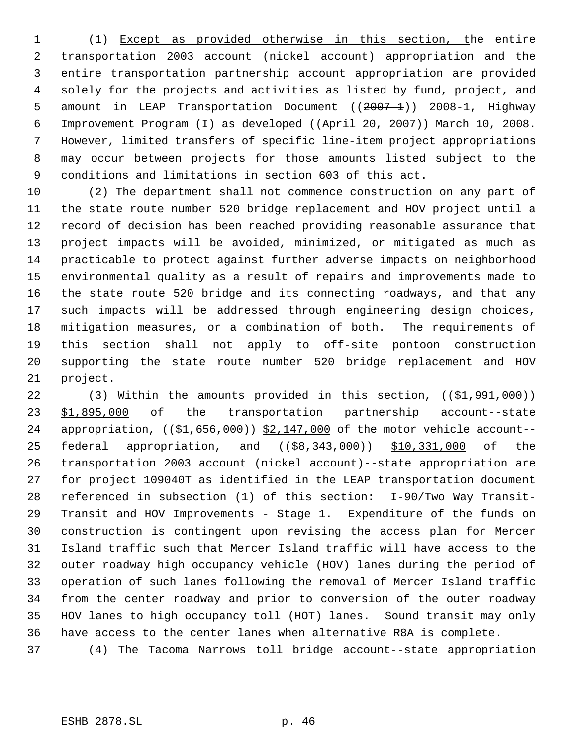(1) Except as provided otherwise in this section, the entire transportation 2003 account (nickel account) appropriation and the entire transportation partnership account appropriation are provided solely for the projects and activities as listed by fund, project, and 5 amount in LEAP Transportation Document ((2007-1)) 2008-1, Highway Improvement Program (I) as developed ((April 20, 2007)) March 10, 2008. However, limited transfers of specific line-item project appropriations may occur between projects for those amounts listed subject to the conditions and limitations in section 603 of this act.

 (2) The department shall not commence construction on any part of the state route number 520 bridge replacement and HOV project until a record of decision has been reached providing reasonable assurance that project impacts will be avoided, minimized, or mitigated as much as practicable to protect against further adverse impacts on neighborhood environmental quality as a result of repairs and improvements made to the state route 520 bridge and its connecting roadways, and that any such impacts will be addressed through engineering design choices, mitigation measures, or a combination of both. The requirements of this section shall not apply to off-site pontoon construction supporting the state route number 520 bridge replacement and HOV project.

22 (3) Within the amounts provided in this section, ((\$1,991,000)) \$1,895,000 of the transportation partnership account--state 24 appropriation,  $((\frac{21}{51}, 656, 000))$   $\frac{2}{147}$ , 000 of the motor vehicle account--25 federal appropriation, and ((\$8,343,000)) \$10,331,000 of the transportation 2003 account (nickel account)--state appropriation are for project 109040T as identified in the LEAP transportation document 28 referenced in subsection (1) of this section: I-90/Two Way Transit- Transit and HOV Improvements - Stage 1. Expenditure of the funds on construction is contingent upon revising the access plan for Mercer Island traffic such that Mercer Island traffic will have access to the outer roadway high occupancy vehicle (HOV) lanes during the period of operation of such lanes following the removal of Mercer Island traffic from the center roadway and prior to conversion of the outer roadway HOV lanes to high occupancy toll (HOT) lanes. Sound transit may only have access to the center lanes when alternative R8A is complete.

(4) The Tacoma Narrows toll bridge account--state appropriation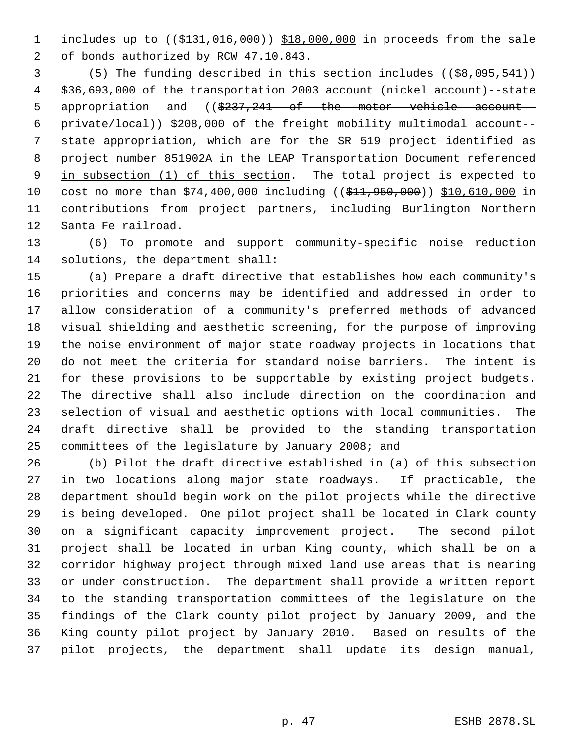1 includes up to ((\$131,016,000)) \$18,000,000 in proceeds from the sale of bonds authorized by RCW 47.10.843.

 (5) The funding described in this section includes ((\$8,095,541)) \$36,693,000 of the transportation 2003 account (nickel account)--state 5 appropriation and ((\$237,241 of the motor vehicle account-- private/local)) \$208,000 of the freight mobility multimodal account-- 7 state appropriation, which are for the SR 519 project identified as project number 851902A in the LEAP Transportation Document referenced 9 in subsection (1) of this section. The total project is expected to 10 cost no more than \$74,400,000 including ((\$11,950,000)) \$10,610,000 in 11 contributions from project partners, including Burlington Northern Santa Fe railroad.

 (6) To promote and support community-specific noise reduction solutions, the department shall:

 (a) Prepare a draft directive that establishes how each community's priorities and concerns may be identified and addressed in order to allow consideration of a community's preferred methods of advanced visual shielding and aesthetic screening, for the purpose of improving the noise environment of major state roadway projects in locations that do not meet the criteria for standard noise barriers. The intent is for these provisions to be supportable by existing project budgets. The directive shall also include direction on the coordination and selection of visual and aesthetic options with local communities. The draft directive shall be provided to the standing transportation committees of the legislature by January 2008; and

 (b) Pilot the draft directive established in (a) of this subsection in two locations along major state roadways. If practicable, the department should begin work on the pilot projects while the directive is being developed. One pilot project shall be located in Clark county on a significant capacity improvement project. The second pilot project shall be located in urban King county, which shall be on a corridor highway project through mixed land use areas that is nearing or under construction. The department shall provide a written report to the standing transportation committees of the legislature on the findings of the Clark county pilot project by January 2009, and the King county pilot project by January 2010. Based on results of the pilot projects, the department shall update its design manual,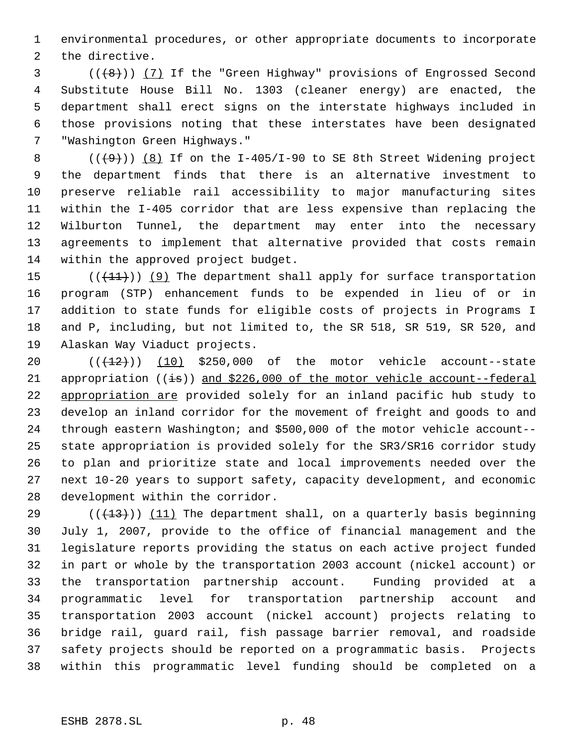environmental procedures, or other appropriate documents to incorporate the directive.

 $(1 + 8)$ ) (7) If the "Green Highway" provisions of Engrossed Second Substitute House Bill No. 1303 (cleaner energy) are enacted, the department shall erect signs on the interstate highways included in those provisions noting that these interstates have been designated "Washington Green Highways."

 $((+9))$   $(8)$  If on the I-405/I-90 to SE 8th Street Widening project the department finds that there is an alternative investment to preserve reliable rail accessibility to major manufacturing sites within the I-405 corridor that are less expensive than replacing the Wilburton Tunnel, the department may enter into the necessary agreements to implement that alternative provided that costs remain within the approved project budget.

 $((+11))$  (9) The department shall apply for surface transportation program (STP) enhancement funds to be expended in lieu of or in addition to state funds for eligible costs of projects in Programs I and P, including, but not limited to, the SR 518, SR 519, SR 520, and Alaskan Way Viaduct projects.

 $((+12))$   $(10)$  \$250,000 of the motor vehicle account--state 21 appropriation  $((\frac{1}{15}))$  and \$226,000 of the motor vehicle account--federal appropriation are provided solely for an inland pacific hub study to develop an inland corridor for the movement of freight and goods to and through eastern Washington; and \$500,000 of the motor vehicle account-- state appropriation is provided solely for the SR3/SR16 corridor study to plan and prioritize state and local improvements needed over the next 10-20 years to support safety, capacity development, and economic development within the corridor.

29 ( $(\frac{13}{13})$ ) (11) The department shall, on a quarterly basis beginning July 1, 2007, provide to the office of financial management and the legislature reports providing the status on each active project funded in part or whole by the transportation 2003 account (nickel account) or the transportation partnership account. Funding provided at a programmatic level for transportation partnership account and transportation 2003 account (nickel account) projects relating to bridge rail, guard rail, fish passage barrier removal, and roadside safety projects should be reported on a programmatic basis. Projects within this programmatic level funding should be completed on a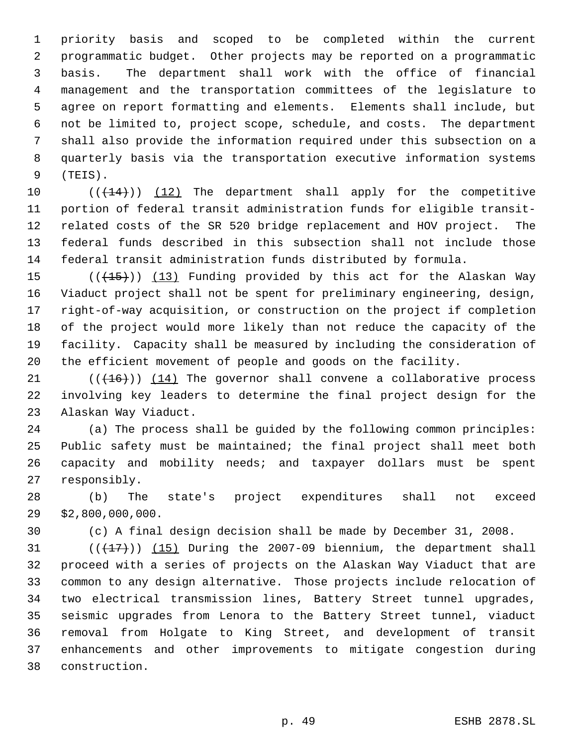priority basis and scoped to be completed within the current programmatic budget. Other projects may be reported on a programmatic basis. The department shall work with the office of financial management and the transportation committees of the legislature to agree on report formatting and elements. Elements shall include, but not be limited to, project scope, schedule, and costs. The department shall also provide the information required under this subsection on a quarterly basis via the transportation executive information systems (TEIS).

 $((+14))$   $(12)$  The department shall apply for the competitive portion of federal transit administration funds for eligible transit- related costs of the SR 520 bridge replacement and HOV project. The federal funds described in this subsection shall not include those federal transit administration funds distributed by formula.

 $((+15))$   $(13)$  Funding provided by this act for the Alaskan Way Viaduct project shall not be spent for preliminary engineering, design, right-of-way acquisition, or construction on the project if completion of the project would more likely than not reduce the capacity of the facility. Capacity shall be measured by including the consideration of the efficient movement of people and goods on the facility.

 $((+16))$  (14) The governor shall convene a collaborative process involving key leaders to determine the final project design for the Alaskan Way Viaduct.

 (a) The process shall be guided by the following common principles: Public safety must be maintained; the final project shall meet both capacity and mobility needs; and taxpayer dollars must be spent responsibly.

 (b) The state's project expenditures shall not exceed \$2,800,000,000.

(c) A final design decision shall be made by December 31, 2008.

 $((+17))$   $(15)$  During the 2007-09 biennium, the department shall proceed with a series of projects on the Alaskan Way Viaduct that are common to any design alternative. Those projects include relocation of two electrical transmission lines, Battery Street tunnel upgrades, seismic upgrades from Lenora to the Battery Street tunnel, viaduct removal from Holgate to King Street, and development of transit enhancements and other improvements to mitigate congestion during construction.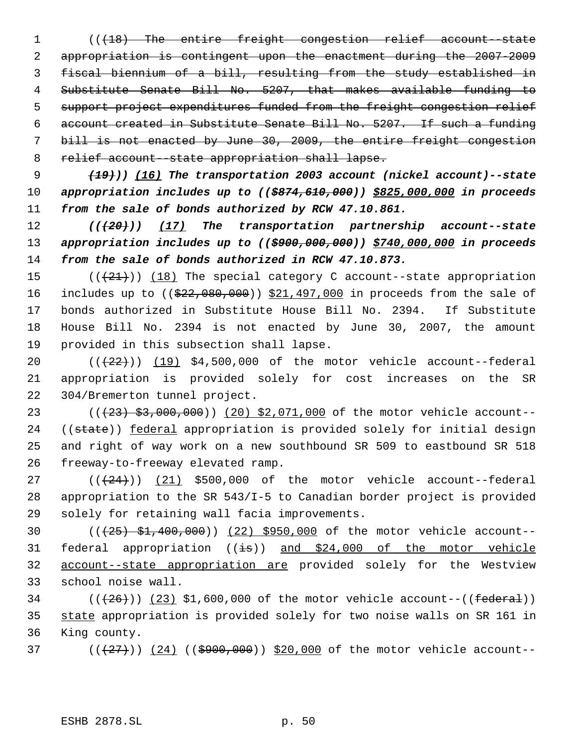1 (( $\{18\}$ ) The entire freight congestion relief account state appropriation is contingent upon the enactment during the 2007-2009 fiscal biennium of a bill, resulting from the study established in Substitute Senate Bill No. 5207, that makes available funding to 5 support project expenditures funded from the freight congestion relief account created in Substitute Senate Bill No. 5207. If such a funding bill is not enacted by June 30, 2009, the entire freight congestion 8 relief account -state appropriation shall lapse.

 *(19))) (16) The transportation 2003 account (nickel account)--state appropriation includes up to ((\$874,610,000)) \$825,000,000 in proceeds from the sale of bonds authorized by RCW 47.10.861.*

 *(((20))) (17) The transportation partnership account--state appropriation includes up to ((\$900,000,000)) \$740,000,000 in proceeds from the sale of bonds authorized in RCW 47.10.873.*

 $((+21))$   $(18)$  The special category C account--state appropriation 16 includes up to ((\$22,080,000)) \$21,497,000 in proceeds from the sale of bonds authorized in Substitute House Bill No. 2394. If Substitute House Bill No. 2394 is not enacted by June 30, 2007, the amount provided in this subsection shall lapse.

 $((22))$   $(19)$  \$4,500,000 of the motor vehicle account--federal appropriation is provided solely for cost increases on the SR 304/Bremerton tunnel project.

23 (( $(23)$  \$3,000,000)) (20) \$2,071,000 of the motor vehicle account--24 ((state)) federal appropriation is provided solely for initial design and right of way work on a new southbound SR 509 to eastbound SR 518 freeway-to-freeway elevated ramp.

 $((24))$   $(21)$  \$500,000 of the motor vehicle account--federal appropriation to the SR 543/I-5 to Canadian border project is provided solely for retaining wall facia improvements.

 (((25) \$1,400,000)) (22) \$950,000 of the motor vehicle account-- 31 federal appropriation  $(i\text{ is})$  and \$24,000 of the motor vehicle account--state appropriation are provided solely for the Westview school noise wall.

34  $((+26))$   $(23)$  \$1,600,000 of the motor vehicle account-- $((\text{federal}))$  state appropriation is provided solely for two noise walls on SR 161 in King county.

37 ( $(\frac{27}{1})$ )  $(24)$  ( $(\frac{2900}{000})$ ) \$20,000 of the motor vehicle account--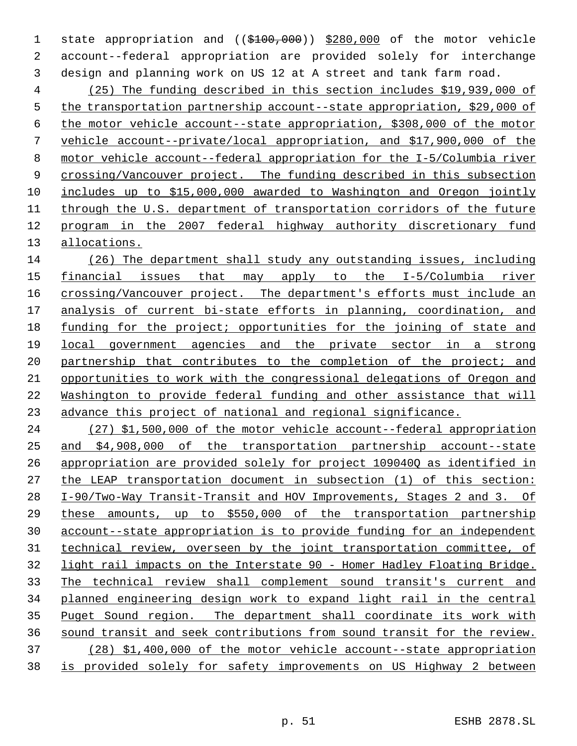1 state appropriation and ((\$100,000)) \$280,000 of the motor vehicle account--federal appropriation are provided solely for interchange design and planning work on US 12 at A street and tank farm road.

 (25) The funding described in this section includes \$19,939,000 of 5 the transportation partnership account--state appropriation, \$29,000 of the motor vehicle account--state appropriation, \$308,000 of the motor vehicle account--private/local appropriation, and \$17,900,000 of the motor vehicle account--federal appropriation for the I-5/Columbia river 9 crossing/Vancouver project. The funding described in this subsection includes up to \$15,000,000 awarded to Washington and Oregon jointly through the U.S. department of transportation corridors of the future program in the 2007 federal highway authority discretionary fund allocations.

 (26) The department shall study any outstanding issues, including financial issues that may apply to the I-5/Columbia river 16 crossing/Vancouver project. The department's efforts must include an analysis of current bi-state efforts in planning, coordination, and funding for the project; opportunities for the joining of state and local government agencies and the private sector in a strong 20 partnership that contributes to the completion of the project; and opportunities to work with the congressional delegations of Oregon and Washington to provide federal funding and other assistance that will advance this project of national and regional significance.

 (27) \$1,500,000 of the motor vehicle account--federal appropriation and \$4,908,000 of the transportation partnership account--state appropriation are provided solely for project 109040Q as identified in the LEAP transportation document in subsection (1) of this section: I-90/Two-Way Transit-Transit and HOV Improvements, Stages 2 and 3. Of these amounts, up to \$550,000 of the transportation partnership account--state appropriation is to provide funding for an independent technical review, overseen by the joint transportation committee, of light rail impacts on the Interstate 90 - Homer Hadley Floating Bridge. The technical review shall complement sound transit's current and planned engineering design work to expand light rail in the central 35 Puget Sound region. The department shall coordinate its work with sound transit and seek contributions from sound transit for the review. (28) \$1,400,000 of the motor vehicle account--state appropriation is provided solely for safety improvements on US Highway 2 between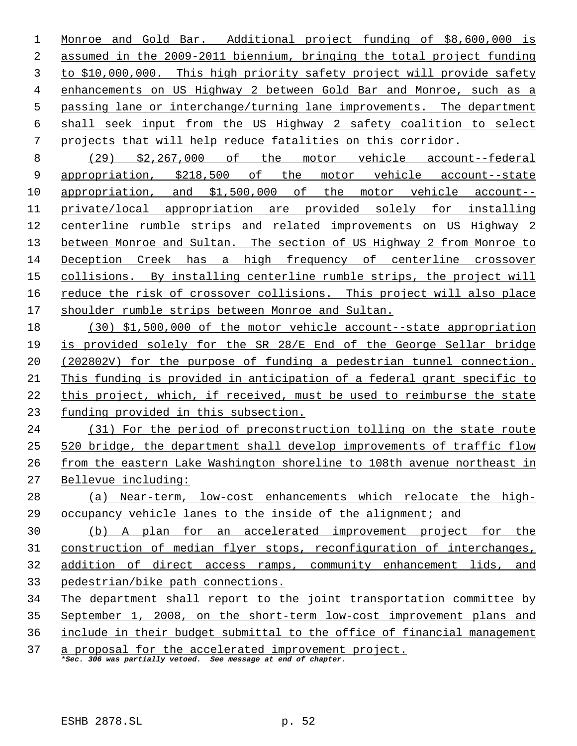Monroe and Gold Bar. Additional project funding of \$8,600,000 is assumed in the 2009-2011 biennium, bringing the total project funding to \$10,000,000. This high priority safety project will provide safety enhancements on US Highway 2 between Gold Bar and Monroe, such as a passing lane or interchange/turning lane improvements. The department shall seek input from the US Highway 2 safety coalition to select projects that will help reduce fatalities on this corridor.

 (29) \$2,267,000 of the motor vehicle account--federal appropriation, \$218,500 of the motor vehicle account--state appropriation, and \$1,500,000 of the motor vehicle account-- private/local appropriation are provided solely for installing centerline rumble strips and related improvements on US Highway 2 13 between Monroe and Sultan. The section of US Highway 2 from Monroe to Deception Creek has a high frequency of centerline crossover collisions. By installing centerline rumble strips, the project will 16 reduce the risk of crossover collisions. This project will also place shoulder rumble strips between Monroe and Sultan.

 (30) \$1,500,000 of the motor vehicle account--state appropriation is provided solely for the SR 28/E End of the George Sellar bridge (202802V) for the purpose of funding a pedestrian tunnel connection. This funding is provided in anticipation of a federal grant specific to this project, which, if received, must be used to reimburse the state funding provided in this subsection.

 (31) For the period of preconstruction tolling on the state route 520 bridge, the department shall develop improvements of traffic flow from the eastern Lake Washington shoreline to 108th avenue northeast in Bellevue including:

 (a) Near-term, low-cost enhancements which relocate the high-occupancy vehicle lanes to the inside of the alignment; and

 (b) A plan for an accelerated improvement project for the construction of median flyer stops, reconfiguration of interchanges, 32 addition of direct access ramps, community enhancement lids, and pedestrian/bike path connections.

 The department shall report to the joint transportation committee by September 1, 2008, on the short-term low-cost improvement plans and

include in their budget submittal to the office of financial management

37 a proposal for the accelerated improvement project. *\*Sec. 306 was partially vetoed. See message at end of chapter.*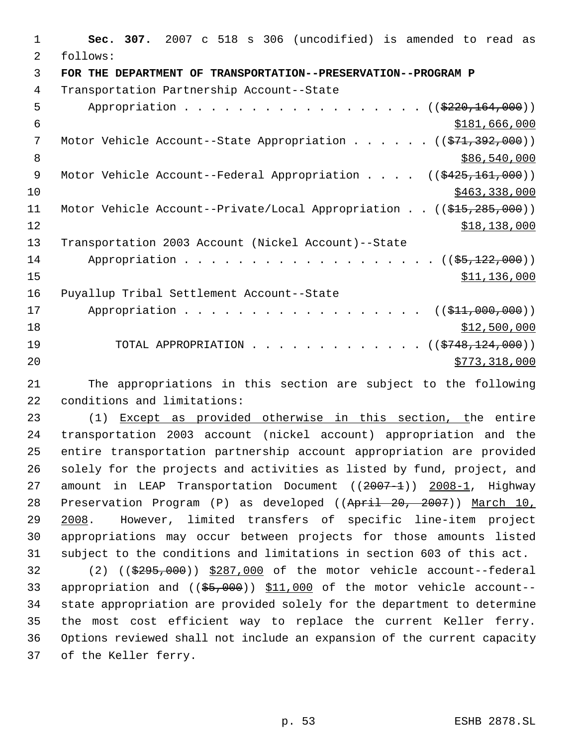**Sec. 307.** 2007 c 518 s 306 (uncodified) is amended to read as follows: **FOR THE DEPARTMENT OF TRANSPORTATION--PRESERVATION--PROGRAM P**  Transportation Partnership Account--State 5 Appropriation . . . . . . . . . . . . . . . . (  $(\frac{2220,164,000}{2})$ 6 \$181,666,000 7 Motor Vehicle Account--State Appropriation . . . . . ((\$71,392,000)) 8 \$86,540,000 \$86,540,000 \$86,540,000 \$86,540,000 \$86,540,000 \$86,540,000 \$86,540,000 \$86,540,000 \$ 9 Motor Vehicle Account--Federal Appropriation . . . . ((\$425,161,000)) \$463,338,000 11 Motor Vehicle Account--Private/Local Appropriation . . ((\$15,285,000)) \$18,138,000 Transportation 2003 Account (Nickel Account)--State 14 Appropriation . . . . . . . . . . . . . . . . . (  $(\frac{25,122,000}{5})$  \$11,136,000 Puyallup Tribal Settlement Account--State 17 Appropriation . . . . . . . . . . . . . . . . ((\$11,000,000)) \$12,500,000 19 TOTAL APPROPRIATION . . . . . . . . . . . . ((<del>\$748,124,000</del>))  $\frac{$773,318,000}{ }$  The appropriations in this section are subject to the following conditions and limitations: (1) Except as provided otherwise in this section, the entire transportation 2003 account (nickel account) appropriation and the entire transportation partnership account appropriation are provided solely for the projects and activities as listed by fund, project, and 27 amount in LEAP Transportation Document ((2007-1)) 2008-1, Highway 28 Preservation Program (P) as developed ((April 20, 2007)) March 10, 29 2008. However, limited transfers of specific line-item project appropriations may occur between projects for those amounts listed subject to the conditions and limitations in section 603 of this act. (2) ((\$295,000)) \$287,000 of the motor vehicle account--federal 33 appropriation and ((\$5,000)) \$11,000 of the motor vehicle account-- state appropriation are provided solely for the department to determine the most cost efficient way to replace the current Keller ferry. Options reviewed shall not include an expansion of the current capacity

of the Keller ferry.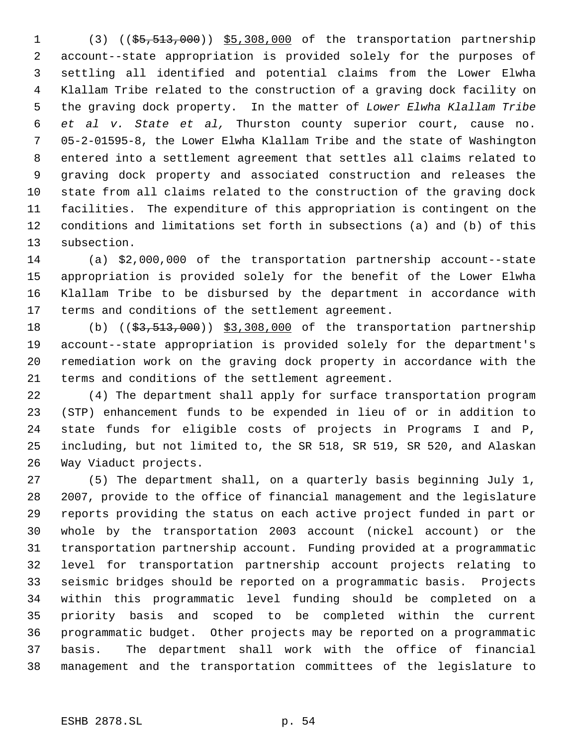1 (3) ((\$5,513,000)) \$5,308,000 of the transportation partnership account--state appropriation is provided solely for the purposes of settling all identified and potential claims from the Lower Elwha Klallam Tribe related to the construction of a graving dock facility on the graving dock property. In the matter of *Lower Elwha Klallam Tribe et al v. State et al,* Thurston county superior court, cause no. 05-2-01595-8, the Lower Elwha Klallam Tribe and the state of Washington entered into a settlement agreement that settles all claims related to graving dock property and associated construction and releases the state from all claims related to the construction of the graving dock facilities. The expenditure of this appropriation is contingent on the conditions and limitations set forth in subsections (a) and (b) of this subsection.

 (a) \$2,000,000 of the transportation partnership account--state appropriation is provided solely for the benefit of the Lower Elwha Klallam Tribe to be disbursed by the department in accordance with terms and conditions of the settlement agreement.

18 (b) ((\$3,513,000)) \$3,308,000 of the transportation partnership account--state appropriation is provided solely for the department's remediation work on the graving dock property in accordance with the terms and conditions of the settlement agreement.

 (4) The department shall apply for surface transportation program (STP) enhancement funds to be expended in lieu of or in addition to state funds for eligible costs of projects in Programs I and P, including, but not limited to, the SR 518, SR 519, SR 520, and Alaskan Way Viaduct projects.

 (5) The department shall, on a quarterly basis beginning July 1, 2007, provide to the office of financial management and the legislature reports providing the status on each active project funded in part or whole by the transportation 2003 account (nickel account) or the transportation partnership account. Funding provided at a programmatic level for transportation partnership account projects relating to seismic bridges should be reported on a programmatic basis. Projects within this programmatic level funding should be completed on a priority basis and scoped to be completed within the current programmatic budget. Other projects may be reported on a programmatic basis. The department shall work with the office of financial management and the transportation committees of the legislature to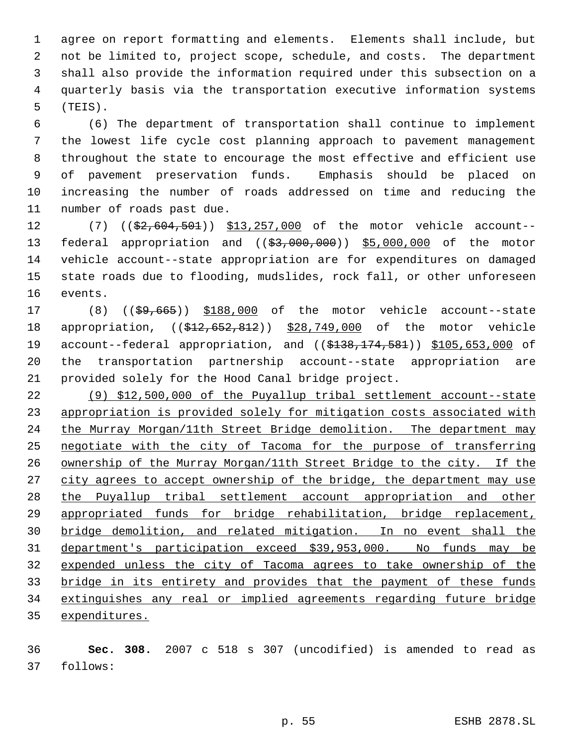agree on report formatting and elements. Elements shall include, but not be limited to, project scope, schedule, and costs. The department shall also provide the information required under this subsection on a quarterly basis via the transportation executive information systems (TEIS).

 (6) The department of transportation shall continue to implement the lowest life cycle cost planning approach to pavement management throughout the state to encourage the most effective and efficient use of pavement preservation funds. Emphasis should be placed on increasing the number of roads addressed on time and reducing the number of roads past due.

12 (7) ((\$2,604,501)) \$13,257,000 of the motor vehicle account--13 federal appropriation and ((\$3,000,000)) \$5,000,000 of the motor vehicle account--state appropriation are for expenditures on damaged state roads due to flooding, mudslides, rock fall, or other unforeseen events.

17 (8) ((\$9,665)) \$188,000 of the motor vehicle account--state 18 appropriation, ((\$12,652,812)) \$28,749,000 of the motor vehicle 19 account--federal appropriation, and ((\$138,174,581)) \$105,653,000 of the transportation partnership account--state appropriation are provided solely for the Hood Canal bridge project.

 (9) \$12,500,000 of the Puyallup tribal settlement account--state appropriation is provided solely for mitigation costs associated with 24 the Murray Morgan/11th Street Bridge demolition. The department may 25 negotiate with the city of Tacoma for the purpose of transferring ownership of the Murray Morgan/11th Street Bridge to the city. If the 27 city agrees to accept ownership of the bridge, the department may use the Puyallup tribal settlement account appropriation and other appropriated funds for bridge rehabilitation, bridge replacement, bridge demolition, and related mitigation. In no event shall the department's participation exceed \$39,953,000. No funds may be expended unless the city of Tacoma agrees to take ownership of the bridge in its entirety and provides that the payment of these funds extinguishes any real or implied agreements regarding future bridge expenditures.

 **Sec. 308.** 2007 c 518 s 307 (uncodified) is amended to read as follows: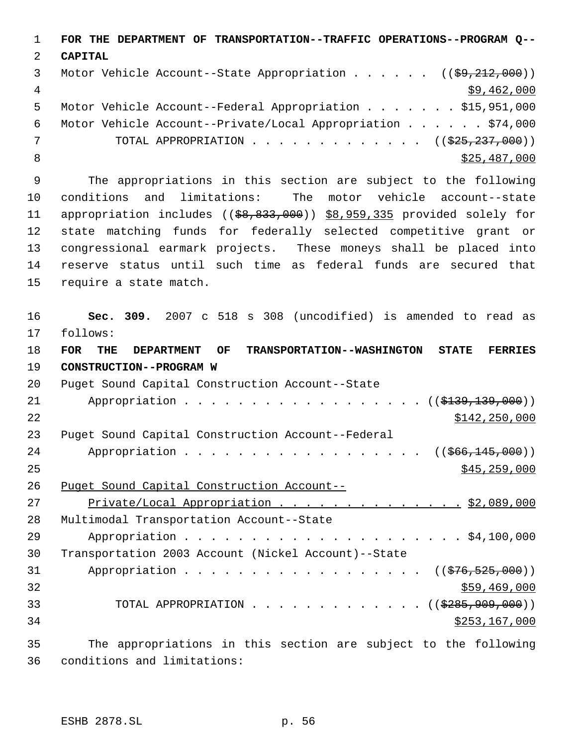**FOR THE DEPARTMENT OF TRANSPORTATION--TRAFFIC OPERATIONS--PROGRAM Q-- CAPITAL** 3 Motor Vehicle Account--State Appropriation . . . . . ((\$9,212,000))  $\frac{4}{39}$ , 462, 000 Motor Vehicle Account--Federal Appropriation . . . . . . . \$15,951,000 Motor Vehicle Account--Private/Local Appropriation . . . . . . \$74,000 7 TOTAL APPROPRIATION . . . . . . . . . . . . ((<del>\$25,237,000</del>)) 8 \$25,487,000 \$25,487,000

 The appropriations in this section are subject to the following conditions and limitations: The motor vehicle account--state 11 appropriation includes ((\$8,833,000)) \$8,959,335 provided solely for state matching funds for federally selected competitive grant or congressional earmark projects. These moneys shall be placed into reserve status until such time as federal funds are secured that require a state match.

 **Sec. 309.** 2007 c 518 s 308 (uncodified) is amended to read as follows: **FOR THE DEPARTMENT OF TRANSPORTATION--WASHINGTON STATE FERRIES CONSTRUCTION--PROGRAM W** Puget Sound Capital Construction Account--State 21 Appropriation . . . . . . . . . . . . . . . . (  $(\frac{2139}{139}, \frac{139}{190})$  )  $5142,250,000$  Puget Sound Capital Construction Account--Federal 24 Appropriation . . . . . . . . . . . . . . . . ((\$66,145,000)) \$45,259,000 Puget Sound Capital Construction Account-- 27 Private/Local Appropriation . . . . . . . . . . . . . . \$2,089,000 Multimodal Transportation Account--State Appropriation . . . . . . . . . . . . . . . . . . . . . \$4,100,000 Transportation 2003 Account (Nickel Account)--State 31 Appropriation . . . . . . . . . . . . . . . . ((\$76,525,000)) \$59,469,000 33 TOTAL APPROPRIATION . . . . . . . . . . . . ((\$285,909,000)) \$253,167,000

 The appropriations in this section are subject to the following conditions and limitations: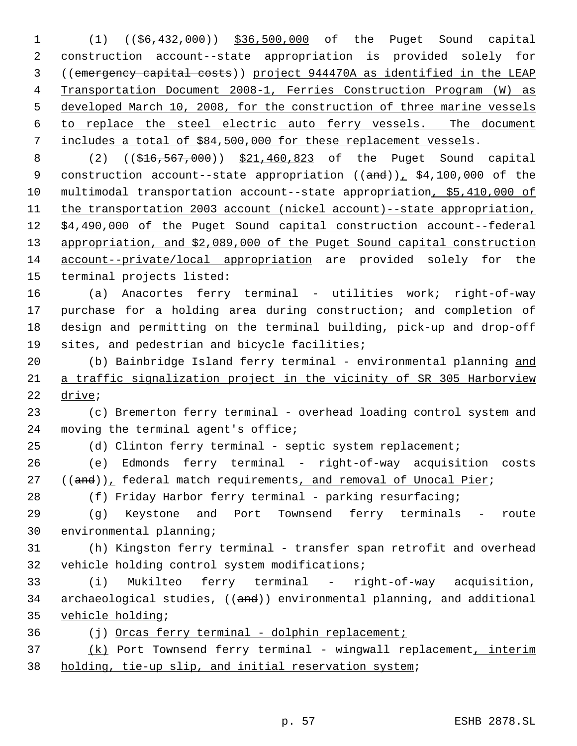(1) ((\$6,432,000)) \$36,500,000 of the Puget Sound capital construction account--state appropriation is provided solely for ((emergency capital costs)) project 944470A as identified in the LEAP Transportation Document 2008-1, Ferries Construction Program (W) as developed March 10, 2008, for the construction of three marine vessels to replace the steel electric auto ferry vessels. The document includes a total of \$84,500,000 for these replacement vessels.

8 (2) ((\$16,567,000)) \$21,460,823 of the Puget Sound capital 9 construction account--state appropriation  $((and))_+$  \$4,100,000 of the multimodal transportation account--state appropriation, \$5,410,000 of 11 the transportation 2003 account (nickel account)--state appropriation, \$4,490,000 of the Puget Sound capital construction account--federal appropriation, and \$2,089,000 of the Puget Sound capital construction account--private/local appropriation are provided solely for the terminal projects listed:

 (a) Anacortes ferry terminal - utilities work; right-of-way purchase for a holding area during construction; and completion of design and permitting on the terminal building, pick-up and drop-off sites, and pedestrian and bicycle facilities;

20 (b) Bainbridge Island ferry terminal - environmental planning and a traffic signalization project in the vicinity of SR 305 Harborview drive;

 (c) Bremerton ferry terminal - overhead loading control system and 24 moving the terminal agent's office;

25 (d) Clinton ferry terminal - septic system replacement;

 (e) Edmonds ferry terminal - right-of-way acquisition costs ((and)), federal match requirements, and removal of Unocal Pier;

28 (f) Friday Harbor ferry terminal - parking resurfacing;

 (g) Keystone and Port Townsend ferry terminals - route environmental planning;

 (h) Kingston ferry terminal - transfer span retrofit and overhead vehicle holding control system modifications;

 (i) Mukilteo ferry terminal - right-of-way acquisition, 34 archaeological studies, ((and)) environmental planning, and additional vehicle holding;

(j) Orcas ferry terminal - dolphin replacement;

37 (k) Port Townsend ferry terminal - wingwall replacement, interim holding, tie-up slip, and initial reservation system;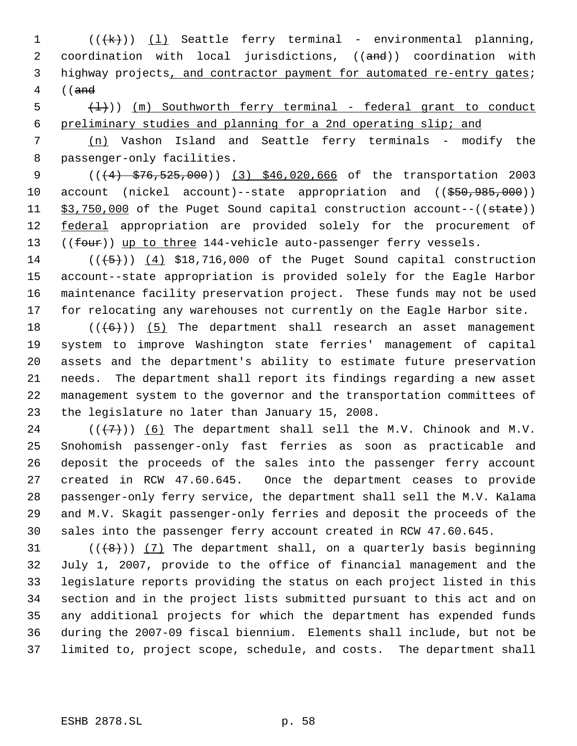1 (((k)) (1) Seattle ferry terminal - environmental planning, 2 coordination with local jurisdictions, ((and)) coordination with highway projects, and contractor payment for automated re-entry gates; ((and

 $\frac{1}{1}$ )) (m) Southworth ferry terminal - federal grant to conduct preliminary studies and planning for a 2nd operating slip; and

 (n) Vashon Island and Seattle ferry terminals - modify the passenger-only facilities.

9 (( $\left(4\right)$  \$76,525,000)) (3) \$46,020,666 of the transportation 2003 10 account (nickel account)--state appropriation and ((\$50,985,000)) 11 \$3,750,000 of the Puget Sound capital construction account--((state)) 12 federal appropriation are provided solely for the procurement of 13 ((four)) up to three 144-vehicle auto-passenger ferry vessels.

 ( $(\overline{5})$ ) (4) \$18,716,000 of the Puget Sound capital construction account--state appropriation is provided solely for the Eagle Harbor maintenance facility preservation project. These funds may not be used for relocating any warehouses not currently on the Eagle Harbor site.

 $((+6))$   $(5)$  The department shall research an asset management system to improve Washington state ferries' management of capital assets and the department's ability to estimate future preservation needs. The department shall report its findings regarding a new asset management system to the governor and the transportation committees of the legislature no later than January 15, 2008.

 ( $(\overline{+7})$ ) (6) The department shall sell the M.V. Chinook and M.V. Snohomish passenger-only fast ferries as soon as practicable and deposit the proceeds of the sales into the passenger ferry account created in RCW 47.60.645. Once the department ceases to provide passenger-only ferry service, the department shall sell the M.V. Kalama and M.V. Skagit passenger-only ferries and deposit the proceeds of the sales into the passenger ferry account created in RCW 47.60.645.

 $((+8))$   $(7)$  The department shall, on a quarterly basis beginning July 1, 2007, provide to the office of financial management and the legislature reports providing the status on each project listed in this section and in the project lists submitted pursuant to this act and on any additional projects for which the department has expended funds during the 2007-09 fiscal biennium. Elements shall include, but not be limited to, project scope, schedule, and costs. The department shall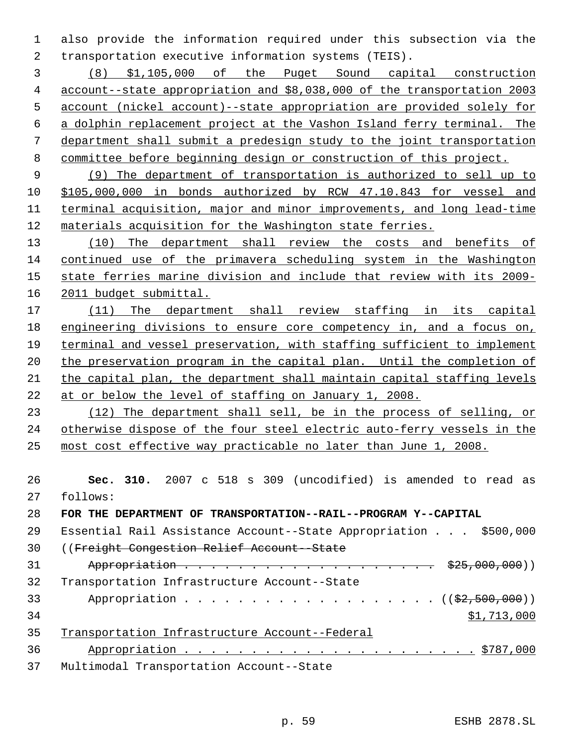also provide the information required under this subsection via the transportation executive information systems (TEIS).

 (8) \$1,105,000 of the Puget Sound capital construction account--state appropriation and \$8,038,000 of the transportation 2003 account (nickel account)--state appropriation are provided solely for a dolphin replacement project at the Vashon Island ferry terminal. The department shall submit a predesign study to the joint transportation committee before beginning design or construction of this project.

 (9) The department of transportation is authorized to sell up to \$105,000,000 in bonds authorized by RCW 47.10.843 for vessel and terminal acquisition, major and minor improvements, and long lead-time materials acquisition for the Washington state ferries.

13 (10) The department shall review the costs and benefits of continued use of the primavera scheduling system in the Washington state ferries marine division and include that review with its 2009- 2011 budget submittal.

 (11) The department shall review staffing in its capital engineering divisions to ensure core competency in, and a focus on, terminal and vessel preservation, with staffing sufficient to implement 20 the preservation program in the capital plan. Until the completion of the capital plan, the department shall maintain capital staffing levels at or below the level of staffing on January 1, 2008.

 (12) The department shall sell, be in the process of selling, or otherwise dispose of the four steel electric auto-ferry vessels in the most cost effective way practicable no later than June 1, 2008.

 **Sec. 310.** 2007 c 518 s 309 (uncodified) is amended to read as follows:

**FOR THE DEPARTMENT OF TRANSPORTATION--RAIL--PROGRAM Y--CAPITAL**

 Essential Rail Assistance Account--State Appropriation . . . \$500,000 ((Freight Congestion Relief Account--State 31 Appropriation . . . . . . . . . . . . . . . . . \$25,000,000)) Transportation Infrastructure Account--State 33 Appropriation . . . . . . . . . . . . . . . . . ((\$2,500,000)) \$1,713,000 Transportation Infrastructure Account--Federal Appropriation . . . . . . . . . . . . . . . . . . . . . . \$787,000 Multimodal Transportation Account--State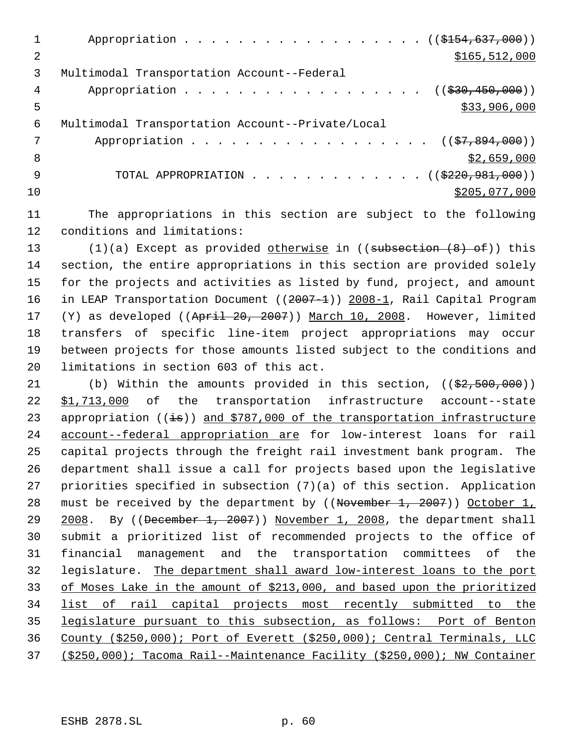|    | Appropriation ((\$154,637,000))                              |
|----|--------------------------------------------------------------|
| 2  | \$165, 512, 000                                              |
| 3  | Multimodal Transportation Account--Federal                   |
| 4  | Appropriation ( $(\frac{230}{1000}$ , 450, 000))             |
| 5  | \$33,906,000                                                 |
| 6  | Multimodal Transportation Account--Private/Local             |
| 7  | Appropriation ( $(\frac{27}{57}, 894, 000)$ )                |
| 8  | \$2,659,000                                                  |
| 9  | TOTAL APPROPRIATION $\ldots$ , ( $(\frac{2220}{981}, 000)$ ) |
| 10 | \$205,077,000                                                |
|    |                                                              |

- 11 The appropriations in this section are subject to the following 12 conditions and limitations:
- 13 (1)(a) Except as provided otherwise in ((subsection (8) of)) this 14 section, the entire appropriations in this section are provided solely 15 for the projects and activities as listed by fund, project, and amount 16 in LEAP Transportation Document ((2007-1)) 2008-1, Rail Capital Program 17 (Y) as developed ((April 20, 2007)) March 10, 2008. However, limited 18 transfers of specific line-item project appropriations may occur 19 between projects for those amounts listed subject to the conditions and 20 limitations in section 603 of this act.

21 (b) Within the amounts provided in this section,  $((\frac{2}{2}, 500, 000))$ 22 \$1,713,000 of the transportation infrastructure account--state 23 appropriation  $((\frac{1}{18}))$  and \$787,000 of the transportation infrastructure account--federal appropriation are for low-interest loans for rail capital projects through the freight rail investment bank program. The department shall issue a call for projects based upon the legislative priorities specified in subsection (7)(a) of this section. Application 28 must be received by the department by ((November 1, 2007)) October 1, 29 2008. By ((December 1, 2007)) November 1, 2008, the department shall submit a prioritized list of recommended projects to the office of financial management and the transportation committees of the legislature. The department shall award low-interest loans to the port of Moses Lake in the amount of \$213,000, and based upon the prioritized 34 list of rail capital projects most recently submitted to the legislature pursuant to this subsection, as follows: Port of Benton County (\$250,000); Port of Everett (\$250,000); Central Terminals, LLC (\$250,000); Tacoma Rail--Maintenance Facility (\$250,000); NW Container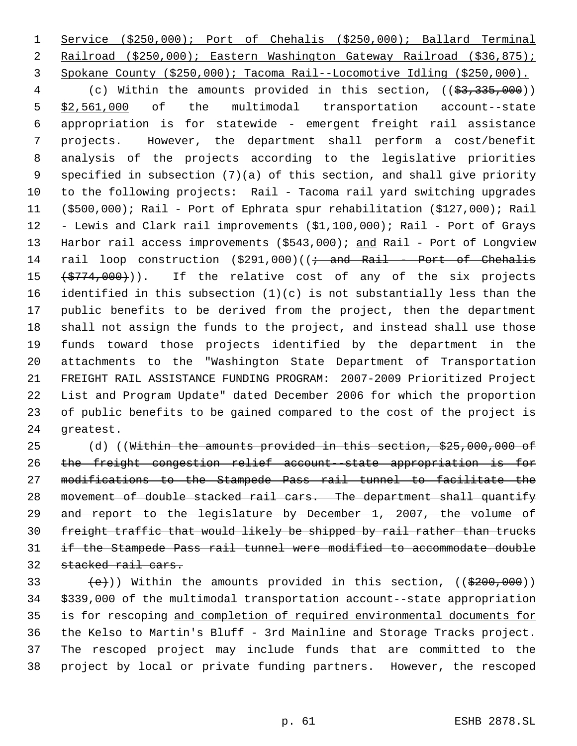Service (\$250,000); Port of Chehalis (\$250,000); Ballard Terminal Railroad (\$250,000); Eastern Washington Gateway Railroad (\$36,875); Spokane County (\$250,000); Tacoma Rail--Locomotive Idling (\$250,000).

4 (c) Within the amounts provided in this section, ((\$3,335,000)) \$2,561,000 of the multimodal transportation account--state appropriation is for statewide - emergent freight rail assistance projects. However, the department shall perform a cost/benefit analysis of the projects according to the legislative priorities specified in subsection (7)(a) of this section, and shall give priority to the following projects: Rail - Tacoma rail yard switching upgrades (\$500,000); Rail - Port of Ephrata spur rehabilitation (\$127,000); Rail - Lewis and Clark rail improvements (\$1,100,000); Rail - Port of Grays 13 Harbor rail access improvements (\$543,000); and Rail - Port of Longview 14 rail loop construction  $(\$291,000)$  ( $\rightarrow$  and Rail - Port of Chehalis  $(\frac{1}{2774},000)$ ). If the relative cost of any of the six projects identified in this subsection (1)(c) is not substantially less than the public benefits to be derived from the project, then the department shall not assign the funds to the project, and instead shall use those funds toward those projects identified by the department in the attachments to the "Washington State Department of Transportation FREIGHT RAIL ASSISTANCE FUNDING PROGRAM: 2007-2009 Prioritized Project List and Program Update" dated December 2006 for which the proportion of public benefits to be gained compared to the cost of the project is greatest.

25 (d) ((Within the amounts provided in this section, \$25,000,000 of the freight congestion relief account--state appropriation is for modifications to the Stampede Pass rail tunnel to facilitate the movement of double stacked rail cars. The department shall quantify 29 and report to the legislature by December 1, 2007, the volume of freight traffic that would likely be shipped by rail rather than trucks if the Stampede Pass rail tunnel were modified to accommodate double stacked rail cars.

 $(e)$ )) Within the amounts provided in this section, (( $$200,000$ )) \$339,000 of the multimodal transportation account--state appropriation is for rescoping and completion of required environmental documents for the Kelso to Martin's Bluff - 3rd Mainline and Storage Tracks project. The rescoped project may include funds that are committed to the project by local or private funding partners. However, the rescoped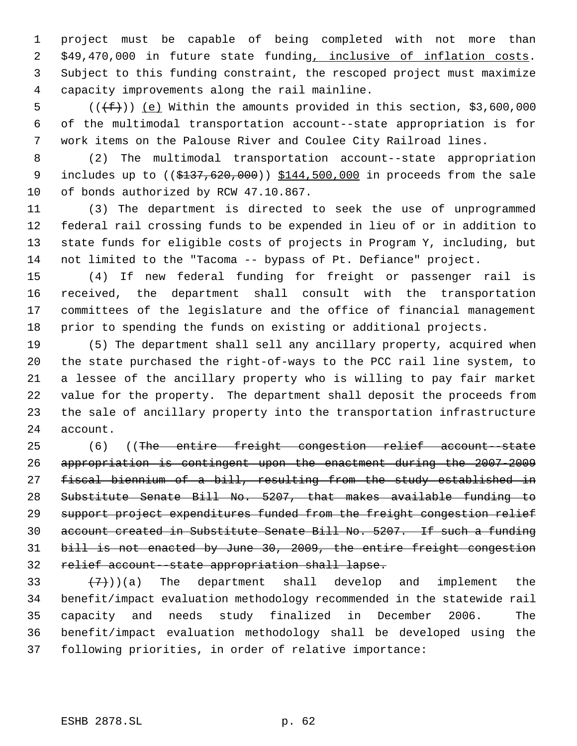project must be capable of being completed with not more than \$49,470,000 in future state funding, inclusive of inflation costs. Subject to this funding constraint, the rescoped project must maximize capacity improvements along the rail mainline.

5  $((\text{f}))(\text{e})$  Within the amounts provided in this section, \$3,600,000 of the multimodal transportation account--state appropriation is for work items on the Palouse River and Coulee City Railroad lines.

 (2) The multimodal transportation account--state appropriation 9 includes up to ((\$137,620,000)) \$144,500,000 in proceeds from the sale of bonds authorized by RCW 47.10.867.

 (3) The department is directed to seek the use of unprogrammed federal rail crossing funds to be expended in lieu of or in addition to state funds for eligible costs of projects in Program Y, including, but not limited to the "Tacoma -- bypass of Pt. Defiance" project.

 (4) If new federal funding for freight or passenger rail is received, the department shall consult with the transportation committees of the legislature and the office of financial management prior to spending the funds on existing or additional projects.

 (5) The department shall sell any ancillary property, acquired when the state purchased the right-of-ways to the PCC rail line system, to a lessee of the ancillary property who is willing to pay fair market value for the property. The department shall deposit the proceeds from the sale of ancillary property into the transportation infrastructure account.

 (6) ((The entire freight congestion relief account--state appropriation is contingent upon the enactment during the 2007-2009 fiscal biennium of a bill, resulting from the study established in Substitute Senate Bill No. 5207, that makes available funding to support project expenditures funded from the freight congestion relief account created in Substitute Senate Bill No. 5207. If such a funding bill is not enacted by June 30, 2009, the entire freight congestion relief account--state appropriation shall lapse.

 $(7)$ )(a) The department shall develop and implement the benefit/impact evaluation methodology recommended in the statewide rail capacity and needs study finalized in December 2006. The benefit/impact evaluation methodology shall be developed using the following priorities, in order of relative importance: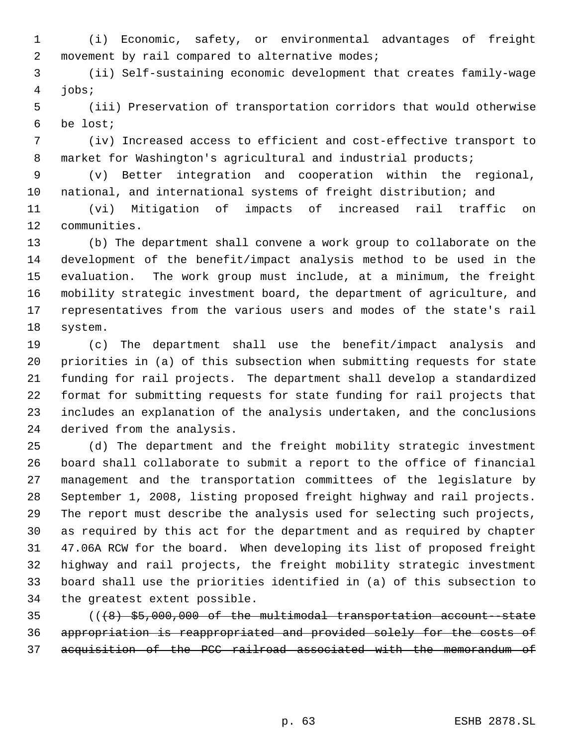(i) Economic, safety, or environmental advantages of freight 2 movement by rail compared to alternative modes;

 (ii) Self-sustaining economic development that creates family-wage jobs;

 (iii) Preservation of transportation corridors that would otherwise be lost;

 (iv) Increased access to efficient and cost-effective transport to market for Washington's agricultural and industrial products;

 (v) Better integration and cooperation within the regional, national, and international systems of freight distribution; and

 (vi) Mitigation of impacts of increased rail traffic on communities.

 (b) The department shall convene a work group to collaborate on the development of the benefit/impact analysis method to be used in the evaluation. The work group must include, at a minimum, the freight mobility strategic investment board, the department of agriculture, and representatives from the various users and modes of the state's rail system.

 (c) The department shall use the benefit/impact analysis and priorities in (a) of this subsection when submitting requests for state funding for rail projects. The department shall develop a standardized format for submitting requests for state funding for rail projects that includes an explanation of the analysis undertaken, and the conclusions derived from the analysis.

 (d) The department and the freight mobility strategic investment board shall collaborate to submit a report to the office of financial management and the transportation committees of the legislature by September 1, 2008, listing proposed freight highway and rail projects. The report must describe the analysis used for selecting such projects, as required by this act for the department and as required by chapter 47.06A RCW for the board. When developing its list of proposed freight highway and rail projects, the freight mobility strategic investment board shall use the priorities identified in (a) of this subsection to the greatest extent possible.

 (((8) \$5,000,000 of the multimodal transportation account--state appropriation is reappropriated and provided solely for the costs of acquisition of the PCC railroad associated with the memorandum of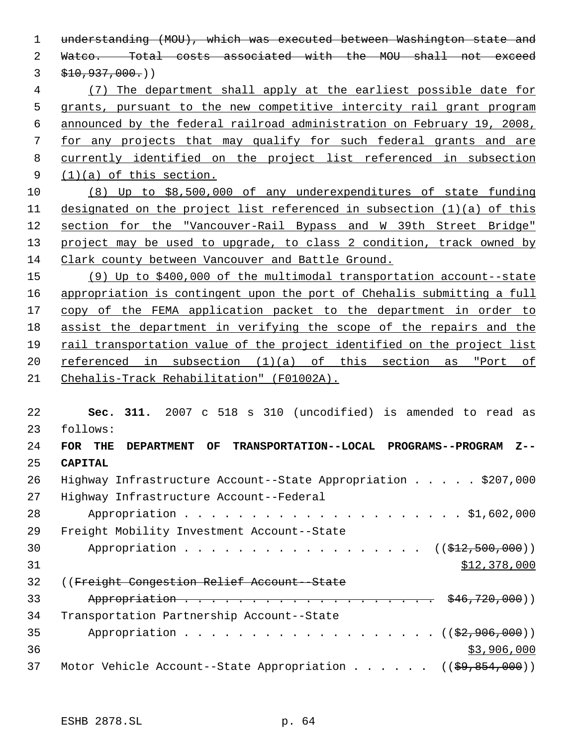understanding (MOU), which was executed between Washington state and Watco. Total costs associated with the MOU shall not exceed  $3 \frac{$10,937,000.}{)}$  (7) The department shall apply at the earliest possible date for grants, pursuant to the new competitive intercity rail grant program announced by the federal railroad administration on February 19, 2008, for any projects that may qualify for such federal grants and are currently identified on the project list referenced in subsection (1)(a) of this section. (8) Up to \$8,500,000 of any underexpenditures of state funding designated on the project list referenced in subsection (1)(a) of this section for the "Vancouver-Rail Bypass and W 39th Street Bridge" 13 project may be used to upgrade, to class 2 condition, track owned by Clark county between Vancouver and Battle Ground. (9) Up to \$400,000 of the multimodal transportation account--state appropriation is contingent upon the port of Chehalis submitting a full 17 copy of the FEMA application packet to the department in order to assist the department in verifying the scope of the repairs and the rail transportation value of the project identified on the project list 20 referenced in subsection (1)(a) of this section as "Port of Chehalis-Track Rehabilitation" (F01002A). **Sec. 311.** 2007 c 518 s 310 (uncodified) is amended to read as follows: **FOR THE DEPARTMENT OF TRANSPORTATION--LOCAL PROGRAMS--PROGRAM Z-- CAPITAL** Highway Infrastructure Account--State Appropriation . . . . . \$207,000 Highway Infrastructure Account--Federal Appropriation . . . . . . . . . . . . . . . . . . . . . \$1,602,000 Freight Mobility Investment Account--State 30 Appropriation . . . . . . . . . . . . . . . . ((\$12,500,000)) \$12,378,000 ((Freight Congestion Relief Account--State 33 Appropriation . . . . . . . . . . . . . . . . . . \$46,720,000)) Transportation Partnership Account--State 35 Appropriation . . . . . . . . . . . . . . . .  $($   $(\frac{2}{2}, 906, 000))$  $3,906,000$ 

37 Motor Vehicle Account--State Appropriation . . . . . ((\$9,854,000))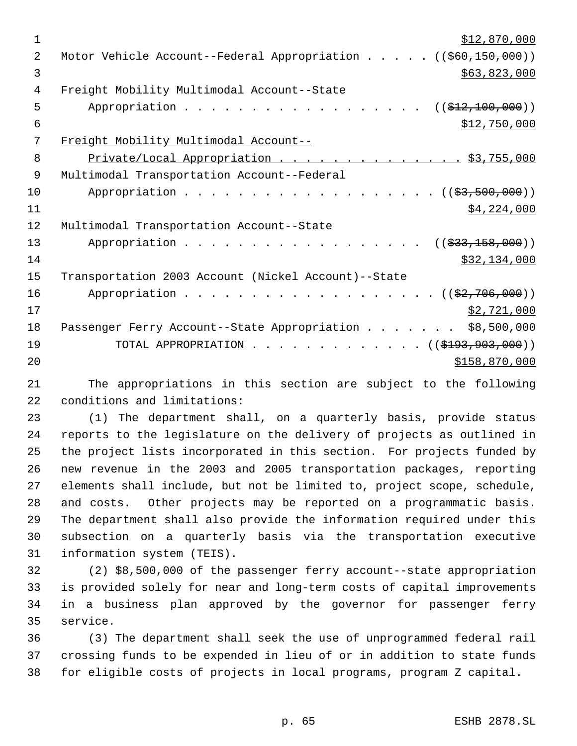| $\mathbf 1$    | \$12,870,000                                                            |
|----------------|-------------------------------------------------------------------------|
| $\overline{2}$ | Motor Vehicle Account--Federal Appropriation ((\$60,150,000))           |
| 3              | \$63,823,000                                                            |
| 4              | Freight Mobility Multimodal Account--State                              |
| 5              | Appropriation<br>((\$412,100,000))                                      |
| 6              | \$12,750,000                                                            |
| 7              | Freight Mobility Multimodal Account--                                   |
| 8              | Private/Local Appropriation \$3,755,000                                 |
| 9              | Multimodal Transportation Account--Federal                              |
| 10             | Appropriation ( (\$3,500,000))                                          |
| 11             | \$4,224,000                                                             |
| 12             | Multimodal Transportation Account--State                                |
| 13             | Appropriation<br>$((\frac{233}{733}, \frac{158}{100}, \frac{000}{10}))$ |
| 14             | \$32,134,000                                                            |
| 15             | Transportation 2003 Account (Nickel Account)--State                     |
| 16             | Appropriation ((\$2,706,000))                                           |
| 17             | \$2,721,000                                                             |
| 18             | \$8,500,000<br>Passenger Ferry Account--State Appropriation             |
| 19             | TOTAL APPROPRIATION $($ $($ \$193,903,000 $)$                           |
| 20             | \$158,870,000                                                           |
|                |                                                                         |

 The appropriations in this section are subject to the following conditions and limitations:

 (1) The department shall, on a quarterly basis, provide status reports to the legislature on the delivery of projects as outlined in the project lists incorporated in this section. For projects funded by new revenue in the 2003 and 2005 transportation packages, reporting elements shall include, but not be limited to, project scope, schedule, and costs. Other projects may be reported on a programmatic basis. The department shall also provide the information required under this subsection on a quarterly basis via the transportation executive information system (TEIS).

 (2) \$8,500,000 of the passenger ferry account--state appropriation is provided solely for near and long-term costs of capital improvements in a business plan approved by the governor for passenger ferry service.

 (3) The department shall seek the use of unprogrammed federal rail crossing funds to be expended in lieu of or in addition to state funds for eligible costs of projects in local programs, program Z capital.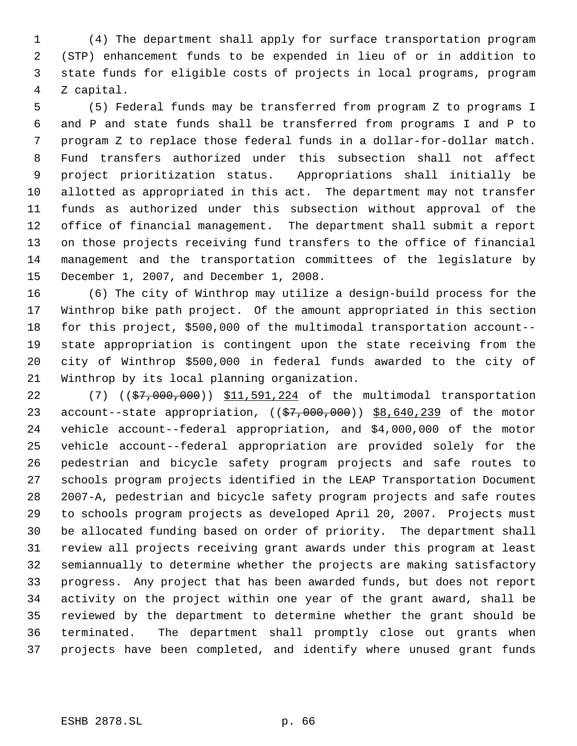(4) The department shall apply for surface transportation program (STP) enhancement funds to be expended in lieu of or in addition to state funds for eligible costs of projects in local programs, program Z capital.

 (5) Federal funds may be transferred from program Z to programs I and P and state funds shall be transferred from programs I and P to program Z to replace those federal funds in a dollar-for-dollar match. Fund transfers authorized under this subsection shall not affect project prioritization status. Appropriations shall initially be allotted as appropriated in this act. The department may not transfer funds as authorized under this subsection without approval of the office of financial management. The department shall submit a report on those projects receiving fund transfers to the office of financial management and the transportation committees of the legislature by December 1, 2007, and December 1, 2008.

 (6) The city of Winthrop may utilize a design-build process for the Winthrop bike path project. Of the amount appropriated in this section for this project, \$500,000 of the multimodal transportation account-- state appropriation is contingent upon the state receiving from the city of Winthrop \$500,000 in federal funds awarded to the city of Winthrop by its local planning organization.

22 (7) ((\$7,000,000)) \$11,591,224 of the multimodal transportation 23 account--state appropriation,  $((\frac{23}{57},000,000))$   $\frac{188,640,239}{230}$  of the motor vehicle account--federal appropriation, and \$4,000,000 of the motor vehicle account--federal appropriation are provided solely for the pedestrian and bicycle safety program projects and safe routes to schools program projects identified in the LEAP Transportation Document 2007-A, pedestrian and bicycle safety program projects and safe routes to schools program projects as developed April 20, 2007. Projects must be allocated funding based on order of priority. The department shall review all projects receiving grant awards under this program at least semiannually to determine whether the projects are making satisfactory progress. Any project that has been awarded funds, but does not report activity on the project within one year of the grant award, shall be reviewed by the department to determine whether the grant should be terminated. The department shall promptly close out grants when projects have been completed, and identify where unused grant funds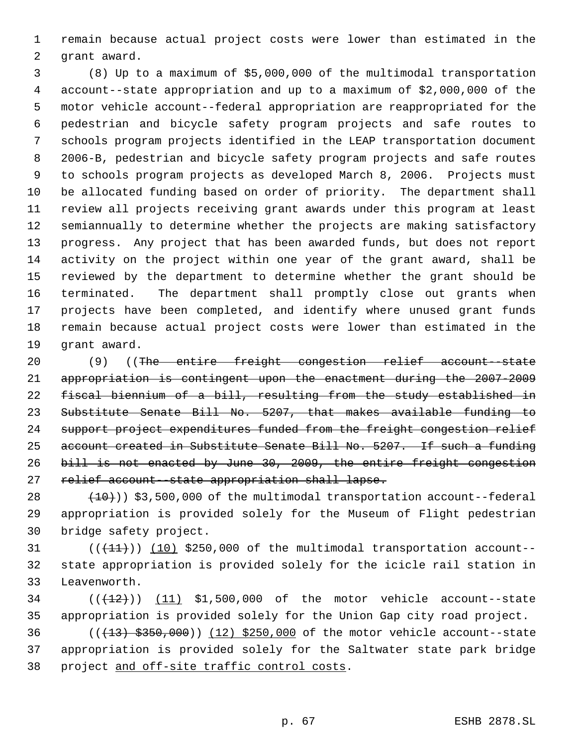remain because actual project costs were lower than estimated in the grant award.

 (8) Up to a maximum of \$5,000,000 of the multimodal transportation account--state appropriation and up to a maximum of \$2,000,000 of the motor vehicle account--federal appropriation are reappropriated for the pedestrian and bicycle safety program projects and safe routes to schools program projects identified in the LEAP transportation document 2006-B, pedestrian and bicycle safety program projects and safe routes to schools program projects as developed March 8, 2006. Projects must be allocated funding based on order of priority. The department shall review all projects receiving grant awards under this program at least semiannually to determine whether the projects are making satisfactory progress. Any project that has been awarded funds, but does not report activity on the project within one year of the grant award, shall be reviewed by the department to determine whether the grant should be terminated. The department shall promptly close out grants when projects have been completed, and identify where unused grant funds remain because actual project costs were lower than estimated in the grant award.

 (9) ((The entire freight congestion relief account--state appropriation is contingent upon the enactment during the 2007-2009 fiscal biennium of a bill, resulting from the study established in Substitute Senate Bill No. 5207, that makes available funding to support project expenditures funded from the freight congestion relief account created in Substitute Senate Bill No. 5207. If such a funding bill is not enacted by June 30, 2009, the entire freight congestion 27 relief account state appropriation shall lapse.

 $(10)$   $(10)$ ) \$3,500,000 of the multimodal transportation account--federal appropriation is provided solely for the Museum of Flight pedestrian bridge safety project.

31  $((+11))$   $(10)$  \$250,000 of the multimodal transportation account-- state appropriation is provided solely for the icicle rail station in Leavenworth.

34  $((+12))$   $(11)$  \$1,500,000 of the motor vehicle account--state appropriation is provided solely for the Union Gap city road project.

36 (( $(13)$  \$350,000)) (12) \$250,000 of the motor vehicle account--state appropriation is provided solely for the Saltwater state park bridge 38 project and off-site traffic control costs.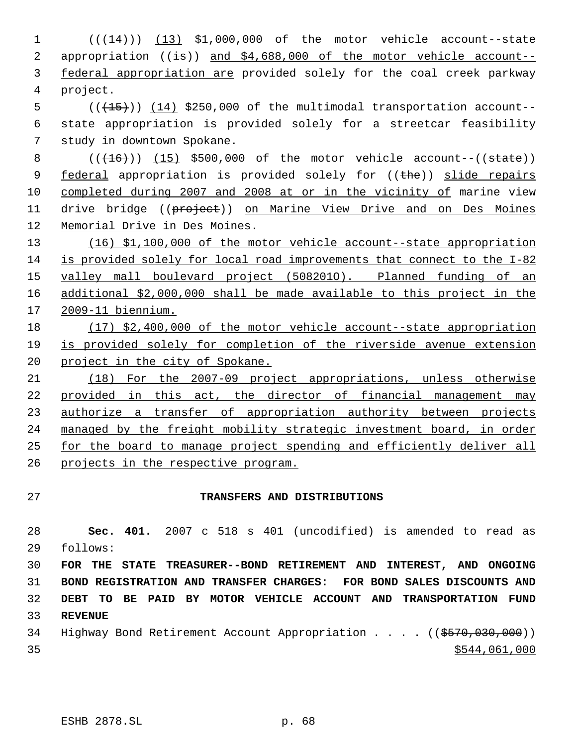( $(\overline{+44})$ )  $(13)$  \$1,000,000 of the motor vehicle account--state 2 appropriation  $((\frac{1}{15}))$  and \$4,688,000 of the motor vehicle account--3 federal appropriation are provided solely for the coal creek parkway project.

 $((+15))$   $(14)$  \$250,000 of the multimodal transportation account-- state appropriation is provided solely for a streetcar feasibility study in downtown Spokane.

 ( $(\overline{+16})$ ) (15) \$500,000 of the motor vehicle account--((state)) 9 federal appropriation is provided solely for ((the)) slide repairs completed during 2007 and 2008 at or in the vicinity of marine view 11 drive bridge ((project)) on Marine View Drive and on Des Moines Memorial Drive in Des Moines.

 (16) \$1,100,000 of the motor vehicle account--state appropriation is provided solely for local road improvements that connect to the I-82 valley mall boulevard project (508201O). Planned funding of an additional \$2,000,000 shall be made available to this project in the 2009-11 biennium.

 (17) \$2,400,000 of the motor vehicle account--state appropriation is provided solely for completion of the riverside avenue extension 20 project in the city of Spokane.

 (18) For the 2007-09 project appropriations, unless otherwise provided in this act, the director of financial management may 23 authorize a transfer of appropriation authority between projects managed by the freight mobility strategic investment board, in order for the board to manage project spending and efficiently deliver all projects in the respective program.

## **TRANSFERS AND DISTRIBUTIONS**

 **Sec. 401.** 2007 c 518 s 401 (uncodified) is amended to read as follows:

 **FOR THE STATE TREASURER--BOND RETIREMENT AND INTEREST, AND ONGOING BOND REGISTRATION AND TRANSFER CHARGES: FOR BOND SALES DISCOUNTS AND DEBT TO BE PAID BY MOTOR VEHICLE ACCOUNT AND TRANSPORTATION FUND REVENUE**

34 Highway Bond Retirement Account Appropriation . . . . ((\$570,030,000))  $35 - 35$  \$544,061,000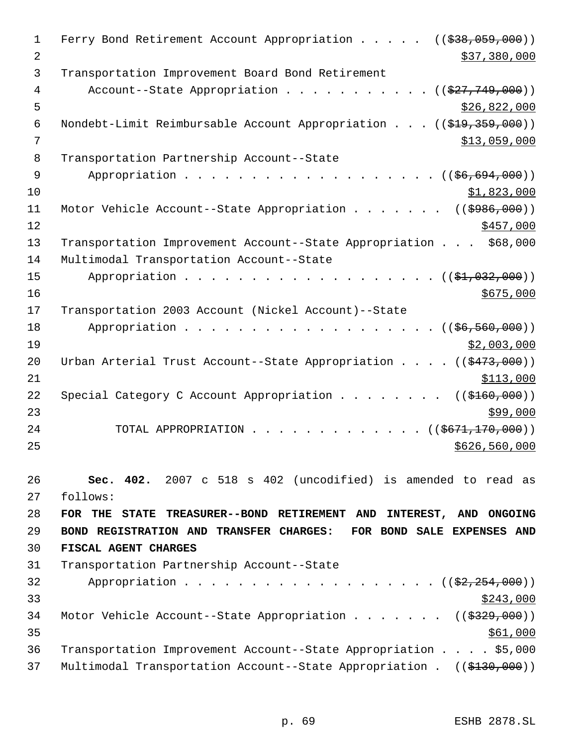1 Ferry Bond Retirement Account Appropriation . . . . ((\$38,059,000)) 2 \$37,380,000 \$37,380,000 3 Transportation Improvement Board Bond Retirement 4 Account--State Appropriation . . . . . . . . . . ((\$27,749,000))  $5 - 5$  \$26,822,000 6 Nondebt-Limit Reimbursable Account Appropriation . . . ((\$19,359,000))  $7$   $313,059,000$  8 Transportation Partnership Account--State 9 Appropriation . . . . . . . . . . . . . . . . . ((\$6,694,000))  $10$  \$1,823,000 11 Motor Vehicle Account--State Appropriation . . . . . . ((\$986,000))  $12 \frac{\$457,000}{}$ 13 Transportation Improvement Account--State Appropriation . . . \$68,000 14 Multimodal Transportation Account--State 15 Appropriation . . . . . . . . . . . . . . . . . (  $(\frac{1}{21}, 032, 000)$  )  $16$  \$675,000 17 Transportation 2003 Account (Nickel Account)--State 18 Appropriation . . . . . . . . . . . . . . . . . ((\$6,560,000))  $19$  \$2,003,000 20 Urban Arterial Trust Account--State Appropriation . . . . ((\$473,000))  $21$   $\frac{$113,000}{}$ 22 Special Category C Account Appropriation . . . . . . . ((\$160,000))  $23$ 24 TOTAL APPROPRIATION . . . . . . . . . . . . . ((\$671,170,000))  $25$  \$626,560,000 26 **Sec. 402.** 2007 c 518 s 402 (uncodified) is amended to read as 27 follows: 28 **FOR THE STATE TREASURER--BOND RETIREMENT AND INTEREST, AND ONGOING** 29 **BOND REGISTRATION AND TRANSFER CHARGES: FOR BOND SALE EXPENSES AND** 30 **FISCAL AGENT CHARGES** 31 Transportation Partnership Account--State 32 Appropriation . . . . . . . . . . . . . . . . . ((\$2,254,000))  $\frac{$243,000}{ }$ 34 Motor Vehicle Account--State Appropriation . . . . . . ((\$329,000))  $35$ 36 Transportation Improvement Account--State Appropriation . . . . \$5,000 37 Multimodal Transportation Account--State Appropriation . ((\$130,000))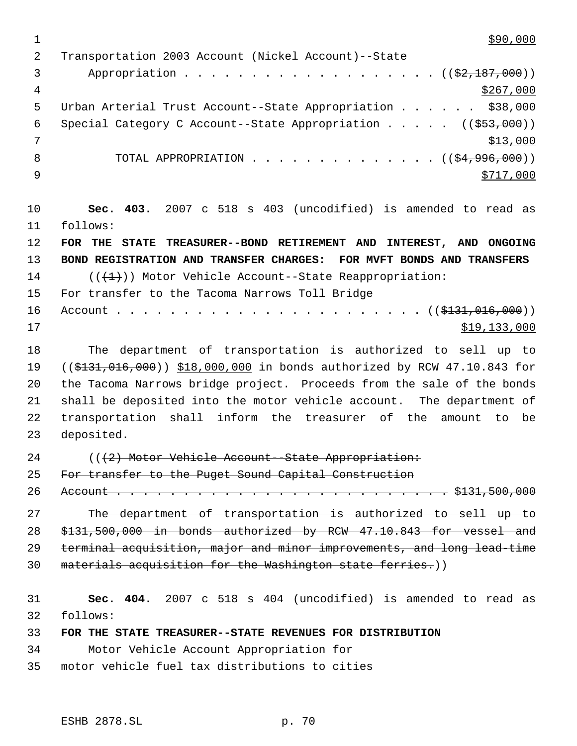$1 \frac{\$90,000}{ }$  Transportation 2003 Account (Nickel Account)--State 3 Appropriation . . . . . . . . . . . . . . . . . . (  $(\frac{2}{2}, \frac{187}{100})$  )  $\frac{$267,000}{ }$ 5 Urban Arterial Trust Account--State Appropriation . . . . . . \$38,000 6 Special Category C Account--State Appropriation . . . . ((\$53,000))  $7 \frac{\text{ }13,000}{}$ 8 TOTAL APPROPRIATION . . . . . . . . . . . . . ((<del>\$4,996,000</del>)) 9 \$717,000 **Sec. 403.** 2007 c 518 s 403 (uncodified) is amended to read as follows: **FOR THE STATE TREASURER--BOND RETIREMENT AND INTEREST, AND ONGOING BOND REGISTRATION AND TRANSFER CHARGES: FOR MVFT BONDS AND TRANSFERS** 14  $((+1))$  Motor Vehicle Account--State Reappropriation: For transfer to the Tacoma Narrows Toll Bridge Account . . . . . . . . . . . . . . . . . . . . . . . ((\$131,016,000)) \$19,133,000 The department of transportation is authorized to sell up to 19 ((\$131,016,000)) \$18,000,000 in bonds authorized by RCW 47.10.843 for the Tacoma Narrows bridge project. Proceeds from the sale of the bonds shall be deposited into the motor vehicle account. The department of transportation shall inform the treasurer of the amount to be deposited.

24 (( $(2)$  Motor Vehicle Account--State Appropriation:

25 For transfer to the Puget Sound Capital Construction

Account . . . . . . . . . . . . . . . . . . . . . . . . . \$131,500,000

 The department of transportation is authorized to sell up to \$131,500,000 in bonds authorized by RCW 47.10.843 for vessel and terminal acquisition, major and minor improvements, and long lead-time materials acquisition for the Washington state ferries.))

 **Sec. 404.** 2007 c 518 s 404 (uncodified) is amended to read as follows:

**FOR THE STATE TREASURER--STATE REVENUES FOR DISTRIBUTION**

Motor Vehicle Account Appropriation for

motor vehicle fuel tax distributions to cities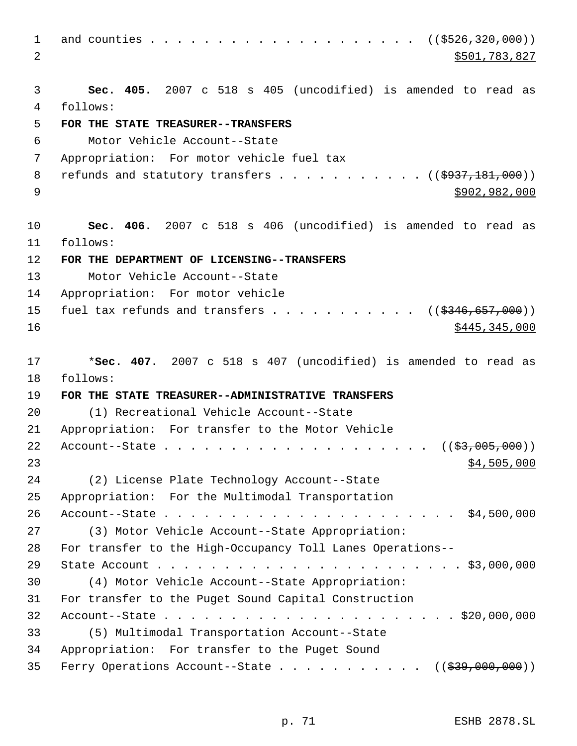and counties . . . . . . . . . . . . . . . . . . . . ((\$526,320,000)) 2 \$501,783,827 **Sec. 405.** 2007 c 518 s 405 (uncodified) is amended to read as follows: **FOR THE STATE TREASURER--TRANSFERS** Motor Vehicle Account--State Appropriation: For motor vehicle fuel tax 8 refunds and statutory transfers  $\ldots$  . . . . . . . . ( $(\frac{\text{3937},181,000}{\text{900}})$ ) \$902,982,000 **Sec. 406.** 2007 c 518 s 406 (uncodified) is amended to read as follows: **FOR THE DEPARTMENT OF LICENSING--TRANSFERS** Motor Vehicle Account--State Appropriation: For motor vehicle 15 fuel tax refunds and transfers  $\ldots$  . . . . . . . .  $\ldots$  ( $(\frac{2346,657,000}{2})$  \$445,345,000 \***Sec. 407.** 2007 c 518 s 407 (uncodified) is amended to read as follows: **FOR THE STATE TREASURER--ADMINISTRATIVE TRANSFERS** (1) Recreational Vehicle Account--State Appropriation: For transfer to the Motor Vehicle Account--State . . . . . . . . . . . . . . . . . . . . ((\$3,005,000))  $\frac{1}{2}$   $\frac{1}{2}$   $\frac{1}{2}$   $\frac{1}{2}$   $\frac{1}{2}$   $\frac{1}{2}$   $\frac{1}{2}$   $\frac{1}{2}$   $\frac{1}{2}$   $\frac{1}{2}$   $\frac{1}{2}$   $\frac{1}{2}$   $\frac{1}{2}$   $\frac{1}{2}$   $\frac{1}{2}$   $\frac{1}{2}$   $\frac{1}{2}$   $\frac{1}{2}$   $\frac{1}{2}$   $\frac{1}{2}$   $\frac{1}{2}$   $\frac{1}{$  (2) License Plate Technology Account--State Appropriation: For the Multimodal Transportation Account--State . . . . . . . . . . . . . . . . . . . . . . \$4,500,000 (3) Motor Vehicle Account--State Appropriation: For transfer to the High-Occupancy Toll Lanes Operations-- State Account . . . . . . . . . . . . . . . . . . . . . . . \$3,000,000 (4) Motor Vehicle Account--State Appropriation: For transfer to the Puget Sound Capital Construction Account--State . . . . . . . . . . . . . . . . . . . . . . \$20,000,000 (5) Multimodal Transportation Account--State Appropriation: For transfer to the Puget Sound 35 Ferry Operations Account--State . . . . . . . . . . . ((\$39,000,000))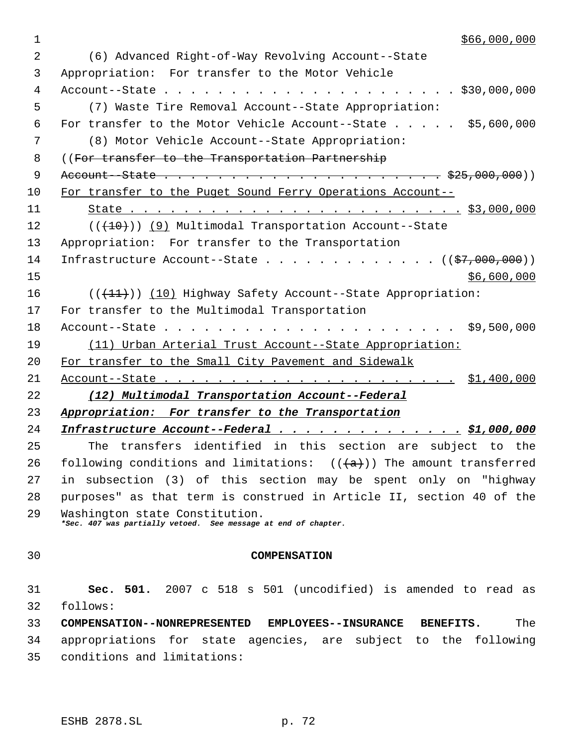| 1  | \$66,000,000                                                                                     |
|----|--------------------------------------------------------------------------------------------------|
| 2  | (6) Advanced Right-of-Way Revolving Account--State                                               |
| 3  | Appropriation: For transfer to the Motor Vehicle                                                 |
| 4  |                                                                                                  |
| 5  | (7) Waste Tire Removal Account--State Appropriation:                                             |
| 6  | For transfer to the Motor Vehicle Account--State \$5,600,000                                     |
| 7  | (8) Motor Vehicle Account--State Appropriation:                                                  |
| 8  | ((For transfer to the Transportation Partnership                                                 |
| 9  |                                                                                                  |
| 10 | For transfer to the Puget Sound Ferry Operations Account-                                        |
| 11 |                                                                                                  |
| 12 | $((+10))$ (9) Multimodal Transportation Account--State                                           |
| 13 | Appropriation: For transfer to the Transportation                                                |
| 14 | Infrastructure Account--State $($ $($ \$7,000,000) $)$                                           |
| 15 | \$6,600,000                                                                                      |
| 16 | $((+11))$ (10) Highway Safety Account--State Appropriation:                                      |
| 17 | For transfer to the Multimodal Transportation                                                    |
| 18 | \$9,500,000                                                                                      |
| 19 | (11) Urban Arterial Trust Account--State Appropriation:                                          |
| 20 | For transfer to the Small City Pavement and Sidewalk                                             |
| 21 |                                                                                                  |
| 22 | (12) Multimodal Transportation Account--Federal                                                  |
| 23 | Appropriation: For transfer to the Transportation                                                |
| 24 | Infrastructure Account--Federal \$1,000,000                                                      |
| 25 | The transfers identified in this section are subject to the                                      |
| 26 | following conditions and limitations: $((a+))$ The amount transferred                            |
| 27 | in subsection (3) of this section may be spent only on "highway                                  |
| 28 | purposes" as that term is construed in Article II, section 40 of the                             |
| 29 | Washington state Constitution.<br>*Sec. 407 was partially vetoed. See message at end of chapter. |
|    |                                                                                                  |
| 30 | <b>COMPENSATION</b>                                                                              |
|    |                                                                                                  |
| 31 | Sec. 501. 2007 c 518 s 501 (uncodified) is amended to read as                                    |
| 32 | follows:                                                                                         |
| 33 | COMPENSATION--NONREPRESENTED EMPLOYEES--INSURANCE BENEFITS.<br>The                               |
| 34 | appropriations for state agencies, are subject to the following                                  |
| 35 | conditions and limitations:                                                                      |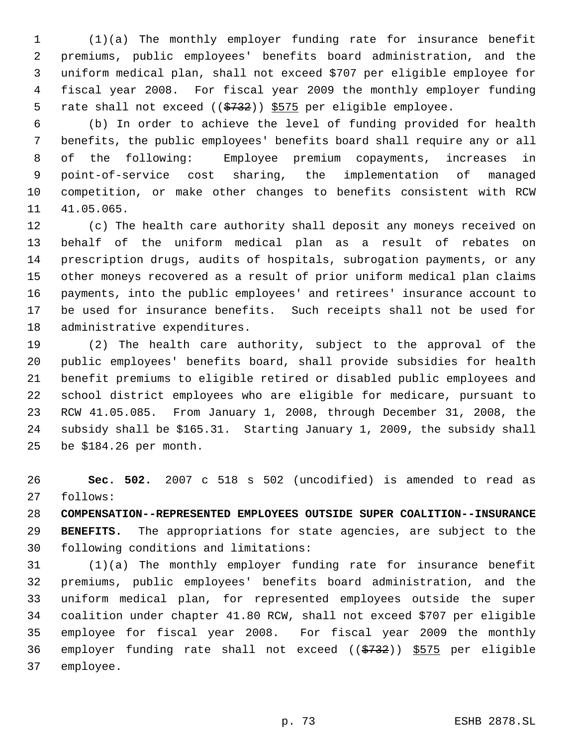(1)(a) The monthly employer funding rate for insurance benefit premiums, public employees' benefits board administration, and the uniform medical plan, shall not exceed \$707 per eligible employee for fiscal year 2008. For fiscal year 2009 the monthly employer funding 5 rate shall not exceed ((\$732)) \$575 per eligible employee.

 (b) In order to achieve the level of funding provided for health benefits, the public employees' benefits board shall require any or all of the following: Employee premium copayments, increases in point-of-service cost sharing, the implementation of managed competition, or make other changes to benefits consistent with RCW 41.05.065.

 (c) The health care authority shall deposit any moneys received on behalf of the uniform medical plan as a result of rebates on prescription drugs, audits of hospitals, subrogation payments, or any other moneys recovered as a result of prior uniform medical plan claims payments, into the public employees' and retirees' insurance account to be used for insurance benefits. Such receipts shall not be used for administrative expenditures.

 (2) The health care authority, subject to the approval of the public employees' benefits board, shall provide subsidies for health benefit premiums to eligible retired or disabled public employees and school district employees who are eligible for medicare, pursuant to RCW 41.05.085. From January 1, 2008, through December 31, 2008, the subsidy shall be \$165.31. Starting January 1, 2009, the subsidy shall be \$184.26 per month.

 **Sec. 502.** 2007 c 518 s 502 (uncodified) is amended to read as follows:

 **COMPENSATION--REPRESENTED EMPLOYEES OUTSIDE SUPER COALITION--INSURANCE BENEFITS.** The appropriations for state agencies, are subject to the following conditions and limitations:

 (1)(a) The monthly employer funding rate for insurance benefit premiums, public employees' benefits board administration, and the uniform medical plan, for represented employees outside the super coalition under chapter 41.80 RCW, shall not exceed \$707 per eligible employee for fiscal year 2008. For fiscal year 2009 the monthly 36 employer funding rate shall not exceed  $((\frac{2732}{})$   $\frac{5575}{275}$  per eligible employee.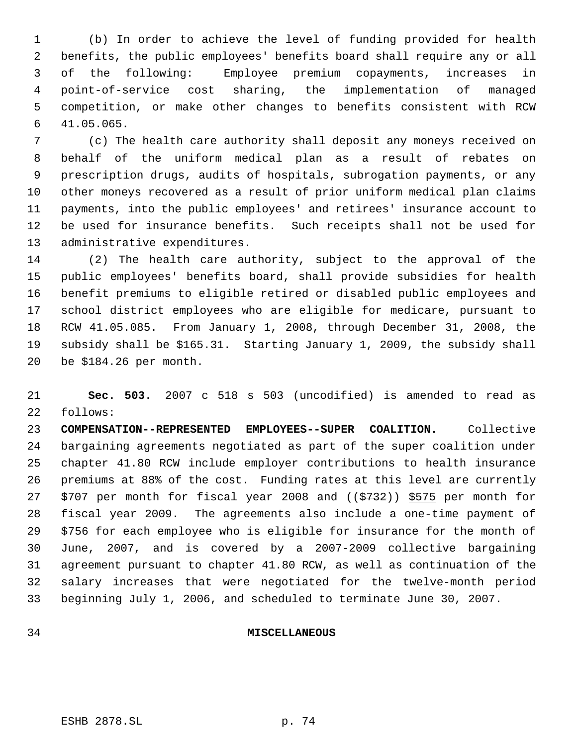(b) In order to achieve the level of funding provided for health benefits, the public employees' benefits board shall require any or all of the following: Employee premium copayments, increases in point-of-service cost sharing, the implementation of managed competition, or make other changes to benefits consistent with RCW 41.05.065.

 (c) The health care authority shall deposit any moneys received on behalf of the uniform medical plan as a result of rebates on prescription drugs, audits of hospitals, subrogation payments, or any other moneys recovered as a result of prior uniform medical plan claims payments, into the public employees' and retirees' insurance account to be used for insurance benefits. Such receipts shall not be used for administrative expenditures.

 (2) The health care authority, subject to the approval of the public employees' benefits board, shall provide subsidies for health benefit premiums to eligible retired or disabled public employees and school district employees who are eligible for medicare, pursuant to RCW 41.05.085. From January 1, 2008, through December 31, 2008, the subsidy shall be \$165.31. Starting January 1, 2009, the subsidy shall be \$184.26 per month.

 **Sec. 503.** 2007 c 518 s 503 (uncodified) is amended to read as follows:

 **COMPENSATION--REPRESENTED EMPLOYEES--SUPER COALITION.** Collective bargaining agreements negotiated as part of the super coalition under chapter 41.80 RCW include employer contributions to health insurance premiums at 88% of the cost. Funding rates at this level are currently 27 \$707 per month for fiscal year 2008 and  $($   $\frac{2732}{}$ ) \$575 per month for fiscal year 2009. The agreements also include a one-time payment of \$756 for each employee who is eligible for insurance for the month of June, 2007, and is covered by a 2007-2009 collective bargaining agreement pursuant to chapter 41.80 RCW, as well as continuation of the salary increases that were negotiated for the twelve-month period beginning July 1, 2006, and scheduled to terminate June 30, 2007.

#### **MISCELLANEOUS**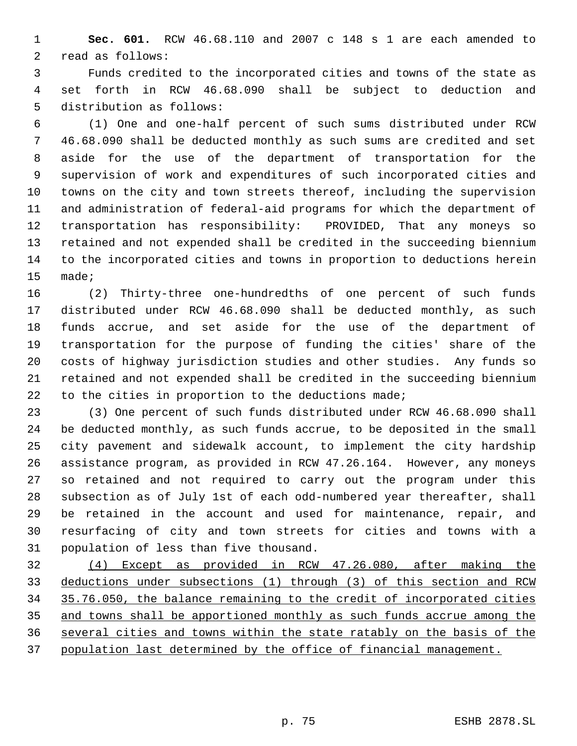**Sec. 601.** RCW 46.68.110 and 2007 c 148 s 1 are each amended to read as follows:

 Funds credited to the incorporated cities and towns of the state as set forth in RCW 46.68.090 shall be subject to deduction and distribution as follows:

 (1) One and one-half percent of such sums distributed under RCW 46.68.090 shall be deducted monthly as such sums are credited and set aside for the use of the department of transportation for the supervision of work and expenditures of such incorporated cities and towns on the city and town streets thereof, including the supervision and administration of federal-aid programs for which the department of transportation has responsibility: PROVIDED, That any moneys so retained and not expended shall be credited in the succeeding biennium to the incorporated cities and towns in proportion to deductions herein made;

 (2) Thirty-three one-hundredths of one percent of such funds distributed under RCW 46.68.090 shall be deducted monthly, as such funds accrue, and set aside for the use of the department of transportation for the purpose of funding the cities' share of the costs of highway jurisdiction studies and other studies. Any funds so retained and not expended shall be credited in the succeeding biennium to the cities in proportion to the deductions made;

 (3) One percent of such funds distributed under RCW 46.68.090 shall be deducted monthly, as such funds accrue, to be deposited in the small city pavement and sidewalk account, to implement the city hardship assistance program, as provided in RCW 47.26.164. However, any moneys so retained and not required to carry out the program under this subsection as of July 1st of each odd-numbered year thereafter, shall be retained in the account and used for maintenance, repair, and resurfacing of city and town streets for cities and towns with a population of less than five thousand.

 (4) Except as provided in RCW 47.26.080, after making the deductions under subsections (1) through (3) of this section and RCW 35.76.050, the balance remaining to the credit of incorporated cities and towns shall be apportioned monthly as such funds accrue among the several cities and towns within the state ratably on the basis of the population last determined by the office of financial management.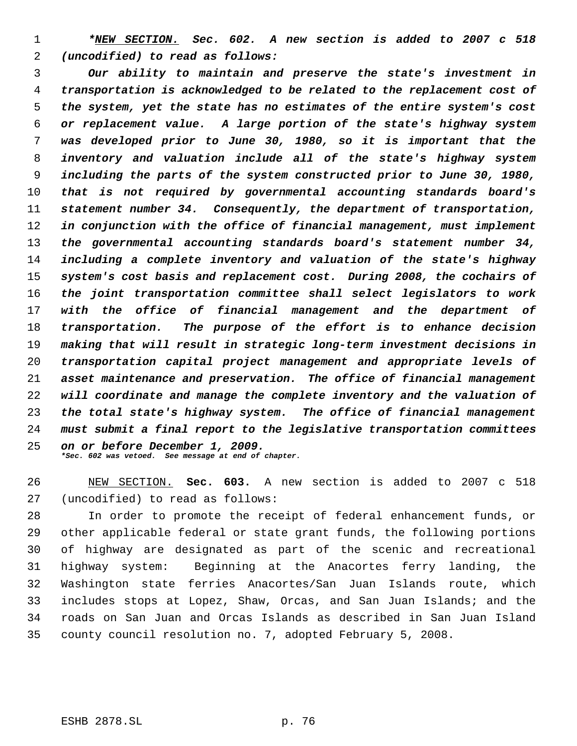*\*NEW SECTION. Sec. 602. A new section is added to 2007 c 518 (uncodified) to read as follows:*

 *Our ability to maintain and preserve the state's investment in transportation is acknowledged to be related to the replacement cost of the system, yet the state has no estimates of the entire system's cost or replacement value. A large portion of the state's highway system was developed prior to June 30, 1980, so it is important that the inventory and valuation include all of the state's highway system including the parts of the system constructed prior to June 30, 1980, that is not required by governmental accounting standards board's statement number 34. Consequently, the department of transportation, in conjunction with the office of financial management, must implement the governmental accounting standards board's statement number 34, including a complete inventory and valuation of the state's highway system's cost basis and replacement cost. During 2008, the cochairs of the joint transportation committee shall select legislators to work with the office of financial management and the department of transportation. The purpose of the effort is to enhance decision making that will result in strategic long-term investment decisions in transportation capital project management and appropriate levels of asset maintenance and preservation. The office of financial management will coordinate and manage the complete inventory and the valuation of the total state's highway system. The office of financial management must submit a final report to the legislative transportation committees on or before December 1, 2009. \*Sec. 602 was vetoed. See message at end of chapter.*

 NEW SECTION. **Sec. 603.** A new section is added to 2007 c 518 (uncodified) to read as follows:

 In order to promote the receipt of federal enhancement funds, or other applicable federal or state grant funds, the following portions of highway are designated as part of the scenic and recreational highway system: Beginning at the Anacortes ferry landing, the Washington state ferries Anacortes/San Juan Islands route, which includes stops at Lopez, Shaw, Orcas, and San Juan Islands; and the roads on San Juan and Orcas Islands as described in San Juan Island county council resolution no. 7, adopted February 5, 2008.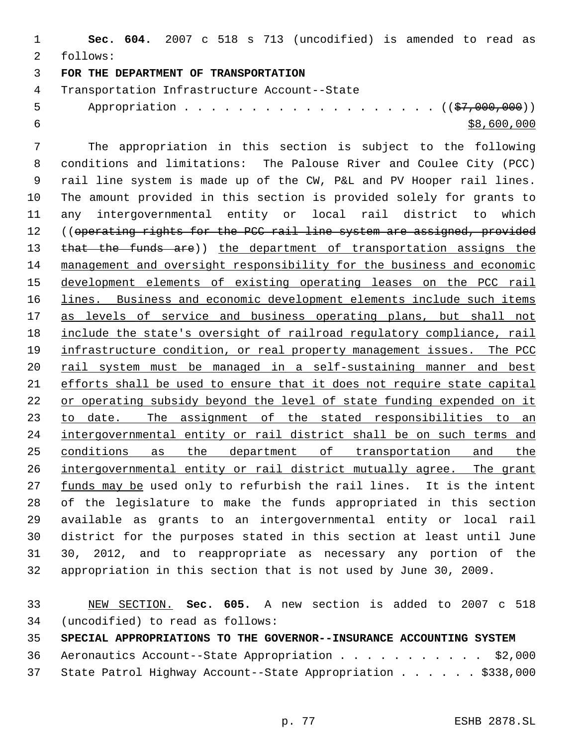**Sec. 604.** 2007 c 518 s 713 (uncodified) is amended to read as follows: **FOR THE DEPARTMENT OF TRANSPORTATION** Transportation Infrastructure Account--State

5 Appropriation . . . . . . . . . . . . . . . . . (  $(\frac{27}{1000000})$  $\frac{1}{58,600,000}$ 

 The appropriation in this section is subject to the following conditions and limitations: The Palouse River and Coulee City (PCC) rail line system is made up of the CW, P&L and PV Hooper rail lines. The amount provided in this section is provided solely for grants to any intergovernmental entity or local rail district to which 12 ((operating rights for the PCC rail line system are assigned, provided 13 that the funds are)) the department of transportation assigns the management and oversight responsibility for the business and economic development elements of existing operating leases on the PCC rail 16 lines. Business and economic development elements include such items 17 as levels of service and business operating plans, but shall not 18 include the state's oversight of railroad regulatory compliance, rail 19 infrastructure condition, or real property management issues. The PCC 20 rail system must be managed in a self-sustaining manner and best efforts shall be used to ensure that it does not require state capital 22 or operating subsidy beyond the level of state funding expended on it 23 to date. The assignment of the stated responsibilities to an intergovernmental entity or rail district shall be on such terms and 25 conditions as the department of transportation and the intergovernmental entity or rail district mutually agree. The grant 27 funds may be used only to refurbish the rail lines. It is the intent of the legislature to make the funds appropriated in this section available as grants to an intergovernmental entity or local rail district for the purposes stated in this section at least until June 30, 2012, and to reappropriate as necessary any portion of the appropriation in this section that is not used by June 30, 2009.

 NEW SECTION. **Sec. 605.** A new section is added to 2007 c 518 (uncodified) to read as follows: **SPECIAL APPROPRIATIONS TO THE GOVERNOR--INSURANCE ACCOUNTING SYSTEM** 36 Aeronautics Account--State Appropriation . . . . . . . . . . \$2,000

State Patrol Highway Account--State Appropriation . . . . . . \$338,000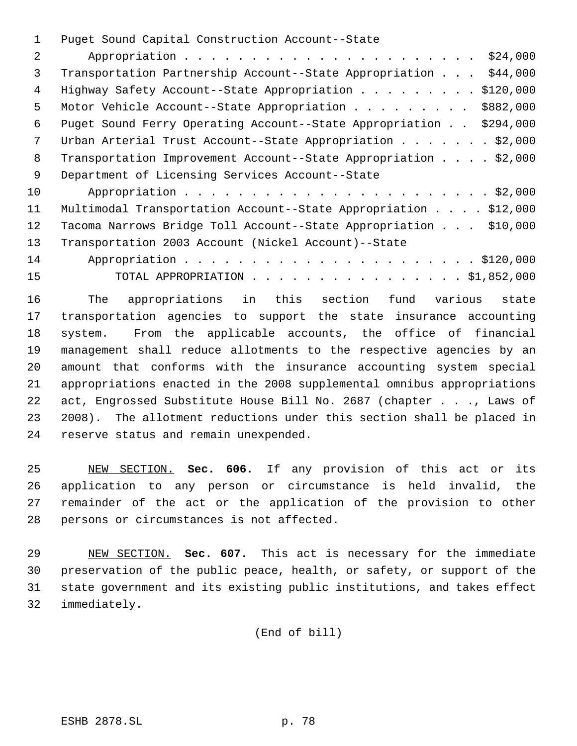Puget Sound Capital Construction Account--State

| 2  | \$24,000                                                            |
|----|---------------------------------------------------------------------|
| 3  | \$44,000<br>Transportation Partnership Account--State Appropriation |
| 4  | \$120,000<br>Highway Safety Account--State Appropriation            |
| 5  | \$882,000<br>Motor Vehicle Account--State Appropriation             |
| 6  | Puget Sound Ferry Operating Account--State Appropriation \$294,000  |
| 7  | Urban Arterial Trust Account--State Appropriation \$2,000           |
| 8  | Transportation Improvement Account--State Appropriation \$2,000     |
| 9  | Department of Licensing Services Account--State                     |
| 10 |                                                                     |
| 11 | Multimodal Transportation Account--State Appropriation \$12,000     |
| 12 | Tacoma Narrows Bridge Toll Account--State Appropriation \$10,000    |
| 13 | Transportation 2003 Account (Nickel Account)--State                 |
| 14 |                                                                     |
| 15 | TOTAL APPROPRIATION \$1,852,000                                     |

 The appropriations in this section fund various state transportation agencies to support the state insurance accounting system. From the applicable accounts, the office of financial management shall reduce allotments to the respective agencies by an amount that conforms with the insurance accounting system special appropriations enacted in the 2008 supplemental omnibus appropriations act, Engrossed Substitute House Bill No. 2687 (chapter . . ., Laws of 2008). The allotment reductions under this section shall be placed in reserve status and remain unexpended.

 NEW SECTION. **Sec. 606.** If any provision of this act or its application to any person or circumstance is held invalid, the remainder of the act or the application of the provision to other persons or circumstances is not affected.

 NEW SECTION. **Sec. 607.** This act is necessary for the immediate preservation of the public peace, health, or safety, or support of the state government and its existing public institutions, and takes effect immediately.

(End of bill)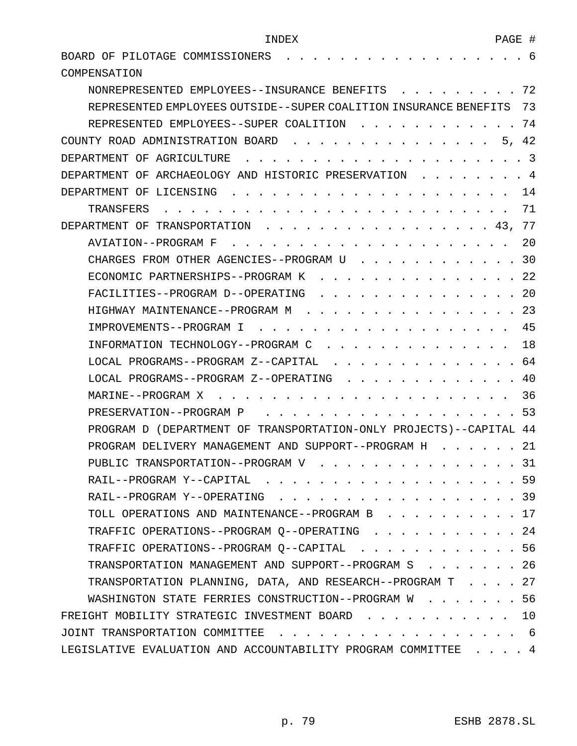| BOARD OF PILOTAGE COMMISSIONERS                                    | 6              |  |
|--------------------------------------------------------------------|----------------|--|
| COMPENSATION                                                       |                |  |
| NONREPRESENTED EMPLOYEES--INSURANCE BENEFITS                       | 72             |  |
| REPRESENTED EMPLOYEES OUTSIDE--SUPER COALITION INSURANCE BENEFITS  | 73             |  |
| REPRESENTED EMPLOYEES--SUPER COALITION                             | 74             |  |
| COUNTY ROAD ADMINISTRATION BOARD<br>5.                             | 42             |  |
| DEPARTMENT OF AGRICULTURE                                          | $\overline{3}$ |  |
| DEPARTMENT OF ARCHAEOLOGY AND HISTORIC PRESERVATION                | 4              |  |
| DEPARTMENT OF LICENSING                                            | 14             |  |
| TRANSFERS                                                          | 71             |  |
| DEPARTMENT OF TRANSPORTATION<br>43.                                | 77             |  |
| AVIATION--PROGRAM F                                                | 20             |  |
| CHARGES FROM OTHER AGENCIES--PROGRAM U                             | 30             |  |
| ECONOMIC PARTNERSHIPS--PROGRAM K                                   | 22             |  |
| FACILITIES--PROGRAM D--OPERATING                                   | 20             |  |
| HIGHWAY MAINTENANCE--PROGRAM M                                     | 23             |  |
| IMPROVEMENTS--PROGRAM I                                            | 45             |  |
| INFORMATION TECHNOLOGY--PROGRAM C                                  | 18             |  |
| LOCAL PROGRAMS--PROGRAM Z--CAPITAL                                 | 64             |  |
| LOCAL PROGRAMS--PROGRAM Z--OPERATING                               | 40             |  |
| MARINE--PROGRAM X                                                  | 36             |  |
| PRESERVATION--PROGRAM P                                            | 53             |  |
| PROGRAM D (DEPARTMENT OF TRANSPORTATION-ONLY PROJECTS)--CAPITAL 44 |                |  |
| PROGRAM DELIVERY MANAGEMENT AND SUPPORT--PROGRAM H                 | 21             |  |
| PUBLIC TRANSPORTATION--PROGRAM V                                   | 31             |  |
| RAIL--PROGRAM Y--CAPITAL .                                         | . 59           |  |
| RAIL--PROGRAM Y--OPERATING 39                                      |                |  |
| TOLL OPERATIONS AND MAINTENANCE--PROGRAM B 17                      |                |  |
| TRAFFIC OPERATIONS--PROGRAM 0--OPERATING 24                        |                |  |
| TRAFFIC OPERATIONS--PROGRAM Q--CAPITAL 56                          |                |  |
| TRANSPORTATION MANAGEMENT AND SUPPORT--PROGRAM S                   | 26             |  |
| TRANSPORTATION PLANNING, DATA, AND RESEARCH--PROGRAM T 27          |                |  |
| WASHINGTON STATE FERRIES CONSTRUCTION--PROGRAM W                   | . 56           |  |
| FREIGHT MOBILITY STRATEGIC INVESTMENT BOARD                        | 10             |  |
| JOINT TRANSPORTATION COMMITTEE<br>-6                               |                |  |
| LEGISLATIVE EVALUATION AND ACCOUNTABILITY PROGRAM COMMITTEE 4      |                |  |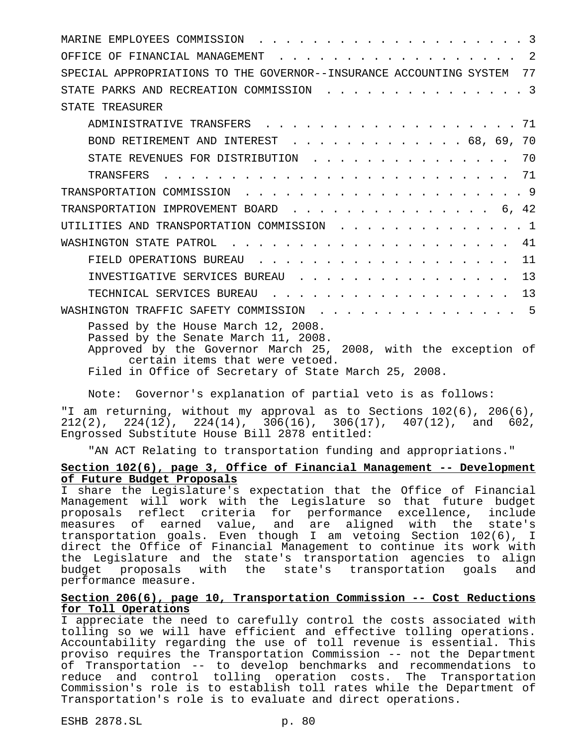| $\overline{2}$<br>OFFICE OF FINANCIAL MANAGEMENT                                                                                                                                                                                         |
|------------------------------------------------------------------------------------------------------------------------------------------------------------------------------------------------------------------------------------------|
| SPECIAL APPROPRIATIONS TO THE GOVERNOR--INSURANCE ACCOUNTING SYSTEM<br>77                                                                                                                                                                |
| . 3<br>STATE PARKS AND RECREATION COMMISSION                                                                                                                                                                                             |
| STATE TREASURER                                                                                                                                                                                                                          |
| ADMINISTRATIVE TRANSFERS 71                                                                                                                                                                                                              |
| BOND RETIREMENT AND INTEREST 68, 69, 70                                                                                                                                                                                                  |
| STATE REVENUES FOR DISTRIBUTION 70                                                                                                                                                                                                       |
|                                                                                                                                                                                                                                          |
|                                                                                                                                                                                                                                          |
|                                                                                                                                                                                                                                          |
| UTILITIES AND TRANSPORTATION COMMISSION 1                                                                                                                                                                                                |
| 41                                                                                                                                                                                                                                       |
| FIELD OPERATIONS BUREAU 11                                                                                                                                                                                                               |
| INVESTIGATIVE SERVICES BUREAU 13                                                                                                                                                                                                         |
| TECHNICAL SERVICES BUREAU 13                                                                                                                                                                                                             |
| WASHINGTON TRAFFIC SAFETY COMMISSION 5                                                                                                                                                                                                   |
| Passed by the House March 12, 2008.<br>Passed by the Senate March 11, 2008.<br>Approved by the Governor March 25, 2008, with the exception of<br>certain items that were vetoed.<br>Filed in Office of Cogrotory of State March 25, 2008 |

Filed in Office of Secretary of State March 25, 2008.

Note: Governor's explanation of partial veto is as follows:

"I am returning, without my approval as to Sections 102(6), 206(6),  $212(2)$ ,  $224(12)$ ,  $224(14)$ ,  $306(16)$ ,  $306(17)$ ,  $407(12)$ , and  $602$ , Engrossed Substitute House Bill 2878 entitled:

"AN ACT Relating to transportation funding and appropriations."

#### **Section 102(6), page 3, Office of Financial Management -- Development of Future Budget Proposals**

I share the Legislature's expectation that the Office of Financial Management will work with the Legislature so that future budget proposals reflect criteria for performance excellence, include measures of earned value, and are aligned with the state's transportation goals. Even though I am vetoing Section 102(6), I direct the Office of Financial Management to continue its work with the Legislature and the state's transportation agencies to align<br>budget proposals with the state's transportation goals and state's transportation goals and performance measure.

## **Section 206(6), page 10, Transportation Commission -- Cost Reductions for Toll Operations**

I appreciate the need to carefully control the costs associated with tolling so we will have efficient and effective tolling operations. Accountability regarding the use of toll revenue is essential. This proviso requires the Transportation Commission -- not the Department of Transportation -- to develop benchmarks and recommendations to reduce and control tolling operation costs. The Transportation Commission's role is to establish toll rates while the Department of Transportation's role is to evaluate and direct operations.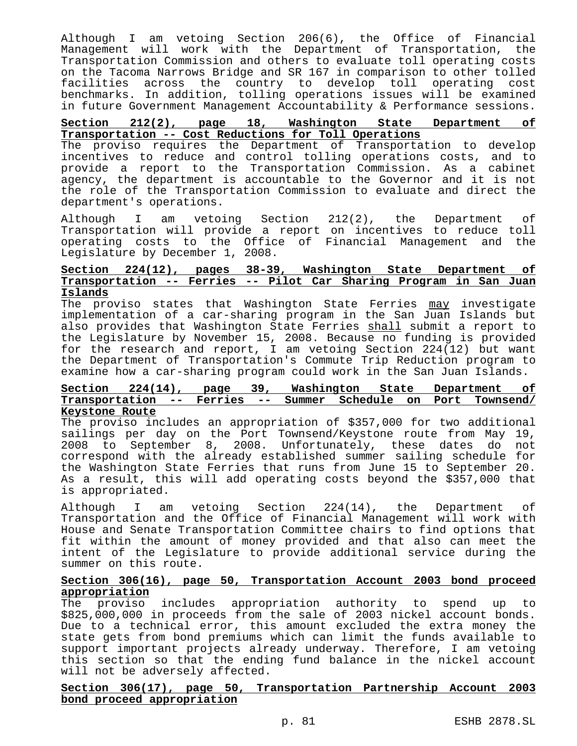Although I am vetoing Section 206(6), the Office of Financial Management will work with the Department of Transportation, the Transportation Commission and others to evaluate toll operating costs on the Tacoma Narrows Bridge and SR 167 in comparison to other tolled facilities across the country to develop toll operating cost benchmarks. In addition, tolling operations issues will be examined in future Government Management Accountability & Performance sessions.

# **Section 212(2), page 18, Washington State Department of Transportation -- Cost Reductions for Toll Operations**

The proviso requires the Department of Transportation to develop incentives to reduce and control tolling operations costs, and to provide a report to the Transportation Commission. As a cabinet agency, the department is accountable to the Governor and it is not the role of the Transportation Commission to evaluate and direct the department's operations.

Although I am vetoing Section 212(2), the Department of Transportation will provide a report on incentives to reduce toll operating costs to the Office of Financial Management and the Legislature by December 1, 2008.

# **Section 224(12), pages 38-39, Washington State Department of Transportation -- Ferries -- Pilot Car Sharing Program in San Juan Islands**

The proviso states that Washington State Ferries may investigate implementation of a car-sharing program in the San Juan Islands but also provides that Washington State Ferries shall submit a report to the Legislature by November 15, 2008. Because no funding is provided for the research and report, I am vetoing Section 224(12) but want the Department of Transportation's Commute Trip Reduction program to examine how a car-sharing program could work in the San Juan Islands.

#### **Section 224(14), page 39, Washington State Department of Transportation -- Ferries -- Summer Schedule on Port Townsend/ Keystone Route**

The proviso includes an appropriation of \$357,000 for two additional sailings per day on the Port Townsend/Keystone route from May 19, 2008 to September 8, 2008. Unfortunately, these dates do not correspond with the already established summer sailing schedule for the Washington State Ferries that runs from June 15 to September 20. As a result, this will add operating costs beyond the \$357,000 that is appropriated.

Although I am vetoing Section 224(14), the Department of Transportation and the Office of Financial Management will work with House and Senate Transportation Committee chairs to find options that fit within the amount of money provided and that also can meet the intent of the Legislature to provide additional service during the summer on this route.

# **Section 306(16), page 50, Transportation Account 2003 bond proceed appropriation**

The proviso includes appropriation authority to spend up to \$825,000,000 in proceeds from the sale of 2003 nickel account bonds. Due to a technical error, this amount excluded the extra money the state gets from bond premiums which can limit the funds available to support important projects already underway. Therefore, I am vetoing this section so that the ending fund balance in the nickel account will not be adversely affected.

## **Section 306(17), page 50, Transportation Partnership Account 2003 bond proceed appropriation**